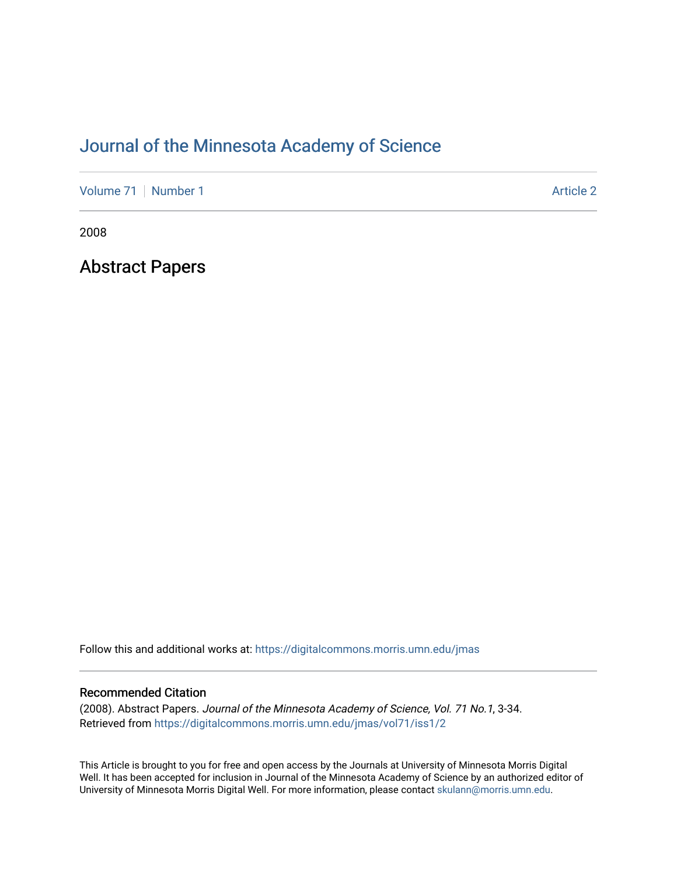## [Journal of the Minnesota Academy of Science](https://digitalcommons.morris.umn.edu/jmas)

[Volume 71](https://digitalcommons.morris.umn.edu/jmas/vol71) [Number 1](https://digitalcommons.morris.umn.edu/jmas/vol71/iss1) Article 2

2008

Abstract Papers

Follow this and additional works at: [https://digitalcommons.morris.umn.edu/jmas](https://digitalcommons.morris.umn.edu/jmas?utm_source=digitalcommons.morris.umn.edu%2Fjmas%2Fvol71%2Fiss1%2F2&utm_medium=PDF&utm_campaign=PDFCoverPages) 

## Recommended Citation

(2008). Abstract Papers. Journal of the Minnesota Academy of Science, Vol. 71 No.1, 3-34. Retrieved from [https://digitalcommons.morris.umn.edu/jmas/vol71/iss1/2](https://digitalcommons.morris.umn.edu/jmas/vol71/iss1/2?utm_source=digitalcommons.morris.umn.edu%2Fjmas%2Fvol71%2Fiss1%2F2&utm_medium=PDF&utm_campaign=PDFCoverPages)

This Article is brought to you for free and open access by the Journals at University of Minnesota Morris Digital Well. It has been accepted for inclusion in Journal of the Minnesota Academy of Science by an authorized editor of University of Minnesota Morris Digital Well. For more information, please contact [skulann@morris.umn.edu](mailto:skulann@morris.umn.edu).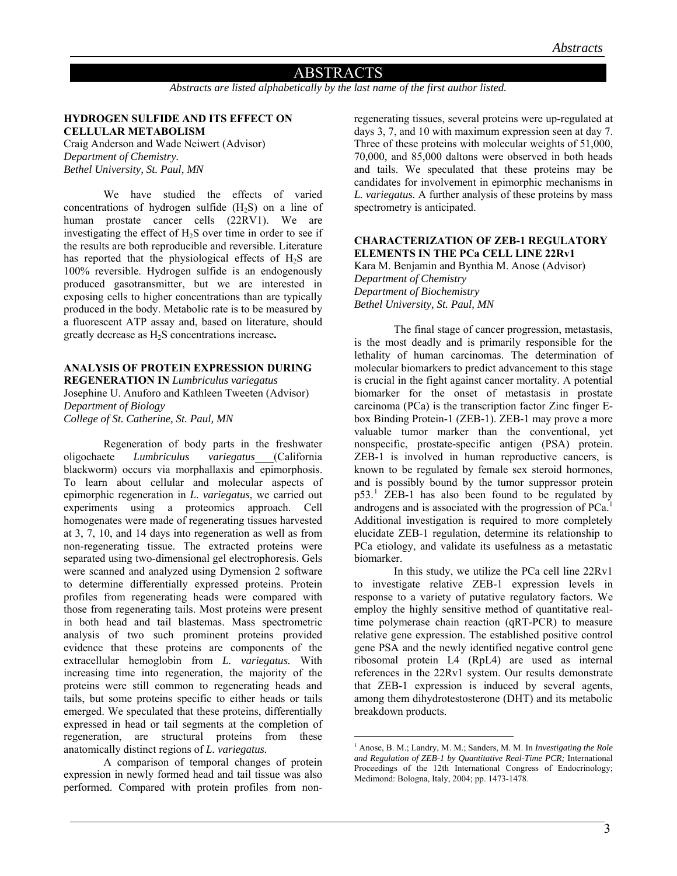## ABSTRACTS

*Abstracts are listed alphabetically by the last name of the first author listed.* 

## **HYDROGEN SULFIDE AND ITS EFFECT ON CELLULAR METABOLISM**

Craig Anderson and Wade Neiwert (Advisor) *Department of Chemistry. Bethel University, St. Paul, MN* 

 We have studied the effects of varied concentrations of hydrogen sulfide  $(H_2S)$  on a line of human prostate cancer cells (22RV1). We are investigating the effect of  $H_2S$  over time in order to see if the results are both reproducible and reversible. Literature has reported that the physiological effects of  $H_2S$  are 100% reversible. Hydrogen sulfide is an endogenously produced gasotransmitter, but we are interested in exposing cells to higher concentrations than are typically produced in the body. Metabolic rate is to be measured by a fluorescent ATP assay and, based on literature, should greatly decrease as H2S concentrations increase**.** 

#### **ANALYSIS OF PROTEIN EXPRESSION DURING**

**REGENERATION IN** *Lumbriculus variegatus* Josephine U. Anuforo and Kathleen Tweeten (Advisor) *Department of Biology College of St. Catherine, St. Paul, MN* 

 Regeneration of body parts in the freshwater oligochaete *Lumbriculus variegatus* (California blackworm) occurs via morphallaxis and epimorphosis. To learn about cellular and molecular aspects of epimorphic regeneration in *L. variegatus*, we carried out experiments using a proteomics approach. Cell homogenates were made of regenerating tissues harvested at 3, 7, 10, and 14 days into regeneration as well as from non-regenerating tissue. The extracted proteins were separated using two-dimensional gel electrophoresis. Gels were scanned and analyzed using Dymension 2 software to determine differentially expressed proteins. Protein profiles from regenerating heads were compared with those from regenerating tails. Most proteins were present in both head and tail blastemas. Mass spectrometric analysis of two such prominent proteins provided evidence that these proteins are components of the extracellular hemoglobin from *L. variegatus.* With increasing time into regeneration, the majority of the proteins were still common to regenerating heads and tails, but some proteins specific to either heads or tails emerged. We speculated that these proteins, differentially expressed in head or tail segments at the completion of regeneration, are structural proteins from these anatomically distinct regions of *L. variegatus.*

<span id="page-1-0"></span>A comparison of temporal changes of protein expression in newly formed head and tail tissue was also performed. Compared with protein profiles from nonregenerating tissues, several proteins were up-regulated at days 3, 7, and 10 with maximum expression seen at day 7. Three of these proteins with molecular weights of 51,000, 70,000, and 85,000 daltons were observed in both heads and tails. We speculated that these proteins may be candidates for involvement in epimorphic mechanisms in *L. variegatus.* A further analysis of these proteins by mass spectrometry is anticipated.

#### **CHARACTERIZATION OF ZEB-1 REGULATORY ELEMENTS IN THE PCa CELL LINE 22Rv1**

Kara M. Benjamin and Bynthia M. Anose (Advisor) *Department of Chemistry Department of Biochemistry Bethel University, St. Paul, MN* 

The final stage of cancer progression, metastasis, is the most deadly and is primarily responsible for the lethality of human carcinomas. The determination of molecular biomarkers to predict advancement to this stage is crucial in the fight against cancer mortality. A potential biomarker for the onset of metastasis in prostate carcinoma (PCa) is the transcription factor Zinc finger Ebox Binding Protein-1 (ZEB-1). ZEB-1 may prove a more valuable tumor marker than the conventional, yet nonspecific, prostate-specific antigen (PSA) protein. ZEB-1 is involved in human reproductive cancers, is known to be regulated by female sex steroid hormones, and is possibly bound by the tumor suppressor protein p53.<sup>[1](#page-1-0)</sup> ZEB-1 has also been found to be regulated by androgens and is associated with the progression of  $PCA<sup>1</sup>$ . Additional investigation is required to more completely elucidate ZEB-1 regulation, determine its relationship to PCa etiology, and validate its usefulness as a metastatic biomarker.

In this study, we utilize the PCa cell line 22Rv1 to investigate relative ZEB-1 expression levels in response to a variety of putative regulatory factors. We employ the highly sensitive method of quantitative realtime polymerase chain reaction (qRT-PCR) to measure relative gene expression. The established positive control gene PSA and the newly identified negative control gene ribosomal protein L4 (RpL4) are used as internal references in the 22Rv1 system. Our results demonstrate that ZEB-1 expression is induced by several agents, among them dihydrotestosterone (DHT) and its metabolic breakdown products.

 $\overline{a}$ 

<sup>&</sup>lt;sup>1</sup> Anose, B. M.; Landry, M. M.; Sanders, M. M. In *Investigating the Role and Regulation of ZEB-1 by Quantitative Real-Time PCR;* International Proceedings of the 12th International Congress of Endocrinology; Medimond: Bologna, Italy, 2004; pp. 1473-1478.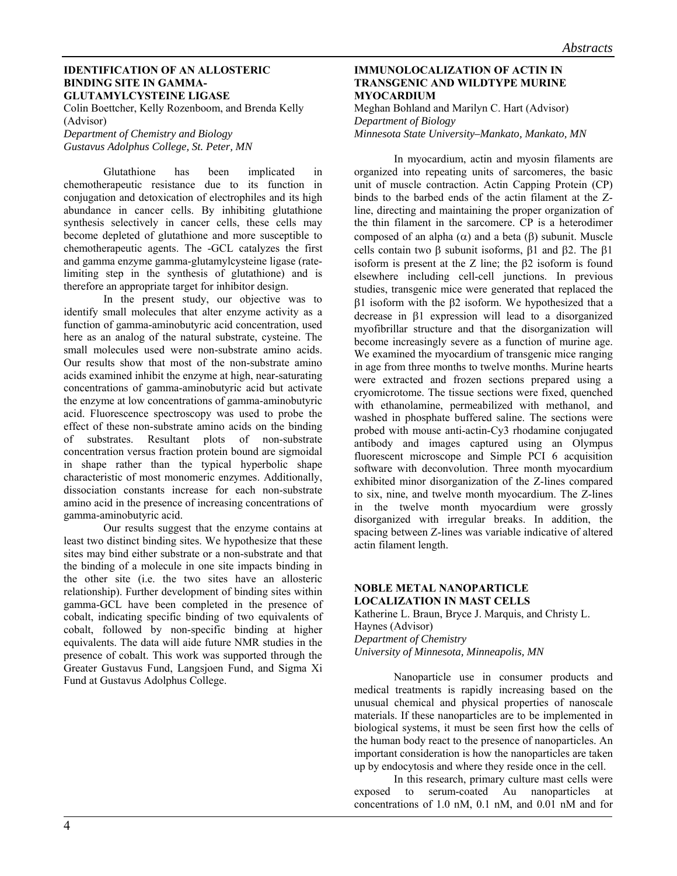#### **IDENTIFICATION OF AN ALLOSTERIC BINDING SITE IN GAMMA-GLUTAMYLCYSTEINE LIGASE**

Colin Boettcher, Kelly Rozenboom, and Brenda Kelly (Advisor)

*Department of Chemistry and Biology Gustavus Adolphus College, St. Peter, MN* 

 Glutathione has been implicated in chemotherapeutic resistance due to its function in conjugation and detoxication of electrophiles and its high abundance in cancer cells. By inhibiting glutathione synthesis selectively in cancer cells, these cells may become depleted of glutathione and more susceptible to chemotherapeutic agents. The -GCL catalyzes the first and gamma enzyme gamma-glutamylcysteine ligase (ratelimiting step in the synthesis of glutathione) and is therefore an appropriate target for inhibitor design.

In the present study, our objective was to identify small molecules that alter enzyme activity as a function of gamma-aminobutyric acid concentration, used here as an analog of the natural substrate, cysteine. The small molecules used were non-substrate amino acids. Our results show that most of the non-substrate amino acids examined inhibit the enzyme at high, near-saturating concentrations of gamma-aminobutyric acid but activate the enzyme at low concentrations of gamma-aminobutyric acid. Fluorescence spectroscopy was used to probe the effect of these non-substrate amino acids on the binding of substrates. Resultant plots of non-substrate concentration versus fraction protein bound are sigmoidal in shape rather than the typical hyperbolic shape characteristic of most monomeric enzymes. Additionally, dissociation constants increase for each non-substrate amino acid in the presence of increasing concentrations of gamma-aminobutyric acid.

Our results suggest that the enzyme contains at least two distinct binding sites. We hypothesize that these sites may bind either substrate or a non-substrate and that the binding of a molecule in one site impacts binding in the other site (i.e. the two sites have an allosteric relationship). Further development of binding sites within gamma-GCL have been completed in the presence of cobalt, indicating specific binding of two equivalents of cobalt, followed by non-specific binding at higher equivalents. The data will aide future NMR studies in the presence of cobalt. This work was supported through the Greater Gustavus Fund, Langsjoen Fund, and Sigma Xi Fund at Gustavus Adolphus College.

## **IMMUNOLOCALIZATION OF ACTIN IN TRANSGENIC AND WILDTYPE MURINE MYOCARDIUM**

Meghan Bohland and Marilyn C. Hart (Advisor) *Department of Biology Minnesota State University–Mankato, Mankato, MN* 

 In myocardium, actin and myosin filaments are organized into repeating units of sarcomeres, the basic unit of muscle contraction. Actin Capping Protein (CP) binds to the barbed ends of the actin filament at the Zline, directing and maintaining the proper organization of the thin filament in the sarcomere. CP is a heterodimer composed of an alpha  $(α)$  and a beta  $(β)$  subunit. Muscle cells contain two β subunit isoforms,  $β1$  and  $β2$ . The  $β1$ isoform is present at the Z line; the β2 isoform is found elsewhere including cell-cell junctions. In previous studies, transgenic mice were generated that replaced the β1 isoform with the β2 isoform. We hypothesized that a decrease in β1 expression will lead to a disorganized myofibrillar structure and that the disorganization will become increasingly severe as a function of murine age. We examined the myocardium of transgenic mice ranging in age from three months to twelve months. Murine hearts were extracted and frozen sections prepared using a cryomicrotome. The tissue sections were fixed, quenched with ethanolamine, permeabilized with methanol, and washed in phosphate buffered saline. The sections were probed with mouse anti-actin-Cy3 rhodamine conjugated antibody and images captured using an Olympus fluorescent microscope and Simple PCI 6 acquisition software with deconvolution. Three month myocardium exhibited minor disorganization of the Z-lines compared to six, nine, and twelve month myocardium. The Z-lines in the twelve month myocardium were grossly disorganized with irregular breaks. In addition, the spacing between Z-lines was variable indicative of altered actin filament length.

#### **NOBLE METAL NANOPARTICLE LOCALIZATION IN MAST CELLS**  Katherine L. Braun, Bryce J. Marquis, and Christy L. Haynes (Advisor)

*Department of Chemistry* 

*University of Minnesota, Minneapolis, MN* 

Nanoparticle use in consumer products and medical treatments is rapidly increasing based on the unusual chemical and physical properties of nanoscale materials. If these nanoparticles are to be implemented in biological systems, it must be seen first how the cells of the human body react to the presence of nanoparticles. An important consideration is how the nanoparticles are taken up by endocytosis and where they reside once in the cell.

In this research, primary culture mast cells were exposed to serum-coated Au nanoparticles at concentrations of 1.0 nM, 0.1 nM, and 0.01 nM and for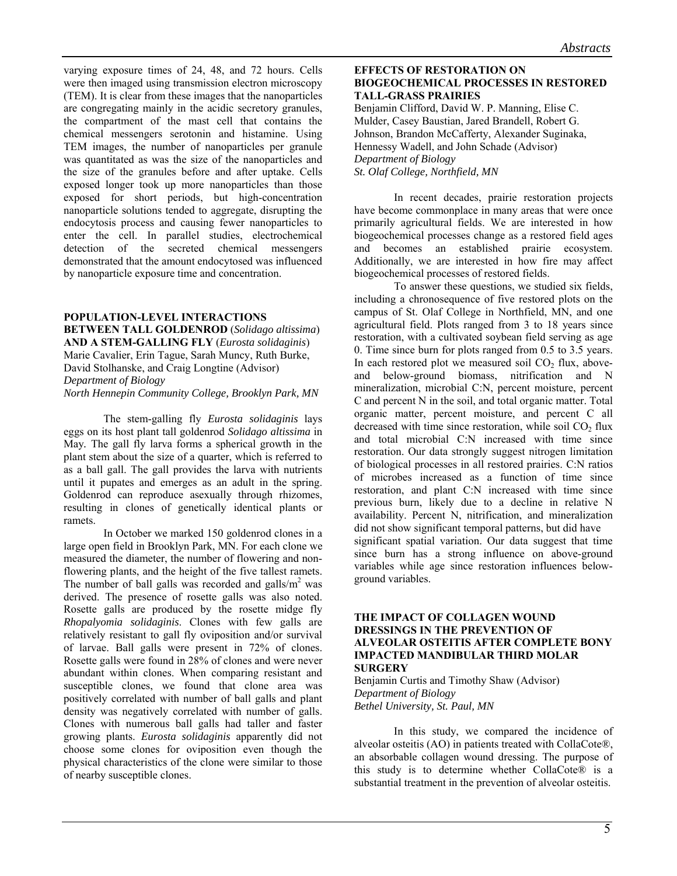varying exposure times of 24, 48, and 72 hours. Cells were then imaged using transmission electron microscopy (TEM). It is clear from these images that the nanoparticles are congregating mainly in the acidic secretory granules, the compartment of the mast cell that contains the chemical messengers serotonin and histamine. Using TEM images, the number of nanoparticles per granule was quantitated as was the size of the nanoparticles and the size of the granules before and after uptake. Cells exposed longer took up more nanoparticles than those exposed for short periods, but high-concentration nanoparticle solutions tended to aggregate, disrupting the endocytosis process and causing fewer nanoparticles to enter the cell. In parallel studies, electrochemical detection of the secreted chemical messengers demonstrated that the amount endocytosed was influenced by nanoparticle exposure time and concentration.

#### **POPULATION-LEVEL INTERACTIONS BETWEEN TALL GOLDENROD** (*Solidago altissima*) **AND A STEM-GALLING FLY** (*Eurosta solidaginis*) Marie Cavalier, Erin Tague, Sarah Muncy, Ruth Burke, David Stolhanske, and Craig Longtine (Advisor) *Department of Biology North Hennepin Community College, Brooklyn Park, MN*

 The stem-galling fly *Eurosta solidaginis* lays eggs on its host plant tall goldenrod *Solidago altissima* in May*.* The gall fly larva forms a spherical growth in the plant stem about the size of a quarter, which is referred to as a ball gall. The gall provides the larva with nutrients until it pupates and emerges as an adult in the spring. Goldenrod can reproduce asexually through rhizomes, resulting in clones of genetically identical plants or ramets.

In October we marked 150 goldenrod clones in a large open field in Brooklyn Park, MN. For each clone we measured the diameter, the number of flowering and nonflowering plants, and the height of the five tallest ramets. The number of ball galls was recorded and galls/ $m<sup>2</sup>$  was derived. The presence of rosette galls was also noted. Rosette galls are produced by the rosette midge fly *Rhopalyomia solidaginis*. Clones with few galls are relatively resistant to gall fly oviposition and/or survival of larvae. Ball galls were present in 72% of clones. Rosette galls were found in 28% of clones and were never abundant within clones. When comparing resistant and susceptible clones, we found that clone area was positively correlated with number of ball galls and plant density was negatively correlated with number of galls. Clones with numerous ball galls had taller and faster growing plants. *Eurosta solidaginis* apparently did not choose some clones for oviposition even though the physical characteristics of the clone were similar to those of nearby susceptible clones.

#### **EFFECTS OF RESTORATION ON BIOGEOCHEMICAL PROCESSES IN RESTORED TALL-GRASS PRAIRIES**

Benjamin Clifford, [David W. P. Manning](mailto:manningd@stolaf.edu), Elise C. Mulder, Casey Baustian, Jared Brandell, Robert G. Johnson, Brandon McCafferty, Alexander Suginaka, Hennessy Wadell, and John Schade (Advisor) *Department of Biology St. Olaf College, Northfield, MN* 

 In recent decades, prairie restoration projects have become commonplace in many areas that were once primarily agricultural fields. We are interested in how biogeochemical processes change as a restored field ages and becomes an established prairie ecosystem. Additionally, we are interested in how fire may affect biogeochemical processes of restored fields.

To answer these questions, we studied six fields, including a chronosequence of five restored plots on the campus of St. Olaf College in Northfield, MN, and one agricultural field. Plots ranged from 3 to 18 years since restoration, with a cultivated soybean field serving as age 0. Time since burn for plots ranged from 0.5 to 3.5 years. In each restored plot we measured soil  $CO<sub>2</sub>$  flux, aboveand below-ground biomass, nitrification and N mineralization, microbial C:N, percent moisture, percent C and percent N in the soil, and total organic matter. Total organic matter, percent moisture, and percent C all decreased with time since restoration, while soil  $CO<sub>2</sub>$  flux and total microbial C:N increased with time since restoration. Our data strongly suggest nitrogen limitation of biological processes in all restored prairies. C:N ratios of microbes increased as a function of time since restoration, and plant C:N increased with time since previous burn, likely due to a decline in relative N availability. Percent N, nitrification, and mineralization did not show significant temporal patterns, but did have significant spatial variation. Our data suggest that time since burn has a strong influence on above-ground variables while age since restoration influences belowground variables.

#### **THE IMPACT OF COLLAGEN WOUND DRESSINGS IN THE PREVENTION OF ALVEOLAR OSTEITIS AFTER COMPLETE BONY IMPACTED MANDIBULAR THIRD MOLAR SURGERY**

Benjamin Curtis and Timothy Shaw (Advisor) *Department of Biology Bethel University, St. Paul, MN* 

 In this study, we compared the incidence of alveolar osteitis (AO) in patients treated with CollaCote®, an absorbable collagen wound dressing. The purpose of this study is to determine whether CollaCote® is a substantial treatment in the prevention of alveolar osteitis.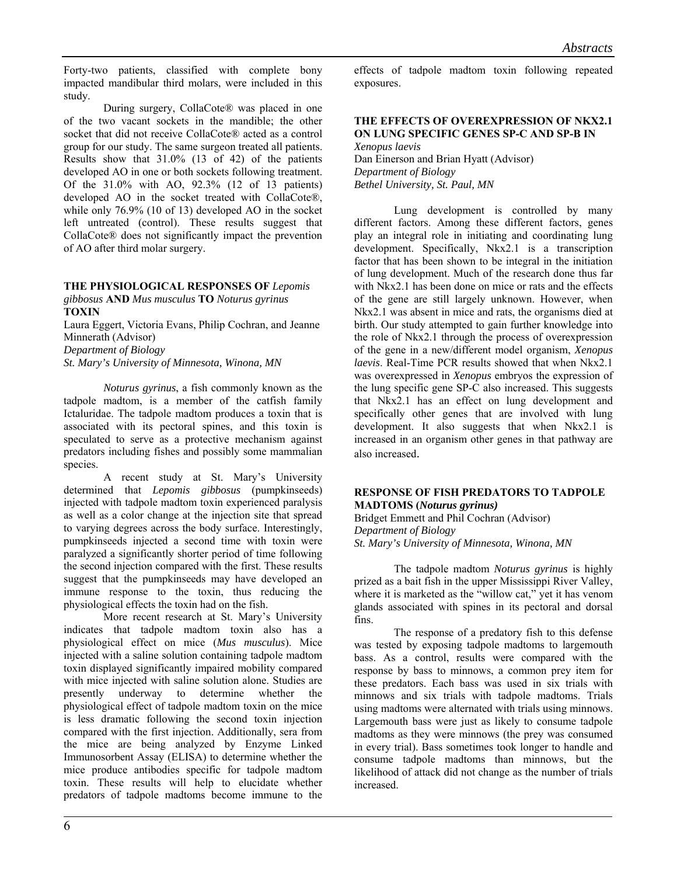Forty-two patients, classified with complete bony impacted mandibular third molars, were included in this study.

During surgery, CollaCote® was placed in one of the two vacant sockets in the mandible; the other socket that did not receive CollaCote® acted as a control group for our study. The same surgeon treated all patients. Results show that 31.0% (13 of 42) of the patients developed AO in one or both sockets following treatment. Of the 31.0% with AO, 92.3% (12 of 13 patients) developed AO in the socket treated with CollaCote®, while only 76.9% (10 of 13) developed AO in the socket left untreated (control). These results suggest that CollaCote® does not significantly impact the prevention of AO after third molar surgery.

#### **THE PHYSIOLOGICAL RESPONSES OF** *Lepomis gibbosus* **AND** *Mus musculus* **TO** *Noturus gyrinus* **TOXIN**

Laura Eggert, Victoria Evans, Philip Cochran, and Jeanne Minnerath (Advisor)

*Department of Biology* 

*St. Mary's University of Minnesota, Winona, MN* 

 *Noturus gyrinus*, a fish commonly known as the tadpole madtom, is a member of the catfish family Ictaluridae. The tadpole madtom produces a toxin that is associated with its pectoral spines, and this toxin is speculated to serve as a protective mechanism against predators including fishes and possibly some mammalian species.

A recent study at St. Mary's University determined that *Lepomis gibbosus* (pumpkinseeds) injected with tadpole madtom toxin experienced paralysis as well as a color change at the injection site that spread to varying degrees across the body surface. Interestingly, pumpkinseeds injected a second time with toxin were paralyzed a significantly shorter period of time following the second injection compared with the first. These results suggest that the pumpkinseeds may have developed an immune response to the toxin, thus reducing the physiological effects the toxin had on the fish.

More recent research at St. Mary's University indicates that tadpole madtom toxin also has a physiological effect on mice (*Mus musculus*). Mice injected with a saline solution containing tadpole madtom toxin displayed significantly impaired mobility compared with mice injected with saline solution alone. Studies are presently underway to determine whether the physiological effect of tadpole madtom toxin on the mice is less dramatic following the second toxin injection compared with the first injection. Additionally, sera from the mice are being analyzed by Enzyme Linked Immunosorbent Assay (ELISA) to determine whether the mice produce antibodies specific for tadpole madtom toxin. These results will help to elucidate whether predators of tadpole madtoms become immune to the

effects of tadpole madtom toxin following repeated exposures.

## **THE EFFECTS OF OVEREXPRESSION OF NKX2.1 ON LUNG SPECIFIC GENES SP-C AND SP-B IN**

*Xenopus laevis* Dan Einerson and Brian Hyatt (Advisor) *Department of Biology Bethel University, St. Paul, MN* 

 Lung development is controlled by many different factors. Among these different factors, genes play an integral role in initiating and coordinating lung development. Specifically, Nkx2.1 is a transcription factor that has been shown to be integral in the initiation of lung development. Much of the research done thus far with Nkx2.1 has been done on mice or rats and the effects of the gene are still largely unknown. However, when Nkx2.1 was absent in mice and rats, the organisms died at birth. Our study attempted to gain further knowledge into the role of Nkx2.1 through the process of overexpression of the gene in a new/different model organism, *Xenopus laevis*. Real-Time PCR results showed that when Nkx2.1 was overexpressed in *Xenopus* embryos the expression of the lung specific gene SP-C also increased. This suggests that Nkx2.1 has an effect on lung development and specifically other genes that are involved with lung development. It also suggests that when Nkx2.1 is increased in an organism other genes in that pathway are also increased.

## **RESPONSE OF FISH PREDATORS TO TADPOLE MADTOMS (***Noturus gyrinus)*

Bridget Emmett and Phil Cochran (Advisor) *Department of Biology St. Mary's University of Minnesota, Winona, MN* 

 The tadpole madtom *Noturus gyrinus* is highly prized as a bait fish in the upper Mississippi River Valley, where it is marketed as the "willow cat," yet it has venom glands associated with spines in its pectoral and dorsal fins.

 The response of a predatory fish to this defense was tested by exposing tadpole madtoms to largemouth bass. As a control, results were compared with the response by bass to minnows, a common prey item for these predators. Each bass was used in six trials with minnows and six trials with tadpole madtoms. Trials using madtoms were alternated with trials using minnows. Largemouth bass were just as likely to consume tadpole madtoms as they were minnows (the prey was consumed in every trial). Bass sometimes took longer to handle and consume tadpole madtoms than minnows, but the likelihood of attack did not change as the number of trials increased.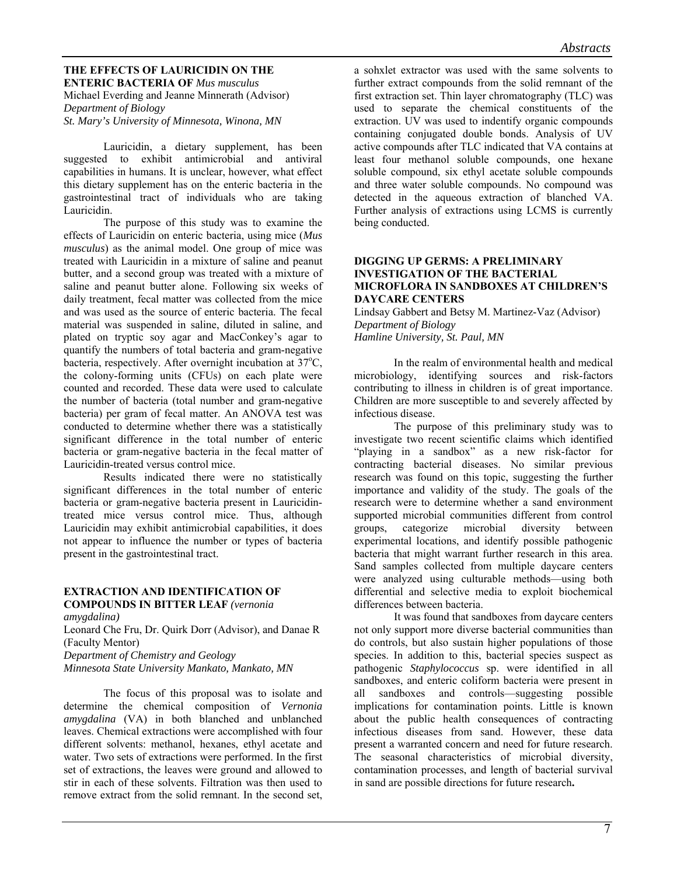#### **THE EFFECTS OF LAURICIDIN ON THE ENTERIC BACTERIA OF** *Mus musculus*

Michael Everding and Jeanne Minnerath (Advisor) *Department of Biology St. Mary's University of Minnesota, Winona, MN* 

 Lauricidin, a dietary supplement, has been suggested to exhibit antimicrobial and antiviral capabilities in humans. It is unclear, however, what effect this dietary supplement has on the enteric bacteria in the gastrointestinal tract of individuals who are taking Lauricidin.

The purpose of this study was to examine the effects of Lauricidin on enteric bacteria, using mice (*Mus musculus*) as the animal model. One group of mice was treated with Lauricidin in a mixture of saline and peanut butter, and a second group was treated with a mixture of saline and peanut butter alone. Following six weeks of daily treatment, fecal matter was collected from the mice and was used as the source of enteric bacteria. The fecal material was suspended in saline, diluted in saline, and plated on tryptic soy agar and MacConkey's agar to quantify the numbers of total bacteria and gram-negative bacteria, respectively. After overnight incubation at 37°C, the colony-forming units (CFUs) on each plate were counted and recorded. These data were used to calculate the number of bacteria (total number and gram-negative bacteria) per gram of fecal matter. An ANOVA test was conducted to determine whether there was a statistically significant difference in the total number of enteric bacteria or gram-negative bacteria in the fecal matter of Lauricidin-treated versus control mice.

Results indicated there were no statistically significant differences in the total number of enteric bacteria or gram-negative bacteria present in Lauricidintreated mice versus control mice. Thus, although Lauricidin may exhibit antimicrobial capabilities, it does not appear to influence the number or types of bacteria present in the gastrointestinal tract.

## **EXTRACTION AND IDENTIFICATION OF COMPOUNDS IN BITTER LEAF** *(vernonia*

*amygdalina)* 

Leonard Che Fru, Dr. Quirk Dorr (Advisor), and Danae R (Faculty Mentor)

*Department of Chemistry and Geology* 

*Minnesota State University Mankato, Mankato, MN* 

 The focus of this proposal was to isolate and determine the chemical composition of *Vernonia amygdalina* (VA) in both blanched and unblanched leaves. Chemical extractions were accomplished with four different solvents: methanol, hexanes, ethyl acetate and water. Two sets of extractions were performed. In the first set of extractions, the leaves were ground and allowed to stir in each of these solvents. Filtration was then used to remove extract from the solid remnant. In the second set,

a sohxlet extractor was used with the same solvents to further extract compounds from the solid remnant of the first extraction set. Thin layer chromatography (TLC) was used to separate the chemical constituents of the extraction. UV was used to indentify organic compounds containing conjugated double bonds. Analysis of UV active compounds after TLC indicated that VA contains at least four methanol soluble compounds, one hexane soluble compound, six ethyl acetate soluble compounds and three water soluble compounds. No compound was detected in the aqueous extraction of blanched VA. Further analysis of extractions using LCMS is currently being conducted.

#### **DIGGING UP GERMS: A PRELIMINARY INVESTIGATION OF THE BACTERIAL MICROFLORA IN SANDBOXES AT CHILDREN'S DAYCARE CENTERS**

Lindsay Gabbert and Betsy M. Martinez-Vaz (Advisor) *Department of Biology Hamline University, St. Paul, MN* 

 In the realm of environmental health and medical microbiology, identifying sources and risk-factors contributing to illness in children is of great importance. Children are more susceptible to and severely affected by infectious disease.

The purpose of this preliminary study was to investigate two recent scientific claims which identified "playing in a sandbox" as a new risk-factor for contracting bacterial diseases. No similar previous research was found on this topic, suggesting the further importance and validity of the study. The goals of the research were to determine whether a sand environment supported microbial communities different from control groups, categorize microbial diversity between experimental locations, and identify possible pathogenic bacteria that might warrant further research in this area. Sand samples collected from multiple daycare centers were analyzed using culturable methods—using both differential and selective media to exploit biochemical differences between bacteria.

It was found that sandboxes from daycare centers not only support more diverse bacterial communities than do controls, but also sustain higher populations of those species. In addition to this, bacterial species suspect as pathogenic *Staphylococcus* sp. were identified in all sandboxes, and enteric coliform bacteria were present in all sandboxes and controls—suggesting possible implications for contamination points. Little is known about the public health consequences of contracting infectious diseases from sand. However, these data present a warranted concern and need for future research. The seasonal characteristics of microbial diversity, contamination processes, and length of bacterial survival in sand are possible directions for future research**.**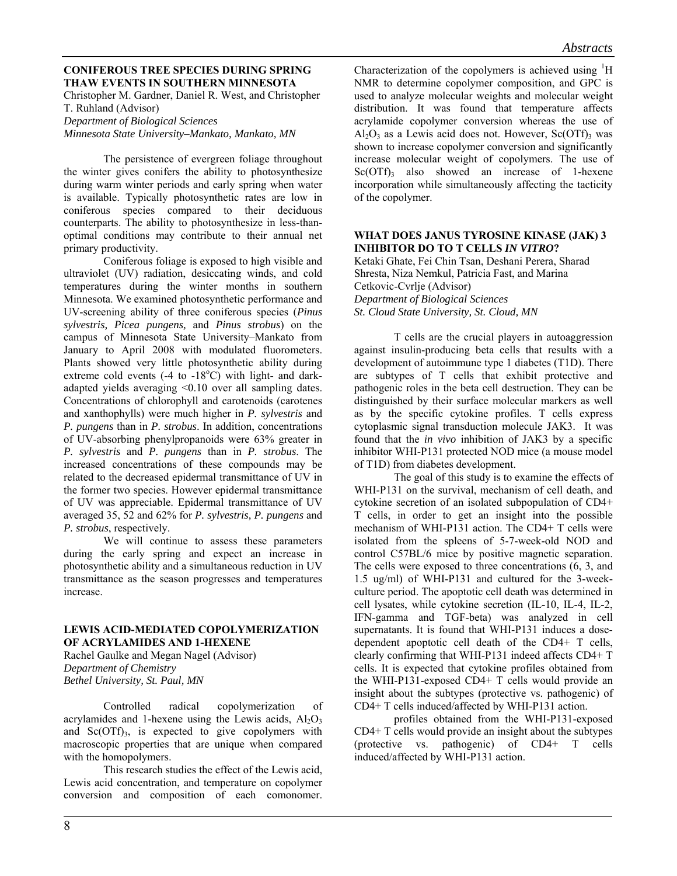## **CONIFEROUS TREE SPECIES DURING SPRING THAW EVENTS IN SOUTHERN MINNESOTA**

Christopher M. Gardner, Daniel R. West, and Christopher T. Ruhland (Advisor) *Department of Biological Sciences* 

*Minnesota State University–Mankato, Mankato, MN* 

The persistence of evergreen foliage throughout the winter gives conifers the ability to photosynthesize during warm winter periods and early spring when water is available. Typically photosynthetic rates are low in coniferous species compared to their deciduous counterparts. The ability to photosynthesize in less-thanoptimal conditions may contribute to their annual net primary productivity.

Coniferous foliage is exposed to high visible and ultraviolet (UV) radiation, desiccating winds, and cold temperatures during the winter months in southern Minnesota. We examined photosynthetic performance and UV-screening ability of three coniferous species (*Pinus sylvestris, Picea pungens,* and *Pinus strobus*) on the campus of Minnesota State University–Mankato from January to April 2008 with modulated fluorometers. Plants showed very little photosynthetic ability during extreme cold events  $(-4 \text{ to } -18^{\circ}\text{C})$  with light- and darkadapted yields averaging <0.10 over all sampling dates. Concentrations of chlorophyll and carotenoids (carotenes and xanthophylls) were much higher in *P. sylvestris* and *P. pungens* than in *P. strobus*. In addition, concentrations of UV-absorbing phenylpropanoids were 63% greater in *P. sylvestris* and *P. pungens* than in *P. strobus*. The increased concentrations of these compounds may be related to the decreased epidermal transmittance of UV in the former two species. However epidermal transmittance of UV was appreciable. Epidermal transmittance of UV averaged 35, 52 and 62% for *P. sylvestris, P. pungens* and *P. strobus*, respectively.

We will continue to assess these parameters during the early spring and expect an increase in photosynthetic ability and a simultaneous reduction in UV transmittance as the season progresses and temperatures increase.

#### **LEWIS ACID-MEDIATED COPOLYMERIZATION OF ACRYLAMIDES AND 1-HEXENE**

Rachel Gaulke and Megan Nagel (Advisor) *Department of Chemistry Bethel University, St. Paul, MN* 

 Controlled radical copolymerization of acrylamides and 1-hexene using the Lewis acids,  $A<sub>1</sub>O<sub>3</sub>$ and  $Sc(OTf)_{3}$ , is expected to give copolymers with macroscopic properties that are unique when compared with the homopolymers.

This research studies the effect of the Lewis acid, Lewis acid concentration, and temperature on copolymer conversion and composition of each comonomer.

Characterization of the copolymers is achieved using  ${}^{1}H$ NMR to determine copolymer composition, and GPC is used to analyze molecular weights and molecular weight distribution. It was found that temperature affects acrylamide copolymer conversion whereas the use of  $Al<sub>2</sub>O<sub>3</sub>$  as a Lewis acid does not. However, Sc(OTf)<sub>3</sub> was shown to increase copolymer conversion and significantly increase molecular weight of copolymers. The use of  $Sc(OTf)$ <sub>3</sub> also showed an increase of 1-hexene incorporation while simultaneously affecting the tacticity of the copolymer.

### **WHAT DOES JANUS TYROSINE KINASE (JAK) 3 INHIBITOR DO TO T CELLS** *IN VITRO***?**

Ketaki Ghate, Fei Chin Tsan, Deshani Perera, Sharad Shresta, Niza Nemkul, Patricia Fast, and Marina Cetkovic-Cvrlje (Advisor) *Department of Biological Sciences St. Cloud State University, St. Cloud, MN* 

T cells are the crucial players in autoaggression against insulin-producing beta cells that results with a development of autoimmune type 1 diabetes (T1D). There are subtypes of T cells that exhibit protective and pathogenic roles in the beta cell destruction. They can be distinguished by their surface molecular markers as well as by the specific cytokine profiles. T cells express cytoplasmic signal transduction molecule JAK3. It was found that the *in vivo* inhibition of JAK3 by a specific inhibitor WHI-P131 protected NOD mice (a mouse model of T1D) from diabetes development.

The goal of this study is to examine the effects of WHI-P131 on the survival, mechanism of cell death, and cytokine secretion of an isolated subpopulation of CD4+ T cells, in order to get an insight into the possible mechanism of WHI-P131 action. The CD4+ T cells were isolated from the spleens of 5-7-week-old NOD and control C57BL/6 mice by positive magnetic separation. The cells were exposed to three concentrations (6, 3, and 1.5 ug/ml) of WHI-P131 and cultured for the 3-weekculture period. The apoptotic cell death was determined in cell lysates, while cytokine secretion (IL-10, IL-4, IL-2, IFN-gamma and TGF-beta) was analyzed in cell supernatants. It is found that WHI-P131 induces a dosedependent apoptotic cell death of the CD4+ T cells, clearly confirming that WHI-P131 indeed affects CD4+ T cells. It is expected that cytokine profiles obtained from the WHI-P131-exposed CD4+ T cells would provide an insight about the subtypes (protective vs. pathogenic) of CD4+ T cells induced/affected by WHI-P131 action.

profiles obtained from the WHI-P131-exposed CD4+ T cells would provide an insight about the subtypes (protective vs. pathogenic) of CD4+ T cells induced/affected by WHI-P131 action.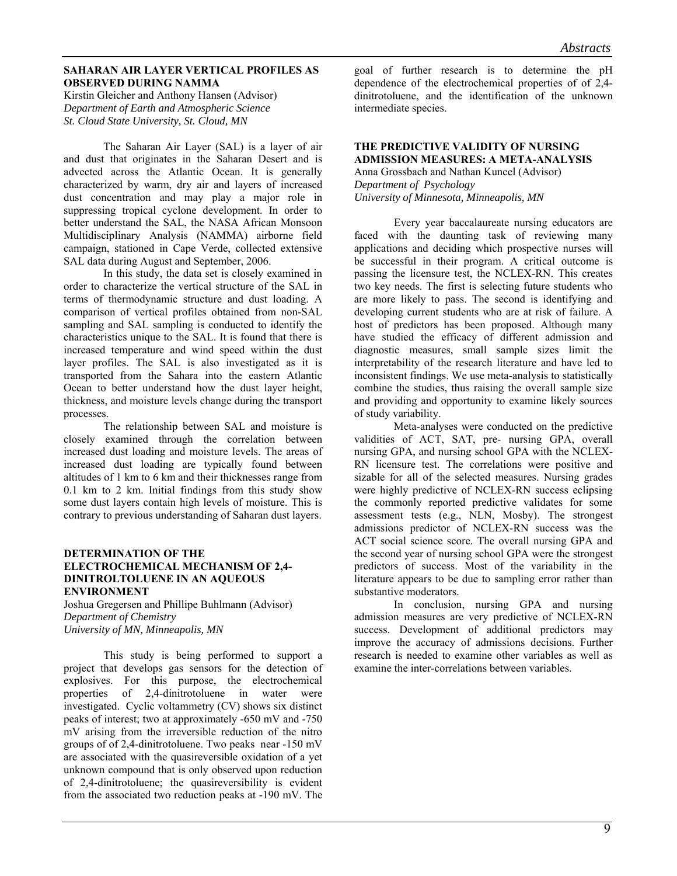## **SAHARAN AIR LAYER VERTICAL PROFILES AS OBSERVED DURING NAMMA**

Kirstin Gleicher and Anthony Hansen (Advisor) *Department of Earth and Atmospheric Science St. Cloud State University, St. Cloud, MN* 

The Saharan Air Layer (SAL) is a layer of air and dust that originates in the Saharan Desert and is advected across the Atlantic Ocean. It is generally characterized by warm, dry air and layers of increased dust concentration and may play a major role in suppressing tropical cyclone development. In order to better understand the SAL, the NASA African Monsoon Multidisciplinary Analysis (NAMMA) airborne field campaign, stationed in Cape Verde, collected extensive SAL data during August and September, 2006.

In this study, the data set is closely examined in order to characterize the vertical structure of the SAL in terms of thermodynamic structure and dust loading. A comparison of vertical profiles obtained from non-SAL sampling and SAL sampling is conducted to identify the characteristics unique to the SAL. It is found that there is increased temperature and wind speed within the dust layer profiles. The SAL is also investigated as it is transported from the Sahara into the eastern Atlantic Ocean to better understand how the dust layer height, thickness, and moisture levels change during the transport processes.

The relationship between SAL and moisture is closely examined through the correlation between increased dust loading and moisture levels. The areas of increased dust loading are typically found between altitudes of 1 km to 6 km and their thicknesses range from 0.1 km to 2 km. Initial findings from this study show some dust layers contain high levels of moisture. This is contrary to previous understanding of Saharan dust layers.

#### **DETERMINATION OF THE ELECTROCHEMICAL MECHANISM OF 2,4- DINITROLTOLUENE IN AN AQUEOUS ENVIRONMENT**

Joshua Gregersen and Phillipe Buhlmann (Advisor) *Department of Chemistry University of MN, Minneapolis, MN* 

 This study is being performed to support a project that develops gas sensors for the detection of explosives. For this purpose, the electrochemical properties of 2,4-dinitrotoluene in water were investigated. Cyclic voltammetry (CV) shows six distinct peaks of interest; two at approximately -650 mV and -750 mV arising from the irreversible reduction of the nitro groups of of 2,4-dinitrotoluene. Two peaks near -150 mV are associated with the quasireversible oxidation of a yet unknown compound that is only observed upon reduction of 2,4-dinitrotoluene; the quasireversibility is evident from the associated two reduction peaks at -190 mV. The goal of further research is to determine the pH dependence of the electrochemical properties of of 2,4 dinitrotoluene, and the identification of the unknown intermediate species.

#### **THE PREDICTIVE VALIDITY OF NURSING ADMISSION MEASURES: A META-ANALYSIS**

Anna Grossbach and Nathan Kuncel (Advisor) *Department of Psychology University of Minnesota, Minneapolis, MN* 

 Every year baccalaureate nursing educators are faced with the daunting task of reviewing many applications and deciding which prospective nurses will be successful in their program. A critical outcome is passing the licensure test, the NCLEX-RN. This creates two key needs. The first is selecting future students who are more likely to pass. The second is identifying and developing current students who are at risk of failure. A host of predictors has been proposed. Although many have studied the efficacy of different admission and diagnostic measures, small sample sizes limit the interpretability of the research literature and have led to inconsistent findings. We use meta-analysis to statistically combine the studies, thus raising the overall sample size and providing and opportunity to examine likely sources of study variability.

 Meta-analyses were conducted on the predictive validities of ACT, SAT, pre- nursing GPA, overall nursing GPA, and nursing school GPA with the NCLEX-RN licensure test. The correlations were positive and sizable for all of the selected measures. Nursing grades were highly predictive of NCLEX-RN success eclipsing the commonly reported predictive validates for some assessment tests (e.g., NLN, Mosby). The strongest admissions predictor of NCLEX-RN success was the ACT social science score. The overall nursing GPA and the second year of nursing school GPA were the strongest predictors of success. Most of the variability in the literature appears to be due to sampling error rather than substantive moderators.

In conclusion, nursing GPA and nursing admission measures are very predictive of NCLEX-RN success. Development of additional predictors may improve the accuracy of admissions decisions. Further research is needed to examine other variables as well as examine the inter-correlations between variables.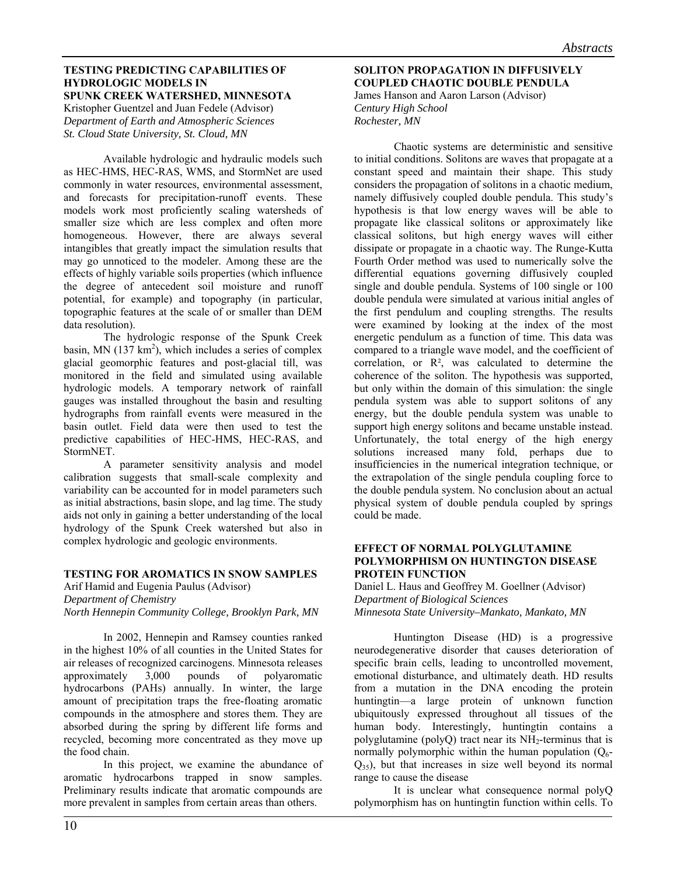#### **TESTING PREDICTING CAPABILITIES OF HYDROLOGIC MODELS IN SPUNK CREEK WATERSHED, MINNESOTA**

Kristopher Guentzel and Juan Fedele (Advisor) *Department of Earth and Atmospheric Sciences St. Cloud State University, St. Cloud, MN* 

 Available hydrologic and hydraulic models such as HEC-HMS, HEC-RAS, WMS, and StormNet are used commonly in water resources, environmental assessment, and forecasts for precipitation-runoff events. These models work most proficiently scaling watersheds of smaller size which are less complex and often more homogeneous. However, there are always several intangibles that greatly impact the simulation results that may go unnoticed to the modeler. Among these are the effects of highly variable soils properties (which influence the degree of antecedent soil moisture and runoff potential, for example) and topography (in particular, topographic features at the scale of or smaller than DEM data resolution).

The hydrologic response of the Spunk Creek basin, MN  $(137 \text{ km}^2)$ , which includes a series of complex glacial geomorphic features and post-glacial till, was monitored in the field and simulated using available hydrologic models. A temporary network of rainfall gauges was installed throughout the basin and resulting hydrographs from rainfall events were measured in the basin outlet. Field data were then used to test the predictive capabilities of HEC-HMS, HEC-RAS, and StormNET.

A parameter sensitivity analysis and model calibration suggests that small-scale complexity and variability can be accounted for in model parameters such as initial abstractions, basin slope, and lag time. The study aids not only in gaining a better understanding of the local hydrology of the Spunk Creek watershed but also in complex hydrologic and geologic environments.

## **TESTING FOR AROMATICS IN SNOW SAMPLES**

Arif Hamid and Eugenia Paulus (Advisor)

*Department of Chemistry* 

*North Hennepin Community College, Brooklyn Park, MN* 

 In 2002, Hennepin and Ramsey counties ranked in the highest 10% of all counties in the United States for air releases of recognized carcinogens. Minnesota releases approximately 3,000 pounds of polyaromatic hydrocarbons (PAHs) annually. In winter, the large amount of precipitation traps the free-floating aromatic compounds in the atmosphere and stores them. They are absorbed during the spring by different life forms and recycled, becoming more concentrated as they move up the food chain.

 In this project, we examine the abundance of aromatic hydrocarbons trapped in snow samples. Preliminary results indicate that aromatic compounds are more prevalent in samples from certain areas than others.

#### **SOLITON PROPAGATION IN DIFFUSIVELY COUPLED CHAOTIC DOUBLE PENDULA**  James Hanson and Aaron Larson (Advisor) *Century High School Rochester, MN*

 Chaotic systems are deterministic and sensitive to initial conditions. Solitons are waves that propagate at a constant speed and maintain their shape. This study considers the propagation of solitons in a chaotic medium, namely diffusively coupled double pendula. This study's hypothesis is that low energy waves will be able to propagate like classical solitons or approximately like classical solitons, but high energy waves will either dissipate or propagate in a chaotic way. The Runge-Kutta Fourth Order method was used to numerically solve the differential equations governing diffusively coupled single and double pendula. Systems of 100 single or 100 double pendula were simulated at various initial angles of the first pendulum and coupling strengths. The results were examined by looking at the index of the most energetic pendulum as a function of time. This data was compared to a triangle wave model, and the coefficient of correlation, or R², was calculated to determine the coherence of the soliton. The hypothesis was supported, but only within the domain of this simulation: the single pendula system was able to support solitons of any energy, but the double pendula system was unable to support high energy solitons and became unstable instead. Unfortunately, the total energy of the high energy solutions increased many fold, perhaps due to insufficiencies in the numerical integration technique, or the extrapolation of the single pendula coupling force to the double pendula system. No conclusion about an actual physical system of double pendula coupled by springs could be made.

## **EFFECT OF NORMAL POLYGLUTAMINE POLYMORPHISM ON HUNTINGTON DISEASE PROTEIN FUNCTION**

Daniel L. Haus and Geoffrey M. Goellner (Advisor) *Department of Biological Sciences Minnesota State University–Mankato, Mankato, MN* 

Huntington Disease (HD) is a progressive neurodegenerative disorder that causes deterioration of specific brain cells, leading to uncontrolled movement, emotional disturbance, and ultimately death. HD results from a mutation in the DNA encoding the protein huntingtin—a large protein of unknown function ubiquitously expressed throughout all tissues of the human body. Interestingly, huntingtin contains a polyglutamine (polyQ) tract near its  $NH_2$ -terminus that is normally polymorphic within the human population  $(Q_6$ - $Q_{35}$ , but that increases in size well beyond its normal range to cause the disease

It is unclear what consequence normal polyQ polymorphism has on huntingtin function within cells. To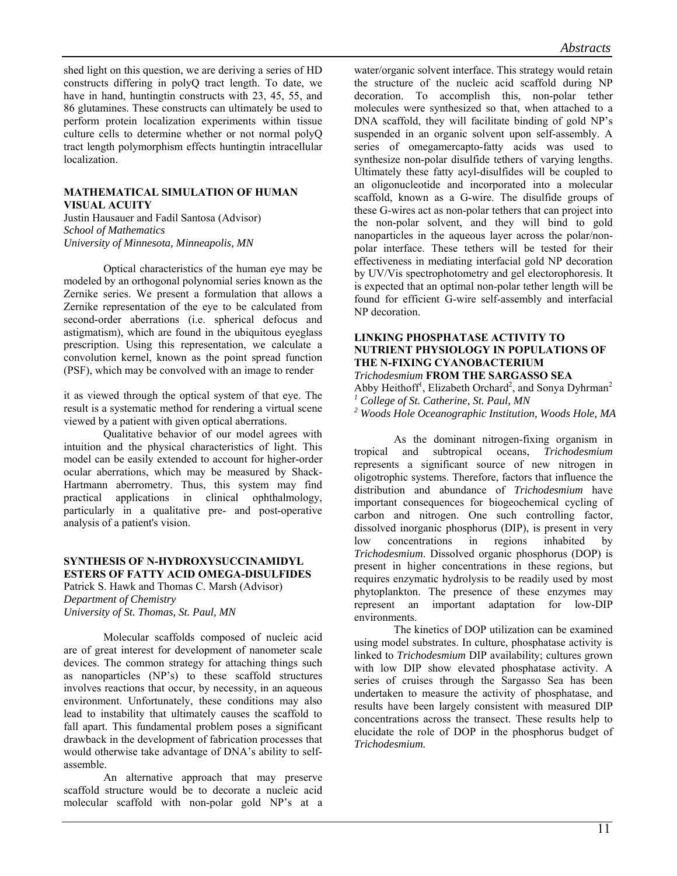shed light on this question, we are deriving a series of HD constructs differing in polyQ tract length. To date, we have in hand, huntingtin constructs with 23, 45, 55, and 86 glutamines. These constructs can ultimately be used to perform protein localization experiments within tissue culture cells to determine whether or not normal polyQ tract length polymorphism effects huntingtin intracellular localization.

#### **MATHEMATICAL SIMULATION OF HUMAN VISUAL ACUITY**

Justin Hausauer and Fadil Santosa (Advisor) *School of Mathematics University of Minnesota, Minneapolis, MN* 

 Optical characteristics of the human eye may be modeled by an orthogonal polynomial series known as the Zernike series. We present a formulation that allows a Zernike representation of the eye to be calculated from second-order aberrations (i.e. spherical defocus and astigmatism), which are found in the ubiquitous eyeglass prescription. Using this representation, we calculate a convolution kernel, known as the point spread function (PSF), which may be convolved with an image to render

it as viewed through the optical system of that eye. The result is a systematic method for rendering a virtual scene viewed by a patient with given optical aberrations.

 Qualitative behavior of our model agrees with intuition and the physical characteristics of light. This model can be easily extended to account for higher-order ocular aberrations, which may be measured by Shack-Hartmann aberrometry. Thus, this system may find practical applications in clinical ophthalmology, particularly in a qualitative pre- and post-operative analysis of a patient's vision.

#### **SYNTHESIS OF N-HYDROXYSUCCINAMIDYL ESTERS OF FATTY ACID OMEGA-DISULFIDES**

Patrick S. Hawk and Thomas C. Marsh (Advisor) *Department of Chemistry University of St. Thomas, St. Paul, MN* 

Molecular scaffolds composed of nucleic acid are of great interest for development of nanometer scale devices. The common strategy for attaching things such as nanoparticles (NP's) to these scaffold structures involves reactions that occur, by necessity, in an aqueous environment. Unfortunately, these conditions may also lead to instability that ultimately causes the scaffold to fall apart. This fundamental problem poses a significant drawback in the development of fabrication processes that would otherwise take advantage of DNA's ability to selfassemble.

An alternative approach that may preserve scaffold structure would be to decorate a nucleic acid molecular scaffold with non-polar gold NP's at a

water/organic solvent interface. This strategy would retain the structure of the nucleic acid scaffold during NP decoration. To accomplish this, non-polar tether molecules were synthesized so that, when attached to a DNA scaffold, they will facilitate binding of gold NP's suspended in an organic solvent upon self-assembly. A series of omegamercapto-fatty acids was used to synthesize non-polar disulfide tethers of varying lengths. Ultimately these fatty acyl-disulfides will be coupled to an oligonucleotide and incorporated into a molecular scaffold, known as a G-wire. The disulfide groups of these G-wires act as non-polar tethers that can project into the non-polar solvent, and they will bind to gold nanoparticles in the aqueous layer across the polar/nonpolar interface. These tethers will be tested for their effectiveness in mediating interfacial gold NP decoration by UV/Vis spectrophotometry and gel electorophoresis. It is expected that an optimal non-polar tether length will be found for efficient G-wire self-assembly and interfacial NP decoration.

#### **LINKING PHOSPHATASE ACTIVITY TO NUTRIENT PHYSIOLOGY IN POPULATIONS OF THE N-FIXING CYANOBACTERIUM**  *Trichodesmium* **FROM THE SARGASSO SEA**

Abby Heithoff<sup>1</sup>, Elizabeth Orchard<sup>2</sup>, and Sonya Dyhrman<sup>2</sup>

*1 College of St. Catherine, St. Paul, MN 2 Woods Hole Oceanographic Institution, Woods Hole, MA* 

 As the dominant nitrogen-fixing organism in tropical and subtropical oceans, *Trichodesmium* represents a significant source of new nitrogen in oligotrophic systems. Therefore, factors that influence the distribution and abundance of *Trichodesmium* have important consequences for biogeochemical cycling of carbon and nitrogen. One such controlling factor, dissolved inorganic phosphorus (DIP), is present in very low concentrations in regions inhabited by *Trichodesmium*. Dissolved organic phosphorus (DOP) is present in higher concentrations in these regions, but requires enzymatic hydrolysis to be readily used by most phytoplankton. The presence of these enzymes may represent an important adaptation for low-DIP environments.

The kinetics of DOP utilization can be examined using model substrates. In culture, phosphatase activity is linked to *Trichodesmium* DIP availability; cultures grown with low DIP show elevated phosphatase activity. A series of cruises through the Sargasso Sea has been undertaken to measure the activity of phosphatase, and results have been largely consistent with measured DIP concentrations across the transect. These results help to elucidate the role of DOP in the phosphorus budget of *Trichodesmium.*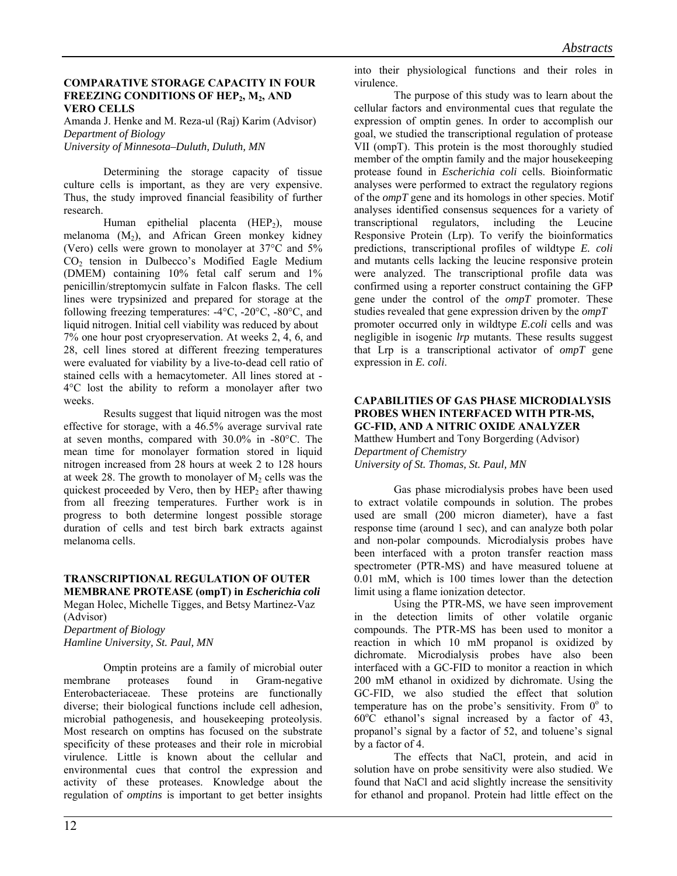#### **COMPARATIVE STORAGE CAPACITY IN FOUR FREEZING CONDITIONS OF HEP<sub>2</sub>, M<sub>2</sub>, AND VERO CELLS**

Amanda J. Henke and M. Reza-ul (Raj) Karim (Advisor) *Department of Biology University of Minnesota–Duluth, Duluth, MN* 

 Determining the storage capacity of tissue culture cells is important, as they are very expensive. Thus, the study improved financial feasibility of further research.

Human epithelial placenta  $(HEP<sub>2</sub>)$ , mouse melanoma  $(M_2)$ , and African Green monkey kidney (Vero) cells were grown to monolayer at 37°C and 5% CO2 tension in Dulbecco's Modified Eagle Medium (DMEM) containing 10% fetal calf serum and 1% penicillin/streptomycin sulfate in Falcon flasks. The cell lines were trypsinized and prepared for storage at the following freezing temperatures:  $-4^{\circ}$ C,  $-20^{\circ}$ C,  $-80^{\circ}$ C, and liquid nitrogen. Initial cell viability was reduced by about 7% one hour post cryopreservation. At weeks 2, 4, 6, and 28, cell lines stored at different freezing temperatures were evaluated for viability by a live-to-dead cell ratio of stained cells with a hemacytometer. All lines stored at - 4°C lost the ability to reform a monolayer after two weeks.

Results suggest that liquid nitrogen was the most effective for storage, with a 46.5% average survival rate at seven months, compared with 30.0% in -80°C. The mean time for monolayer formation stored in liquid nitrogen increased from 28 hours at week 2 to 128 hours at week 28. The growth to monolayer of  $M_2$  cells was the quickest proceeded by Vero, then by  $HEP_2$  after thawing from all freezing temperatures. Further work is in progress to both determine longest possible storage duration of cells and test birch bark extracts against melanoma cells.

#### **TRANSCRIPTIONAL REGULATION OF OUTER MEMBRANE PROTEASE (ompT) in** *Escherichia coli*

Megan Holec, Michelle Tigges, and Betsy Martinez-Vaz (Advisor)

*Department of Biology Hamline University, St. Paul, MN* 

Omptin proteins are a family of microbial outer membrane proteases found in Gram-negative Enterobacteriaceae. These proteins are functionally diverse; their biological functions include cell adhesion, microbial pathogenesis, and housekeeping proteolysis. Most research on omptins has focused on the substrate specificity of these proteases and their role in microbial virulence. Little is known about the cellular and environmental cues that control the expression and activity of these proteases. Knowledge about the regulation of *omptins* is important to get better insights

into their physiological functions and their roles in virulence.

The purpose of this study was to learn about the cellular factors and environmental cues that regulate the expression of omptin genes. In order to accomplish our goal, we studied the transcriptional regulation of protease VII (ompT). This protein is the most thoroughly studied member of the omptin family and the major housekeeping protease found in *Escherichia coli* cells. Bioinformatic analyses were performed to extract the regulatory regions of the *ompT* gene and its homologs in other species. Motif analyses identified consensus sequences for a variety of transcriptional regulators, including the Leucine Responsive Protein (Lrp). To verify the bioinformatics predictions, transcriptional profiles of wildtype *E. coli*  and mutants cells lacking the leucine responsive protein were analyzed. The transcriptional profile data was confirmed using a reporter construct containing the GFP gene under the control of the *ompT* promoter. These studies revealed that gene expression driven by the *ompT* promoter occurred only in wildtype *E.coli* cells and was negligible in isogenic *lrp* mutants. These results suggest that Lrp is a transcriptional activator of *ompT* gene expression in *E. coli*.

#### **CAPABILITIES OF GAS PHASE MICRODIALYSIS PROBES WHEN INTERFACED WITH PTR-MS, GC-FID, AND A NITRIC OXIDE ANALYZER**  Matthew Humbert and Tony Borgerding (Advisor) *Department of Chemistry*

*University of St. Thomas, St. Paul, MN* 

Gas phase microdialysis probes have been used to extract volatile compounds in solution. The probes used are small (200 micron diameter), have a fast response time (around 1 sec), and can analyze both polar and non-polar compounds. Microdialysis probes have been interfaced with a proton transfer reaction mass spectrometer (PTR-MS) and have measured toluene at 0.01 mM, which is 100 times lower than the detection limit using a flame ionization detector.

Using the PTR-MS, we have seen improvement in the detection limits of other volatile organic compounds. The PTR-MS has been used to monitor a reaction in which 10 mM propanol is oxidized by dichromate. Microdialysis probes have also been interfaced with a GC-FID to monitor a reaction in which 200 mM ethanol in oxidized by dichromate. Using the GC-FID, we also studied the effect that solution temperature has on the probe's sensitivity. From  $0^{\circ}$  to  $60^{\circ}$ C ethanol's signal increased by a factor of 43, propanol's signal by a factor of 52, and toluene's signal by a factor of 4.

The effects that NaCl, protein, and acid in solution have on probe sensitivity were also studied. We found that NaCl and acid slightly increase the sensitivity for ethanol and propanol. Protein had little effect on the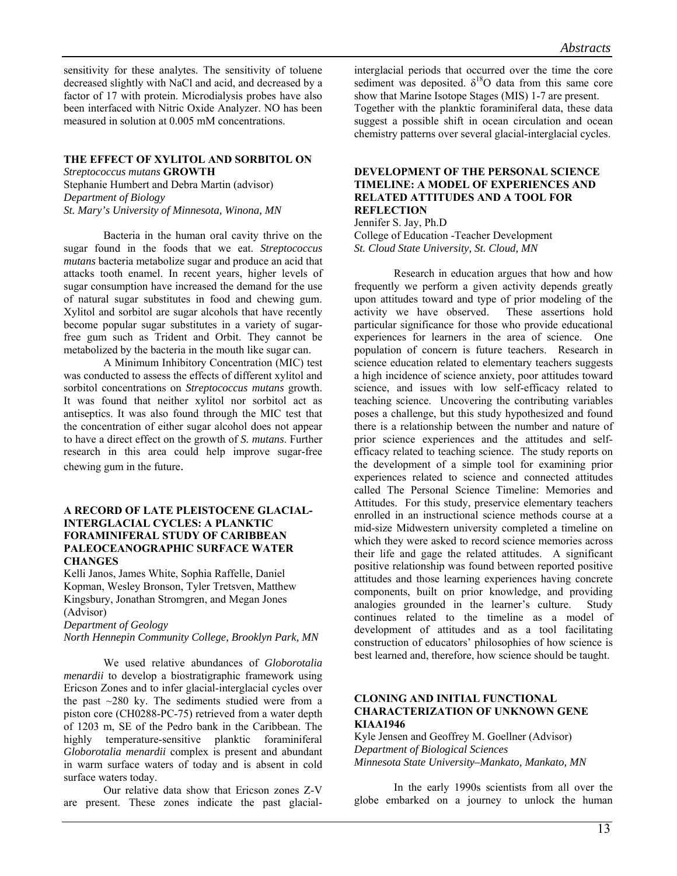sensitivity for these analytes. The sensitivity of toluene decreased slightly with NaCl and acid, and decreased by a factor of 17 with protein. Microdialysis probes have also been interfaced with Nitric Oxide Analyzer. NO has been measured in solution at 0.005 mM concentrations.

#### **THE EFFECT OF XYLITOL AND SORBITOL ON**  *Streptococcus mutans* **GROWTH**

Stephanie Humbert and Debra Martin (advisor) *Department of Biology St. Mary's University of Minnesota, Winona, MN* 

 Bacteria in the human oral cavity thrive on the sugar found in the foods that we eat. *Streptococcus mutans* bacteria metabolize sugar and produce an acid that attacks tooth enamel. In recent years, higher levels of sugar consumption have increased the demand for the use of natural sugar substitutes in food and chewing gum. Xylitol and sorbitol are sugar alcohols that have recently become popular sugar substitutes in a variety of sugarfree gum such as Trident and Orbit. They cannot be metabolized by the bacteria in the mouth like sugar can.

A Minimum Inhibitory Concentration (MIC) test was conducted to assess the effects of different xylitol and sorbitol concentrations on *Streptococcus mutans* growth. It was found that neither xylitol nor sorbitol act as antiseptics. It was also found through the MIC test that the concentration of either sugar alcohol does not appear to have a direct effect on the growth of *S. mutans*. Further research in this area could help improve sugar-free chewing gum in the future.

#### **A RECORD OF LATE PLEISTOCENE GLACIAL-INTERGLACIAL CYCLES: A PLANKTIC FORAMINIFERAL STUDY OF CARIBBEAN PALEOCEANOGRAPHIC SURFACE WATER CHANGES**

Kelli Janos, James White, Sophia Raffelle, Daniel Kopman, Wesley Bronson, Tyler Tretsven, Matthew Kingsbury, Jonathan Stromgren, and Megan Jones (Advisor)

*Department of Geology* 

*North Hennepin Community College, Brooklyn Park, MN*

 We used relative abundances of *Globorotalia menardii* to develop a biostratigraphic framework using Ericson Zones and to infer glacial-interglacial cycles over the past  $\sim$ 280 ky. The sediments studied were from a piston core (CH0288-PC-75) retrieved from a water depth of 1203 m, SE of the Pedro bank in the Caribbean. The highly temperature-sensitive planktic foraminiferal *Globorotalia menardii* complex is present and abundant in warm surface waters of today and is absent in cold surface waters today.

Our relative data show that Ericson zones Z-V are present. These zones indicate the past glacialinterglacial periods that occurred over the time the core sediment was deposited.  $\delta^{18}$ O data from this same core show that Marine Isotope Stages (MIS) 1-7 are present. Together with the planktic foraminiferal data, these data suggest a possible shift in ocean circulation and ocean chemistry patterns over several glacial-interglacial cycles.

## **DEVELOPMENT OF THE PERSONAL SCIENCE TIMELINE: A MODEL OF EXPERIENCES AND RELATED ATTITUDES AND A TOOL FOR REFLECTION**

Jennifer S. Jay, Ph.D College of Education -Teacher Development *St. Cloud State University, St. Cloud, MN* 

 Research in education argues that how and how frequently we perform a given activity depends greatly upon attitudes toward and type of prior modeling of the activity we have observed. These assertions hold particular significance for those who provide educational experiences for learners in the area of science. One population of concern is future teachers. Research in science education related to elementary teachers suggests a high incidence of science anxiety, poor attitudes toward science, and issues with low self-efficacy related to teaching science. Uncovering the contributing variables poses a challenge, but this study hypothesized and found there is a relationship between the number and nature of prior science experiences and the attitudes and selfefficacy related to teaching science. The study reports on the development of a simple tool for examining prior experiences related to science and connected attitudes called The Personal Science Timeline: Memories and Attitudes. For this study, preservice elementary teachers enrolled in an instructional science methods course at a mid-size Midwestern university completed a timeline on which they were asked to record science memories across their life and gage the related attitudes. A significant positive relationship was found between reported positive attitudes and those learning experiences having concrete components, built on prior knowledge, and providing analogies grounded in the learner's culture. Study continues related to the timeline as a model of development of attitudes and as a tool facilitating construction of educators' philosophies of how science is best learned and, therefore, how science should be taught.

#### **CLONING AND INITIAL FUNCTIONAL CHARACTERIZATION OF UNKNOWN GENE KIAA1946**

Kyle Jensen and Geoffrey M. Goellner (Advisor) *Department of Biological Sciences Minnesota State University–Mankato, Mankato, MN* 

In the early 1990s scientists from all over the globe embarked on a journey to unlock the human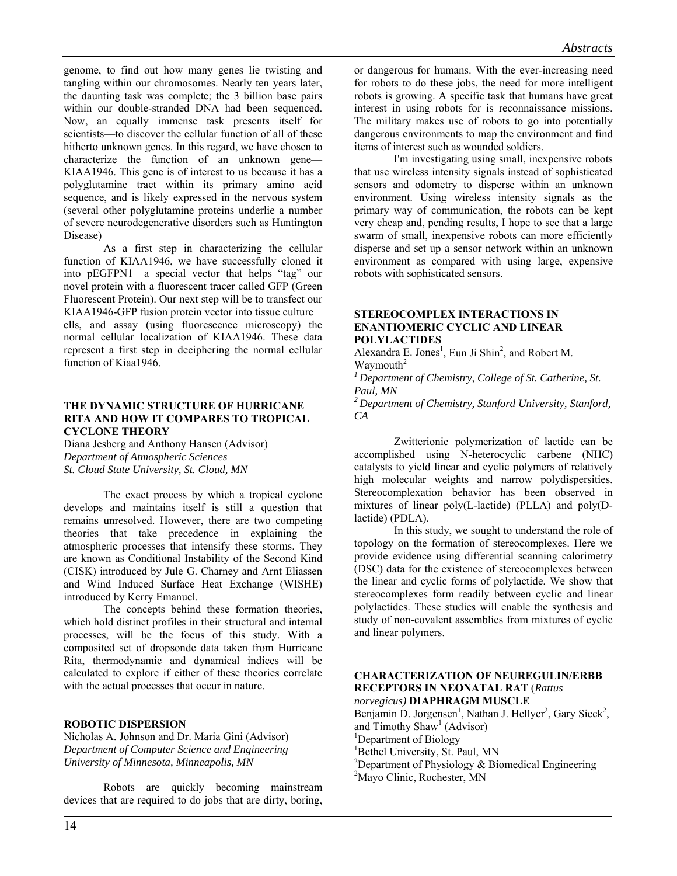genome, to find out how many genes lie twisting and tangling within our chromosomes. Nearly ten years later, the daunting task was complete; the 3 billion base pairs within our double-stranded DNA had been sequenced. Now, an equally immense task presents itself for scientists—to discover the cellular function of all of these hitherto unknown genes. In this regard, we have chosen to characterize the function of an unknown gene— KIAA1946. This gene is of interest to us because it has a polyglutamine tract within its primary amino acid sequence, and is likely expressed in the nervous system (several other polyglutamine proteins underlie a number of severe neurodegenerative disorders such as Huntington Disease)

As a first step in characterizing the cellular function of KIAA1946, we have successfully cloned it into pEGFPN1—a special vector that helps "tag" our novel protein with a fluorescent tracer called GFP (Green Fluorescent Protein). Our next step will be to transfect our KIAA1946-GFP fusion protein vector into tissue culture ells, and assay (using fluorescence microscopy) the normal cellular localization of KIAA1946. These data represent a first step in deciphering the normal cellular function of Kiaa1946.

#### **THE DYNAMIC STRUCTURE OF HURRICANE RITA AND HOW IT COMPARES TO TROPICAL CYCLONE THEORY**

Diana Jesberg and Anthony Hansen (Advisor) *Department of Atmospheric Sciences St. Cloud State University, St. Cloud, MN* 

 The exact process by which a tropical cyclone develops and maintains itself is still a question that remains unresolved. However, there are two competing theories that take precedence in explaining the atmospheric processes that intensify these storms. They are known as Conditional Instability of the Second Kind (CISK) introduced by Jule G. Charney and Arnt Eliassen and Wind Induced Surface Heat Exchange (WISHE) introduced by Kerry Emanuel.

The concepts behind these formation theories, which hold distinct profiles in their structural and internal processes, will be the focus of this study. With a composited set of dropsonde data taken from Hurricane Rita, thermodynamic and dynamical indices will be calculated to explore if either of these theories correlate with the actual processes that occur in nature.

## **ROBOTIC DISPERSION**

Nicholas A. Johnson and Dr. Maria Gini (Advisor) *Department of Computer Science and Engineering University of Minnesota, Minneapolis, MN* 

 Robots are quickly becoming mainstream devices that are required to do jobs that are dirty, boring, or dangerous for humans. With the ever-increasing need for robots to do these jobs, the need for more intelligent robots is growing. A specific task that humans have great interest in using robots for is reconnaissance missions. The military makes use of robots to go into potentially dangerous environments to map the environment and find items of interest such as wounded soldiers.

I'm investigating using small, inexpensive robots that use wireless intensity signals instead of sophisticated sensors and odometry to disperse within an unknown environment. Using wireless intensity signals as the primary way of communication, the robots can be kept very cheap and, pending results, I hope to see that a large swarm of small, inexpensive robots can more efficiently disperse and set up a sensor network within an unknown environment as compared with using large, expensive robots with sophisticated sensors.

#### **STEREOCOMPLEX INTERACTIONS IN ENANTIOMERIC CYCLIC AND LINEAR POLYLACTIDES**

Alexandra E. Jones<sup>1</sup>, Eun Ji Shin<sup>2</sup>, and Robert M. Waymouth $^2$ 

*1 Department of Chemistry, College of St. Catherine, St. Paul, MN* 

*2 Department of Chemistry, Stanford University, Stanford, CA* 

 Zwitterionic polymerization of lactide can be accomplished using N-heterocyclic carbene (NHC) catalysts to yield linear and cyclic polymers of relatively high molecular weights and narrow polydispersities. Stereocomplexation behavior has been observed in mixtures of linear poly(L-lactide) (PLLA) and poly(Dlactide) (PDLA).

In this study, we sought to understand the role of topology on the formation of stereocomplexes. Here we provide evidence using differential scanning calorimetry (DSC) data for the existence of stereocomplexes between the linear and cyclic forms of polylactide. We show that stereocomplexes form readily between cyclic and linear polylactides. These studies will enable the synthesis and study of non-covalent assemblies from mixtures of cyclic and linear polymers.

#### **CHARACTERIZATION OF NEUREGULIN/ERBB RECEPTORS IN NEONATAL RAT** (*Rattus norvegicus)* **DIAPHRAGM MUSCLE**

Benjamin D. Jorgensen<sup>1</sup>, Nathan J. Hellyer<sup>2</sup>, Gary Sieck<sup>2</sup>, and Timothy  $Shaw^1$  (Advisor)

<sup>1</sup>Department of Biology

<sup>1</sup>Bethel University, St. Paul, MN

<sup>2</sup>Department of Physiology  $\&$  Biomedical Engineering

<sup>2</sup>Mayo Clinic, Rochester, MN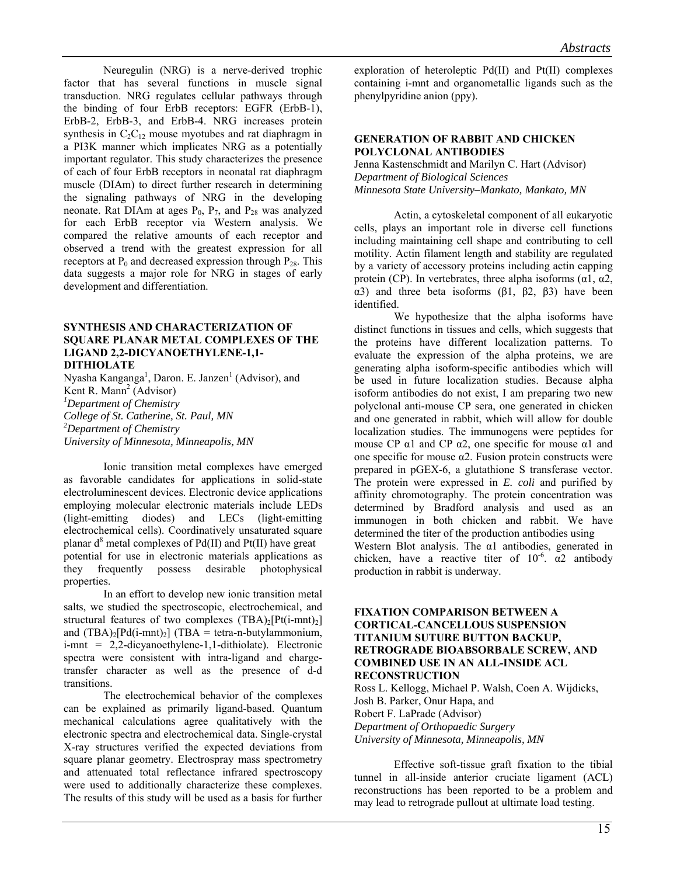Neuregulin (NRG) is a nerve-derived trophic factor that has several functions in muscle signal transduction. NRG regulates cellular pathways through the binding of four ErbB receptors: EGFR (ErbB-1), ErbB-2, ErbB-3, and ErbB-4. NRG increases protein synthesis in  $C_2C_{12}$  mouse myotubes and rat diaphragm in a PI3K manner which implicates NRG as a potentially important regulator. This study characterizes the presence of each of four ErbB receptors in neonatal rat diaphragm muscle (DIAm) to direct further research in determining the signaling pathways of NRG in the developing neonate. Rat DIAm at ages  $P_0$ ,  $P_7$ , and  $P_{28}$  was analyzed for each ErbB receptor via Western analysis. We compared the relative amounts of each receptor and observed a trend with the greatest expression for all receptors at  $P_0$  and decreased expression through  $P_{28}$ . This data suggests a major role for NRG in stages of early development and differentiation.

#### **SYNTHESIS AND CHARACTERIZATION OF SQUARE PLANAR METAL COMPLEXES OF THE LIGAND 2,2-DICYANOETHYLENE-1,1- DITHIOLATE**

Nyasha Kanganga<sup>1</sup>, Daron. E. Janzen<sup>1</sup> (Advisor), and Kent R. Mann<sup>2</sup> (Advisor) *Department of Chemistry College of St. Catherine, St. Paul, MN 2 Department of Chemistry University of Minnesota, Minneapolis, MN* 

 Ionic transition metal complexes have emerged as favorable candidates for applications in solid-state electroluminescent devices. Electronic device applications employing molecular electronic materials include LEDs (light-emitting diodes) and LECs (light-emitting electrochemical cells). Coordinatively unsaturated square planar  $d^8$  metal complexes of Pd(II) and Pt(II) have great potential for use in electronic materials applications as they frequently possess desirable photophysical properties.

In an effort to develop new ionic transition metal salts, we studied the spectroscopic, electrochemical, and structural features of two complexes  $(TBA)_2[Pt(i-mnt)_2]$ and  $(TBA)_2[Pd(i-mnt)_2]$  (TBA = tetra-n-butylammonium, i-mnt = 2,2-dicyanoethylene-1,1-dithiolate). Electronic spectra were consistent with intra-ligand and chargetransfer character as well as the presence of d-d transitions.

The electrochemical behavior of the complexes can be explained as primarily ligand-based. Quantum mechanical calculations agree qualitatively with the electronic spectra and electrochemical data. Single-crystal X-ray structures verified the expected deviations from square planar geometry. Electrospray mass spectrometry and attenuated total reflectance infrared spectroscopy were used to additionally characterize these complexes. The results of this study will be used as a basis for further

exploration of heteroleptic Pd(II) and Pt(II) complexes containing i-mnt and organometallic ligands such as the phenylpyridine anion (ppy).

#### **GENERATION OF RABBIT AND CHICKEN POLYCLONAL ANTIBODIES**

Jenna Kastenschmidt and Marilyn C. Hart (Advisor) *Department of Biological Sciences Minnesota State University–Mankato, Mankato, MN* 

 Actin, a cytoskeletal component of all eukaryotic cells, plays an important role in diverse cell functions including maintaining cell shape and contributing to cell motility. Actin filament length and stability are regulated by a variety of accessory proteins including actin capping protein (CP). In vertebrates, three alpha isoforms (α1,  $α2$ , α3) and three beta isoforms  $(β1, β2, β3)$  have been identified.

We hypothesize that the alpha isoforms have distinct functions in tissues and cells, which suggests that the proteins have different localization patterns. To evaluate the expression of the alpha proteins, we are generating alpha isoform-specific antibodies which will be used in future localization studies. Because alpha isoform antibodies do not exist, I am preparing two new polyclonal anti-mouse CP sera, one generated in chicken and one generated in rabbit, which will allow for double localization studies. The immunogens were peptides for mouse CP  $\alpha$ 1 and CP  $\alpha$ 2, one specific for mouse  $\alpha$ 1 and one specific for mouse α2. Fusion protein constructs were prepared in pGEX-6, a glutathione S transferase vector. The protein were expressed in *E. coli* and purified by affinity chromotography. The protein concentration was determined by Bradford analysis and used as an immunogen in both chicken and rabbit. We have determined the titer of the production antibodies using Western Blot analysis. The  $\alpha$ 1 antibodies, generated in chicken, have a reactive titer of  $10^{-6}$ .  $\alpha$ 2 antibody production in rabbit is underway.

#### **FIXATION COMPARISON BETWEEN A CORTICAL-CANCELLOUS SUSPENSION TITANIUM SUTURE BUTTON BACKUP, RETROGRADE BIOABSORBALE SCREW, AND COMBINED USE IN AN ALL-INSIDE ACL RECONSTRUCTION**

Ross L. Kellogg, Michael P. Walsh, Coen A. Wijdicks, Josh B. Parker, Onur Hapa, and Robert F. LaPrade (Advisor) *Department of Orthopaedic Surgery University of Minnesota, Minneapolis, MN* 

 Effective soft-tissue graft fixation to the tibial tunnel in all-inside anterior cruciate ligament (ACL) reconstructions has been reported to be a problem and may lead to retrograde pullout at ultimate load testing.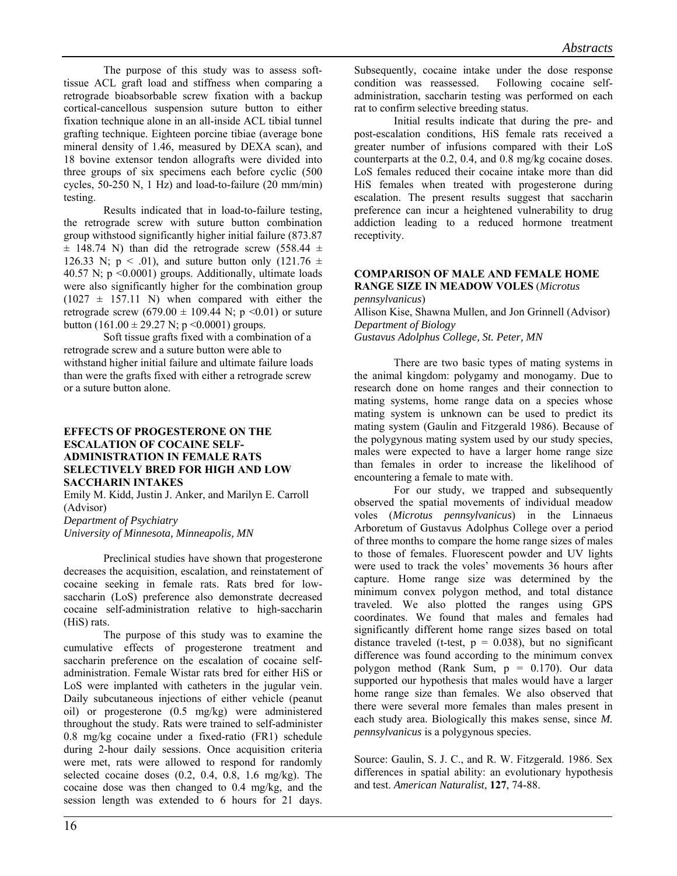The purpose of this study was to assess softtissue ACL graft load and stiffness when comparing a retrograde bioabsorbable screw fixation with a backup cortical-cancellous suspension suture button to either fixation technique alone in an all-inside ACL tibial tunnel grafting technique. Eighteen porcine tibiae (average bone mineral density of 1.46, measured by DEXA scan), and 18 bovine extensor tendon allografts were divided into three groups of six specimens each before cyclic (500 cycles, 50-250 N, 1 Hz) and load-to-failure (20 mm/min) testing.

 Results indicated that in load-to-failure testing, the retrograde screw with suture button combination group withstood significantly higher initial failure (873.87  $\pm$  148.74 N) than did the retrograde screw (558.44  $\pm$ 126.33 N;  $p < .01$ ), and suture button only (121.76  $\pm$ 40.57 N;  $p \le 0.0001$ ) groups. Additionally, ultimate loads were also significantly higher for the combination group  $(1027 \pm 157.11 \text{ N})$  when compared with either the retrograde screw  $(679.00 \pm 109.44 \text{ N}; \text{ p} \le 0.01)$  or suture button  $(161.00 \pm 29.27 \text{ N}; \text{p} \le 0.0001)$  groups.

 Soft tissue grafts fixed with a combination of a retrograde screw and a suture button were able to withstand higher initial failure and ultimate failure loads than were the grafts fixed with either a retrograde screw or a suture button alone.

#### **EFFECTS OF PROGESTERONE ON THE ESCALATION OF COCAINE SELF-ADMINISTRATION IN FEMALE RATS SELECTIVELY BRED FOR HIGH AND LOW SACCHARIN INTAKES**

Emily M. Kidd, Justin J. Anker, and Marilyn E. Carroll (Advisor)

*Department of Psychiatry University of Minnesota, Minneapolis, MN* 

 Preclinical studies have shown that progesterone decreases the acquisition, escalation, and reinstatement of cocaine seeking in female rats. Rats bred for lowsaccharin (LoS) preference also demonstrate decreased cocaine self-administration relative to high-saccharin (HiS) rats.

The purpose of this study was to examine the cumulative effects of progesterone treatment and saccharin preference on the escalation of cocaine selfadministration. Female Wistar rats bred for either HiS or LoS were implanted with catheters in the jugular vein. Daily subcutaneous injections of either vehicle (peanut oil) or progesterone (0.5 mg/kg) were administered throughout the study. Rats were trained to self-administer 0.8 mg/kg cocaine under a fixed-ratio (FR1) schedule during 2-hour daily sessions. Once acquisition criteria were met, rats were allowed to respond for randomly selected cocaine doses (0.2, 0.4, 0.8, 1.6 mg/kg). The cocaine dose was then changed to 0.4 mg/kg, and the session length was extended to 6 hours for 21 days.

Subsequently, cocaine intake under the dose response condition was reassessed. Following cocaine selfadministration, saccharin testing was performed on each rat to confirm selective breeding status.

Initial results indicate that during the pre- and post-escalation conditions, HiS female rats received a greater number of infusions compared with their LoS counterparts at the 0.2, 0.4, and 0.8 mg/kg cocaine doses. LoS females reduced their cocaine intake more than did HiS females when treated with progesterone during escalation. The present results suggest that saccharin preference can incur a heightened vulnerability to drug addiction leading to a reduced hormone treatment receptivity.

#### **COMPARISON OF MALE AND FEMALE HOME RANGE SIZE IN MEADOW VOLES** (*Microtus pennsylvanicus*)

Allison Kise, Shawna Mullen, and Jon Grinnell (Advisor) *Department of Biology Gustavus Adolphus College, St. Peter, MN* 

There are two basic types of mating systems in the animal kingdom: polygamy and monogamy. Due to research done on home ranges and their connection to mating systems, home range data on a species whose mating system is unknown can be used to predict its mating system (Gaulin and Fitzgerald 1986). Because of the polygynous mating system used by our study species, males were expected to have a larger home range size than females in order to increase the likelihood of encountering a female to mate with.

For our study, we trapped and subsequently observed the spatial movements of individual meadow voles (*Microtus pennsylvanicus*) in the Linnaeus Arboretum of Gustavus Adolphus College over a period of three months to compare the home range sizes of males to those of females. Fluorescent powder and UV lights were used to track the voles' movements 36 hours after capture. Home range size was determined by the minimum convex polygon method, and total distance traveled. We also plotted the ranges using GPS coordinates. We found that males and females had significantly different home range sizes based on total distance traveled (t-test,  $p = 0.038$ ), but no significant difference was found according to the minimum convex polygon method (Rank Sum, p = 0.170). Our data supported our hypothesis that males would have a larger home range size than females. We also observed that there were several more females than males present in each study area. Biologically this makes sense, since *M. pennsylvanicus* is a polygynous species.

Source: Gaulin, S. J. C., and R. W. Fitzgerald. 1986. Sex differences in spatial ability: an evolutionary hypothesis and test. *American Naturalist*, **127**, 74-88.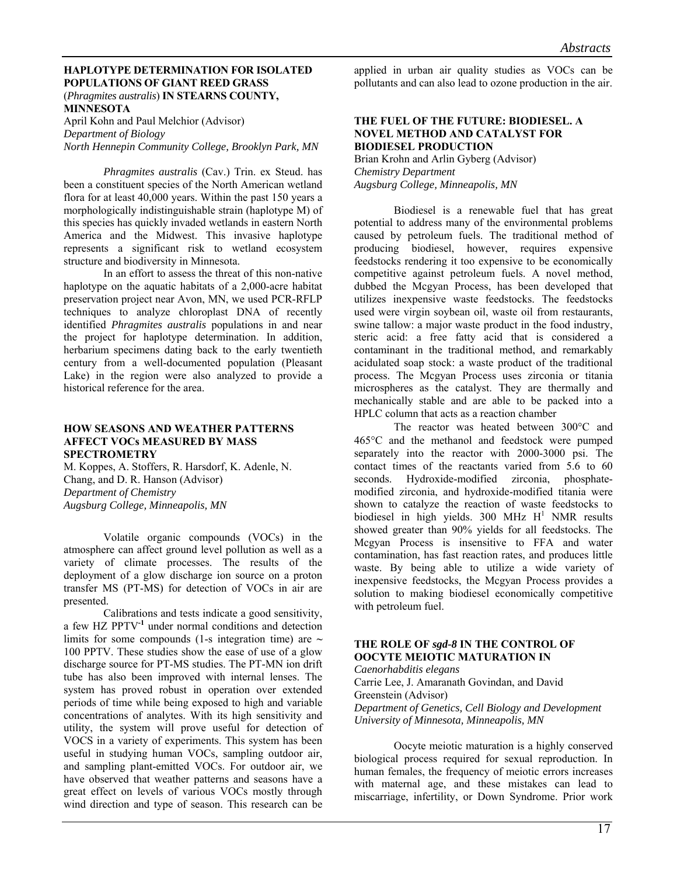#### **HAPLOTYPE DETERMINATION FOR ISOLATED POPULATIONS OF GIANT REED GRASS**  (*Phragmites australis*) **IN STEARNS COUNTY, MINNESOTA**

April Kohn and Paul Melchior (Advisor) *Department of Biology North Hennepin Community College, Brooklyn Park, MN*

 *Phragmites australis* (Cav.) Trin. ex Steud. has been a constituent species of the North American wetland flora for at least 40,000 years. Within the past 150 years a morphologically indistinguishable strain (haplotype M) of this species has quickly invaded wetlands in eastern North America and the Midwest. This invasive haplotype represents a significant risk to wetland ecosystem structure and biodiversity in Minnesota.

In an effort to assess the threat of this non-native haplotype on the aquatic habitats of a 2,000-acre habitat preservation project near Avon, MN, we used PCR-RFLP techniques to analyze chloroplast DNA of recently identified *Phragmites australis* populations in and near the project for haplotype determination. In addition, herbarium specimens dating back to the early twentieth century from a well-documented population (Pleasant Lake) in the region were also analyzed to provide a historical reference for the area.

#### **HOW SEASONS AND WEATHER PATTERNS AFFECT VOCs MEASURED BY MASS SPECTROMETRY**

M. Koppes, A. Stoffers, R. Harsdorf, K. Adenle, N. Chang, and D. R. Hanson (Advisor) *Department of Chemistry Augsburg College, Minneapolis, MN* 

 Volatile organic compounds (VOCs) in the atmosphere can affect ground level pollution as well as a variety of climate processes. The results of the deployment of a glow discharge ion source on a proton transfer MS (PT-MS) for detection of VOCs in air are presented.

Calibrations and tests indicate a good sensitivity, a few HZ PPTV**-1** under normal conditions and detection limits for some compounds (1-s integration time) are  $\sim$ 100 PPTV. These studies show the ease of use of a glow discharge source for PT-MS studies. The PT-MN ion drift tube has also been improved with internal lenses. The system has proved robust in operation over extended periods of time while being exposed to high and variable concentrations of analytes. With its high sensitivity and utility, the system will prove useful for detection of VOCS in a variety of experiments. This system has been useful in studying human VOCs, sampling outdoor air, and sampling plant-emitted VOCs. For outdoor air, we have observed that weather patterns and seasons have a great effect on levels of various VOCs mostly through wind direction and type of season. This research can be applied in urban air quality studies as VOCs can be pollutants and can also lead to ozone production in the air.

## **THE FUEL OF THE FUTURE: BIODIESEL. A NOVEL METHOD AND CATALYST FOR BIODIESEL PRODUCTION**

Brian Krohn and Arlin Gyberg (Advisor) *Chemistry Department Augsburg College, Minneapolis, MN* 

Biodiesel is a renewable fuel that has great potential to address many of the environmental problems caused by petroleum fuels. The traditional method of producing biodiesel, however, requires expensive feedstocks rendering it too expensive to be economically competitive against petroleum fuels. A novel method, dubbed the Mcgyan Process, has been developed that utilizes inexpensive waste feedstocks. The feedstocks used were virgin soybean oil, waste oil from restaurants, swine tallow: a major waste product in the food industry, steric acid: a free fatty acid that is considered a contaminant in the traditional method, and remarkably acidulated soap stock: a waste product of the traditional process. The Mcgyan Process uses zirconia or titania microspheres as the catalyst. They are thermally and mechanically stable and are able to be packed into a HPLC column that acts as a reaction chamber

The reactor was heated between 300°C and 465°C and the methanol and feedstock were pumped separately into the reactor with 2000-3000 psi. The contact times of the reactants varied from 5.6 to 60 seconds. Hydroxide-modified zirconia, phosphatemodified zirconia, and hydroxide-modified titania were shown to catalyze the reaction of waste feedstocks to biodiesel in high yields.  $300$  MHz H<sup>1</sup> NMR results showed greater than 90% yields for all feedstocks. The Mcgyan Process is insensitive to FFA and water contamination, has fast reaction rates, and produces little waste. By being able to utilize a wide variety of inexpensive feedstocks, the Mcgyan Process provides a solution to making biodiesel economically competitive with petroleum fuel.

## **THE ROLE OF** *sgd-8* **IN THE CONTROL OF OOCYTE MEIOTIC MATURATION IN**

*Caenorhabditis elegans* Carrie Lee, J. Amaranath Govindan, and David Greenstein (Advisor) *Department of Genetics, Cell Biology and Development University of Minnesota, Minneapolis, MN* 

 Oocyte meiotic maturation is a highly conserved biological process required for sexual reproduction. In human females, the frequency of meiotic errors increases with maternal age, and these mistakes can lead to miscarriage, infertility, or Down Syndrome. Prior work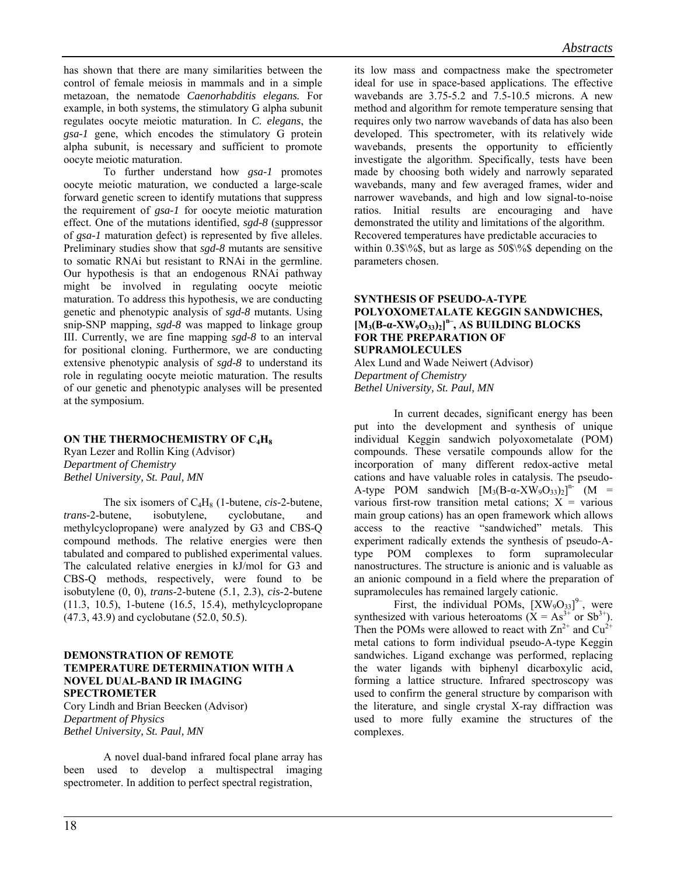has shown that there are many similarities between the control of female meiosis in mammals and in a simple metazoan, the nematode *Caenorhabditis elegans.* For example, in both systems, the stimulatory G alpha subunit regulates oocyte meiotic maturation. In *C. elegans*, the *gsa-1* gene, which encodes the stimulatory G protein alpha subunit, is necessary and sufficient to promote oocyte meiotic maturation.

To further understand how *gsa-1* promotes oocyte meiotic maturation, we conducted a large-scale forward genetic screen to identify mutations that suppress the requirement of *gsa-1* for oocyte meiotic maturation effect. One of the mutations identified, *sgd-8* (suppressor of *gsa-1* maturation defect) is represented by five alleles. Preliminary studies show that *sgd-8* mutants are sensitive to somatic RNAi but resistant to RNAi in the germline. Our hypothesis is that an endogenous RNAi pathway might be involved in regulating oocyte meiotic maturation. To address this hypothesis, we are conducting genetic and phenotypic analysis of *sgd-8* mutants. Using snip-SNP mapping, *sgd-8* was mapped to linkage group III. Currently, we are fine mapping *sgd-8* to an interval for positional cloning. Furthermore, we are conducting extensive phenotypic analysis of *sgd-8* to understand its role in regulating oocyte meiotic maturation. The results of our genetic and phenotypic analyses will be presented at the symposium.

#### **ON THE THERMOCHEMISTRY OF C<sub>4</sub>H<sub>8</sub>**

Ryan Lezer and Rollin King (Advisor) *Department of Chemistry Bethel University, St. Paul, MN* 

The six isomers of C<sub>4</sub>H<sub>8</sub> (1-butene, *cis*-2-butene, *isobutylene*, *cyclobutane*, *and trans-*2-butene, isobutylene, cyclobutane, and methylcyclopropane) were analyzed by G3 and CBS-Q compound methods. The relative energies were then tabulated and compared to published experimental values. The calculated relative energies in kJ/mol for G3 and CBS-Q methods, respectively, were found to be isobutylene (0, 0), *trans*-2-butene (5.1, 2.3), *cis*-2-butene (11.3, 10.5), 1-butene (16.5, 15.4), methylcyclopropane (47.3, 43.9) and cyclobutane (52.0, 50.5).

#### **DEMONSTRATION OF REMOTE TEMPERATURE DETERMINATION WITH A NOVEL DUAL-BAND IR IMAGING SPECTROMETER**

Cory Lindh and Brian Beecken (Advisor) *Department of Physics Bethel University, St. Paul, MN* 

 A novel dual-band infrared focal plane array has been used to develop a multispectral imaging spectrometer. In addition to perfect spectral registration,

its low mass and compactness make the spectrometer ideal for use in space-based applications. The effective wavebands are 3.75-5.2 and 7.5-10.5 microns. A new method and algorithm for remote temperature sensing that requires only two narrow wavebands of data has also been developed. This spectrometer, with its relatively wide wavebands, presents the opportunity to efficiently investigate the algorithm. Specifically, tests have been made by choosing both widely and narrowly separated wavebands, many and few averaged frames, wider and narrower wavebands, and high and low signal-to-noise ratios. Initial results are encouraging and have demonstrated the utility and limitations of the algorithm. Recovered temperatures have predictable accuracies to within  $0.3\$ \%, but as large as  $50\$ \% depending on the parameters chosen.

#### **SYNTHESIS OF PSEUDO-A-TYPE POLYOXOMETALATE KEGGIN SANDWICHES, [M3(B-α-XW9O33)2] n–, AS BUILDING BLOCKS FOR THE PREPARATION OF SUPRAMOLECULES**

Alex Lund and Wade Neiwert (Advisor) *Department of Chemistry Bethel University, St. Paul, MN* 

 In current decades, significant energy has been put into the development and synthesis of unique individual Keggin sandwich polyoxometalate (POM) compounds. These versatile compounds allow for the incorporation of many different redox-active metal cations and have valuable roles in catalysis. The pseudo-A-type POM sandwich  $[M_3(B-a-XW_9O_{33})_2]^{n}$  (M = various first-row transition metal cations;  $X = \text{various}$ main group cations) has an open framework which allows access to the reactive "sandwiched" metals. This experiment radically extends the synthesis of pseudo-Atype POM complexes to form supramolecular nanostructures. The structure is anionic and is valuable as an anionic compound in a field where the preparation of supramolecules has remained largely cationic.

First, the individual POMs,  $[XW_9O_{33}]^{9-}$ , were synthesized with various heteroatoms  $(X = As^{3+} \text{ or } Sb^{3+})$ . Then the POMs were allowed to react with  $Zn^{2+}$  and  $Cu^{2+}$ metal cations to form individual pseudo-A-type Keggin sandwiches. Ligand exchange was performed, replacing the water ligands with biphenyl dicarboxylic acid, forming a lattice structure. Infrared spectroscopy was used to confirm the general structure by comparison with the literature, and single crystal X-ray diffraction was used to more fully examine the structures of the complexes.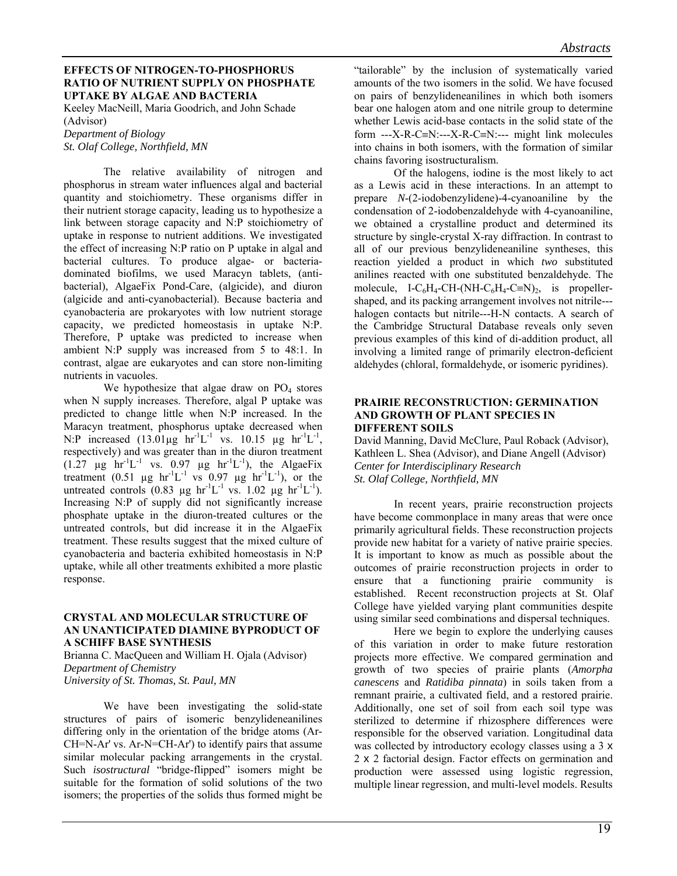#### **EFFECTS OF NITROGEN-TO-PHOSPHORUS RATIO OF NUTRIENT SUPPLY ON PHOSPHATE UPTAKE BY ALGAE AND BACTERIA**

Keeley MacNeill, Maria Goodrich, and John Schade (Advisor)

*Department of Biology St. Olaf College, Northfield, MN* 

The relative availability of nitrogen and phosphorus in stream water influences algal and bacterial quantity and stoichiometry. These organisms differ in their nutrient storage capacity, leading us to hypothesize a link between storage capacity and N:P stoichiometry of uptake in response to nutrient additions. We investigated the effect of increasing N:P ratio on P uptake in algal and bacterial cultures. To produce algae- or bacteriadominated biofilms, we used Maracyn tablets, (antibacterial), AlgaeFix Pond-Care, (algicide), and diuron (algicide and anti-cyanobacterial). Because bacteria and cyanobacteria are prokaryotes with low nutrient storage capacity, we predicted homeostasis in uptake N:P. Therefore, P uptake was predicted to increase when ambient N:P supply was increased from 5 to 48:1. In contrast, algae are eukaryotes and can store non-limiting nutrients in vacuoles.

We hypothesize that algae draw on  $PO<sub>4</sub>$  stores when N supply increases. Therefore, algal P uptake was predicted to change little when N:P increased. In the Maracyn treatment, phosphorus uptake decreased when N:P increased  $(13.01\mu g$  hr<sup>-1</sup>L<sup>-1</sup> vs. 10.15  $\mu g$  hr<sup>-1</sup>L<sup>-1</sup>, respectively) and was greater than in the diuron treatment  $(1.27 \text{ µg} \ \text{hr}^{-1}\text{L}^{-1} \ \text{vs.} \ \ 0.97 \ \text{ µg} \ \text{hr}^{-1}\text{L}^{-1}), \ \text{the Algaefix}$ treatment  $(0.51 \text{ µg hr}^{-1}L^{-1} \text{ vs } 0.97 \text{ µg hr}^{-1}L^{-1})$ , or the untreated controls  $(0.83 \text{ µg hr}^{-1}L^{-1} \text{ vs. } 1.02 \text{ µg hr}^{-1}L^{-1})$ . Increasing N:P of supply did not significantly increase phosphate uptake in the diuron-treated cultures or the untreated controls, but did increase it in the AlgaeFix treatment. These results suggest that the mixed culture of cyanobacteria and bacteria exhibited homeostasis in N:P uptake, while all other treatments exhibited a more plastic response.

#### **CRYSTAL AND MOLECULAR STRUCTURE OF AN UNANTICIPATED DIAMINE BYPRODUCT OF A SCHIFF BASE SYNTHESIS**

Brianna C. MacQueen and William H. Ojala (Advisor) *Department of Chemistry University of St. Thomas, St. Paul, MN* 

 We have been investigating the solid-state structures of pairs of isomeric benzylideneanilines differing only in the orientation of the bridge atoms (Ar-CH=N-Ar' vs. Ar-N=CH-Ar') to identify pairs that assume similar molecular packing arrangements in the crystal. Such *isostructural* "bridge-flipped" isomers might be suitable for the formation of solid solutions of the two isomers; the properties of the solids thus formed might be

"tailorable" by the inclusion of systematically varied amounts of the two isomers in the solid. We have focused on pairs of benzylideneanilines in which both isomers bear one halogen atom and one nitrile group to determine whether Lewis acid-base contacts in the solid state of the form  $-X-R-C\equiv N:--X-R-C\equiv N:--$  might link molecules into chains in both isomers, with the formation of similar chains favoring isostructuralism.

Of the halogens, iodine is the most likely to act as a Lewis acid in these interactions. In an attempt to prepare *N*-(2-iodobenzylidene)-4-cyanoaniline by the condensation of 2-iodobenzaldehyde with 4-cyanoaniline, we obtained a crystalline product and determined its structure by single-crystal X-ray diffraction. In contrast to all of our previous benzylideneaniline syntheses, this reaction yielded a product in which *two* substituted anilines reacted with one substituted benzaldehyde. The molecule, I-C<sub>6</sub>H<sub>4</sub>-CH-(NH-C<sub>6</sub>H<sub>4</sub>-C≡N)<sub>2</sub>, is propellershaped, and its packing arrangement involves not nitrile-- halogen contacts but nitrile---H-N contacts. A search of the Cambridge Structural Database reveals only seven previous examples of this kind of di-addition product, all involving a limited range of primarily electron-deficient aldehydes (chloral, formaldehyde, or isomeric pyridines).

#### **PRAIRIE RECONSTRUCTION: GERMINATION AND GROWTH OF PLANT SPECIES IN DIFFERENT SOILS**

David Manning, David McClure, Paul Roback (Advisor), Kathleen L. Shea (Advisor), and Diane Angell (Advisor) *Center for Interdisciplinary Research St. Olaf College, Northfield, MN* 

In recent years, prairie reconstruction projects have become commonplace in many areas that were once primarily agricultural fields. These reconstruction projects provide new habitat for a variety of native prairie species. It is important to know as much as possible about the outcomes of prairie reconstruction projects in order to ensure that a functioning prairie community is established. Recent reconstruction projects at St. Olaf College have yielded varying plant communities despite using similar seed combinations and dispersal techniques.

Here we begin to explore the underlying causes of this variation in order to make future restoration projects more effective. We compared germination and growth of two species of prairie plants (*Amorpha canescens* and *Ratidiba pinnata*) in soils taken from a remnant prairie, a cultivated field, and a restored prairie. Additionally, one set of soil from each soil type was sterilized to determine if rhizosphere differences were responsible for the observed variation. Longitudinal data was collected by introductory ecology classes using a 3 x 2 x 2 factorial design. Factor effects on germination and production were assessed using logistic regression, multiple linear regression, and multi-level models. Results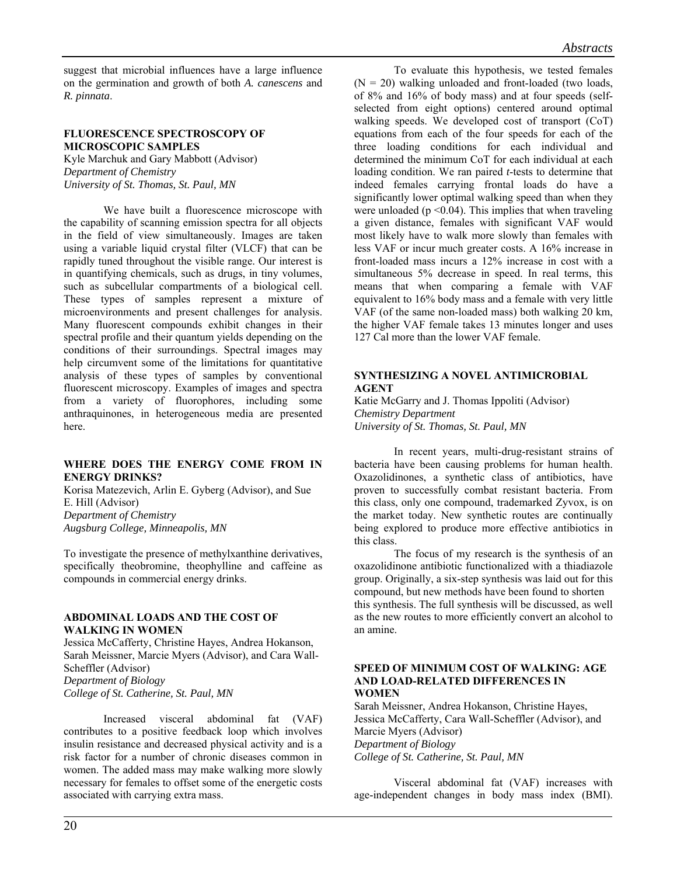suggest that microbial influences have a large influence on the germination and growth of both *A. canescens* and *R. pinnata*.

#### **FLUORESCENCE SPECTROSCOPY OF MICROSCOPIC SAMPLES**

Kyle Marchuk and Gary Mabbott (Advisor) *Department of Chemistry University of St. Thomas, St. Paul, MN* 

 We have built a fluorescence microscope with the capability of scanning emission spectra for all objects in the field of view simultaneously. Images are taken using a variable liquid crystal filter (VLCF) that can be rapidly tuned throughout the visible range. Our interest is in quantifying chemicals, such as drugs, in tiny volumes, such as subcellular compartments of a biological cell. These types of samples represent a mixture of microenvironments and present challenges for analysis. Many fluorescent compounds exhibit changes in their spectral profile and their quantum yields depending on the conditions of their surroundings. Spectral images may help circumvent some of the limitations for quantitative analysis of these types of samples by conventional fluorescent microscopy. Examples of images and spectra from a variety of fluorophores, including some anthraquinones, in heterogeneous media are presented here.

#### **WHERE DOES THE ENERGY COME FROM IN ENERGY DRINKS?**

Korisa Matezevich, Arlin E. Gyberg (Advisor), and Sue E. Hill (Advisor) *Department of Chemistry Augsburg College, Minneapolis, MN* 

To investigate the presence of methylxanthine derivatives, specifically theobromine, theophylline and caffeine as compounds in commercial energy drinks.

#### **ABDOMINAL LOADS AND THE COST OF WALKING IN WOMEN**

Jessica McCafferty, Christine Hayes, Andrea Hokanson, Sarah Meissner, Marcie Myers (Advisor), and Cara Wall-Scheffler (Advisor) *Department of Biology College of St. Catherine, St. Paul, MN* 

Increased visceral abdominal fat (VAF) contributes to a positive feedback loop which involves insulin resistance and decreased physical activity and is a risk factor for a number of chronic diseases common in women. The added mass may make walking more slowly necessary for females to offset some of the energetic costs associated with carrying extra mass.

To evaluate this hypothesis, we tested females  $(N = 20)$  walking unloaded and front-loaded (two loads, of 8% and 16% of body mass) and at four speeds (selfselected from eight options) centered around optimal walking speeds. We developed cost of transport (CoT) equations from each of the four speeds for each of the three loading conditions for each individual and determined the minimum CoT for each individual at each loading condition. We ran paired *t*-tests to determine that indeed females carrying frontal loads do have a significantly lower optimal walking speed than when they were unloaded ( $p \le 0.04$ ). This implies that when traveling a given distance, females with significant VAF would most likely have to walk more slowly than females with less VAF or incur much greater costs. A 16% increase in front-loaded mass incurs a 12% increase in cost with a simultaneous 5% decrease in speed. In real terms, this means that when comparing a female with VAF equivalent to 16% body mass and a female with very little VAF (of the same non-loaded mass) both walking 20 km, the higher VAF female takes 13 minutes longer and uses 127 Cal more than the lower VAF female.

## **SYNTHESIZING A NOVEL ANTIMICROBIAL AGENT**

Katie McGarry and J. Thomas Ippoliti (Advisor) *Chemistry Department University of St. Thomas, St. Paul, MN* 

In recent years, multi-drug-resistant strains of bacteria have been causing problems for human health. Oxazolidinones, a synthetic class of antibiotics, have proven to successfully combat resistant bacteria. From this class, only one compound, trademarked Zyvox, is on the market today. New synthetic routes are continually being explored to produce more effective antibiotics in this class.

The focus of my research is the synthesis of an oxazolidinone antibiotic functionalized with a thiadiazole group. Originally, a six-step synthesis was laid out for this compound, but new methods have been found to shorten this synthesis. The full synthesis will be discussed, as well as the new routes to more efficiently convert an alcohol to an amine.

#### **SPEED OF MINIMUM COST OF WALKING: AGE AND LOAD-RELATED DIFFERENCES IN WOMEN**

Sarah Meissner, Andrea Hokanson, Christine Hayes, Jessica McCafferty, Cara Wall-Scheffler (Advisor), and Marcie Myers (Advisor) *Department of Biology College of St. Catherine, St. Paul, MN* 

Visceral abdominal fat (VAF) increases with age-independent changes in body mass index (BMI).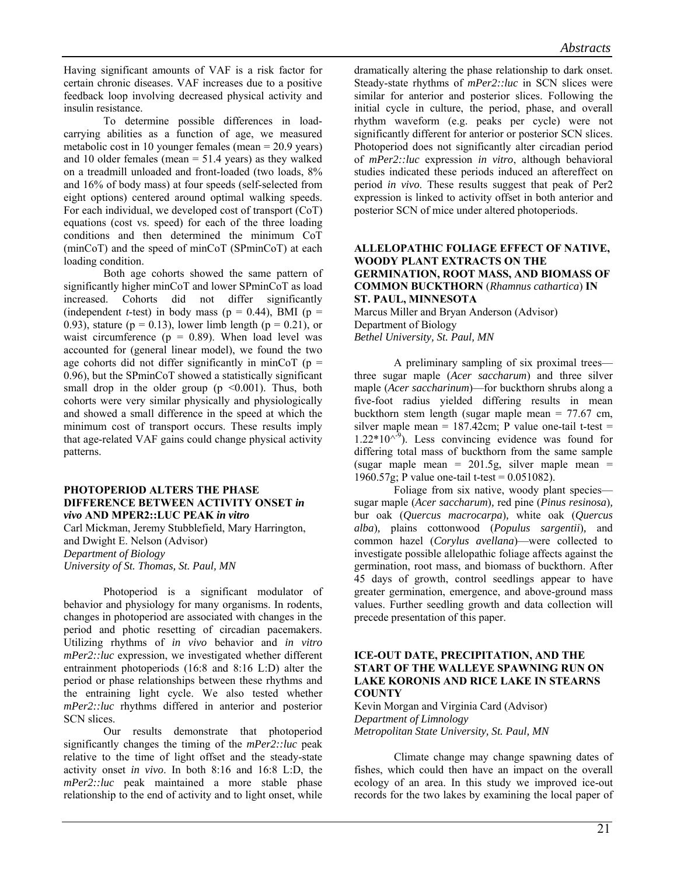Having significant amounts of VAF is a risk factor for certain chronic diseases. VAF increases due to a positive feedback loop involving decreased physical activity and insulin resistance.

To determine possible differences in loadcarrying abilities as a function of age, we measured metabolic cost in 10 younger females (mean = 20.9 years) and 10 older females (mean  $= 51.4$  years) as they walked on a treadmill unloaded and front-loaded (two loads, 8% and 16% of body mass) at four speeds (self-selected from eight options) centered around optimal walking speeds. For each individual, we developed cost of transport (CoT) equations (cost vs. speed) for each of the three loading conditions and then determined the minimum CoT (minCoT) and the speed of minCoT (SPminCoT) at each loading condition.

Both age cohorts showed the same pattern of significantly higher minCoT and lower SPminCoT as load increased. Cohorts did not differ significantly (independent *t*-test) in body mass ( $p = 0.44$ ), BMI ( $p =$ 0.93), stature ( $p = 0.13$ ), lower limb length ( $p = 0.21$ ), or waist circumference ( $p = 0.89$ ). When load level was accounted for (general linear model), we found the two age cohorts did not differ significantly in minCoT ( $p =$ 0.96), but the SPminCoT showed a statistically significant small drop in the older group ( $p \le 0.001$ ). Thus, both cohorts were very similar physically and physiologically and showed a small difference in the speed at which the minimum cost of transport occurs. These results imply that age-related VAF gains could change physical activity patterns.

#### **PHOTOPERIOD ALTERS THE PHASE DIFFERENCE BETWEEN ACTIVITY ONSET** *in vivo* **AND MPER2::LUC PEAK** *in vitro*

Carl Mickman, Jeremy Stubblefield, Mary Harrington, and Dwight E. Nelson (Advisor) *Department of Biology University of St. Thomas, St. Paul, MN* 

Photoperiod is a significant modulator of behavior and physiology for many organisms. In rodents, changes in photoperiod are associated with changes in the period and photic resetting of circadian pacemakers. Utilizing rhythms of *in vivo* behavior and *in vitro mPer2::luc* expression, we investigated whether different entrainment photoperiods (16:8 and 8:16 L:D) alter the period or phase relationships between these rhythms and the entraining light cycle. We also tested whether *mPer2::luc* rhythms differed in anterior and posterior SCN slices.

Our results demonstrate that photoperiod significantly changes the timing of the *mPer2::luc* peak relative to the time of light offset and the steady-state activity onset *in vivo*. In both 8:16 and 16:8 L:D, the *mPer2::luc* peak maintained a more stable phase relationship to the end of activity and to light onset, while

dramatically altering the phase relationship to dark onset. Steady-state rhythms of *mPer2::luc* in SCN slices were similar for anterior and posterior slices. Following the initial cycle in culture, the period, phase, and overall rhythm waveform (e.g. peaks per cycle) were not significantly different for anterior or posterior SCN slices. Photoperiod does not significantly alter circadian period of *mPer2::luc* expression *in vitro*, although behavioral studies indicated these periods induced an aftereffect on period *in vivo*. These results suggest that peak of Per2 expression is linked to activity offset in both anterior and posterior SCN of mice under altered photoperiods.

## **ALLELOPATHIC FOLIAGE EFFECT OF NATIVE, WOODY PLANT EXTRACTS ON THE GERMINATION, ROOT MASS, AND BIOMASS OF COMMON BUCKTHORN** (*Rhamnus cathartica*) **IN ST. PAUL, MINNESOTA** Marcus Miller and Bryan Anderson (Advisor)

Department of Biology *Bethel University, St. Paul, MN* 

 A preliminary sampling of six proximal trees three sugar maple (*Acer saccharum*) and three silver maple (*Acer saccharinum*)—for buckthorn shrubs along a five-foot radius yielded differing results in mean buckthorn stem length (sugar maple mean = 77.67 cm, silver maple mean =  $187.42$ cm; P value one-tail t-test =  $1.22*10<sup>(5)</sup>$ . Less convincing evidence was found for differing total mass of buckthorn from the same sample (sugar maple mean =  $201.5g$ , silver maple mean = 1960.57g; P value one-tail t-test = 0.051082).

Foliage from six native, woody plant species sugar maple (*Acer saccharum*)*,* red pine (*Pinus resinosa*)*,*  bur oak (*Quercus macrocarpa*)*,* white oak (*Quercus alba*)*,* plains cottonwood (*Populus sargentii*)*,* and common hazel (*Corylus avellana*)—were collected to investigate possible allelopathic foliage affects against the germination, root mass, and biomass of buckthorn. After 45 days of growth, control seedlings appear to have greater germination, emergence, and above-ground mass values. Further seedling growth and data collection will precede presentation of this paper.

#### **ICE-OUT DATE, PRECIPITATION, AND THE START OF THE WALLEYE SPAWNING RUN ON LAKE KORONIS AND RICE LAKE IN STEARNS COUNTY**

Kevin Morgan and Virginia Card (Advisor) *Department of Limnology Metropolitan State University, St. Paul, MN* 

 Climate change may change spawning dates of fishes, which could then have an impact on the overall ecology of an area. In this study we improved ice-out records for the two lakes by examining the local paper of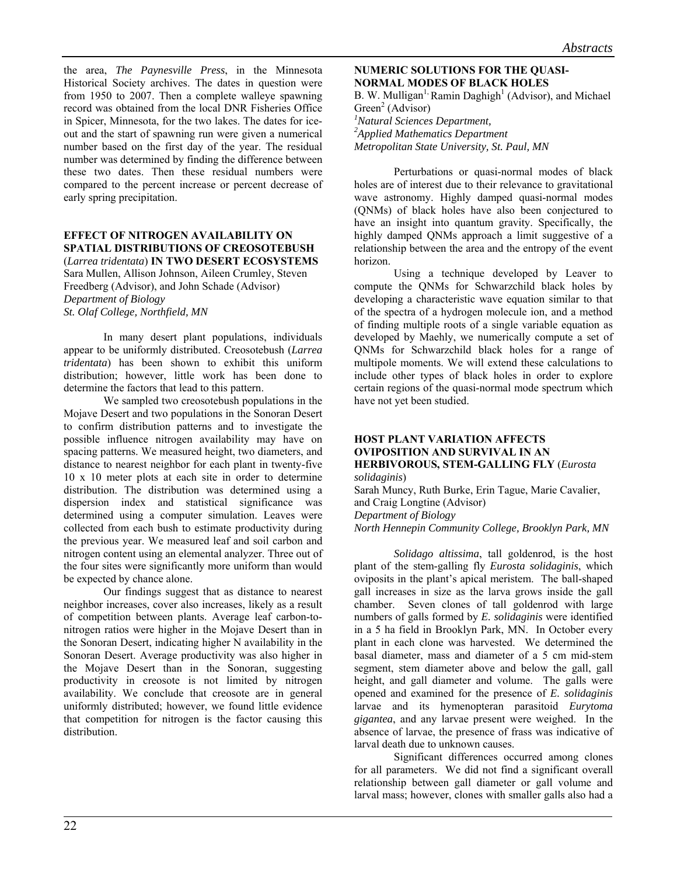the area, *The Paynesville Press*, in the Minnesota Historical Society archives. The dates in question were from 1950 to 2007. Then a complete walleye spawning record was obtained from the local DNR Fisheries Office in Spicer, Minnesota, for the two lakes. The dates for iceout and the start of spawning run were given a numerical number based on the first day of the year. The residual number was determined by finding the difference between these two dates. Then these residual numbers were compared to the percent increase or percent decrease of early spring precipitation.

#### **EFFECT OF NITROGEN AVAILABILITY ON SPATIAL DISTRIBUTIONS OF CREOSOTEBUSH**  (*Larrea tridentata*) **IN TWO DESERT ECOSYSTEMS**

Sara Mullen, Allison Johnson, Aileen Crumley, Steven Freedberg (Advisor), and John Schade (Advisor) *Department of Biology St. Olaf College, Northfield, MN* 

In many desert plant populations, individuals appear to be uniformly distributed. Creosotebush (*Larrea tridentata*) has been shown to exhibit this uniform distribution; however, little work has been done to determine the factors that lead to this pattern.

We sampled two creosotebush populations in the Mojave Desert and two populations in the Sonoran Desert to confirm distribution patterns and to investigate the possible influence nitrogen availability may have on spacing patterns. We measured height, two diameters, and distance to nearest neighbor for each plant in twenty-five 10 x 10 meter plots at each site in order to determine distribution. The distribution was determined using a dispersion index and statistical significance was determined using a computer simulation. Leaves were collected from each bush to estimate productivity during the previous year. We measured leaf and soil carbon and nitrogen content using an elemental analyzer. Three out of the four sites were significantly more uniform than would be expected by chance alone.

Our findings suggest that as distance to nearest neighbor increases, cover also increases, likely as a result of competition between plants. Average leaf carbon-tonitrogen ratios were higher in the Mojave Desert than in the Sonoran Desert, indicating higher N availability in the Sonoran Desert. Average productivity was also higher in the Mojave Desert than in the Sonoran, suggesting productivity in creosote is not limited by nitrogen availability. We conclude that creosote are in general uniformly distributed; however, we found little evidence that competition for nitrogen is the factor causing this distribution.

#### **NUMERIC SOLUTIONS FOR THE QUASI-NORMAL MODES OF BLACK HOLES**  B. W. Mulligan<sup>1,</sup> Ramin Daghigh<sup>1</sup> (Advisor), and Michael Green<sup>2</sup> (Advisor)<br><sup>*1*</sup>*Natural Sciences Natural Sciences Department, 2 Applied Mathematics Department Metropolitan State University, St. Paul, MN*

Perturbations or quasi-normal modes of black holes are of interest due to their relevance to gravitational wave astronomy. Highly damped quasi-normal modes (QNMs) of black holes have also been conjectured to have an insight into quantum gravity. Specifically, the highly damped QNMs approach a limit suggestive of a relationship between the area and the entropy of the event horizon.

Using a technique developed by Leaver to compute the QNMs for Schwarzchild black holes by developing a characteristic wave equation similar to that of the spectra of a hydrogen molecule ion, and a method of finding multiple roots of a single variable equation as developed by Maehly, we numerically compute a set of QNMs for Schwarzchild black holes for a range of multipole moments. We will extend these calculations to include other types of black holes in order to explore certain regions of the quasi-normal mode spectrum which have not yet been studied.

#### **HOST PLANT VARIATION AFFECTS OVIPOSITION AND SURVIVAL IN AN HERBIVOROUS, STEM-GALLING FLY** (*Eurosta solidaginis*)

Sarah Muncy, Ruth Burke, Erin Tague, Marie Cavalier, and Craig Longtine (Advisor) *Department of Biology North Hennepin Community College, Brooklyn Park, MN* 

*Solidago altissima*, tall goldenrod, is the host plant of the stem-galling fly *Eurosta solidaginis*, which oviposits in the plant's apical meristem. The ball-shaped gall increases in size as the larva grows inside the gall chamber. Seven clones of tall goldenrod with large numbers of galls formed by *E. solidaginis* were identified in a 5 ha field in Brooklyn Park, MN. In October every plant in each clone was harvested. We determined the basal diameter, mass and diameter of a 5 cm mid-stem segment, stem diameter above and below the gall, gall height, and gall diameter and volume. The galls were opened and examined for the presence of *E. solidaginis*  larvae and its hymenopteran parasitoid *Eurytoma gigantea*, and any larvae present were weighed. In the absence of larvae, the presence of frass was indicative of larval death due to unknown causes.

Significant differences occurred among clones for all parameters. We did not find a significant overall relationship between gall diameter or gall volume and larval mass; however, clones with smaller galls also had a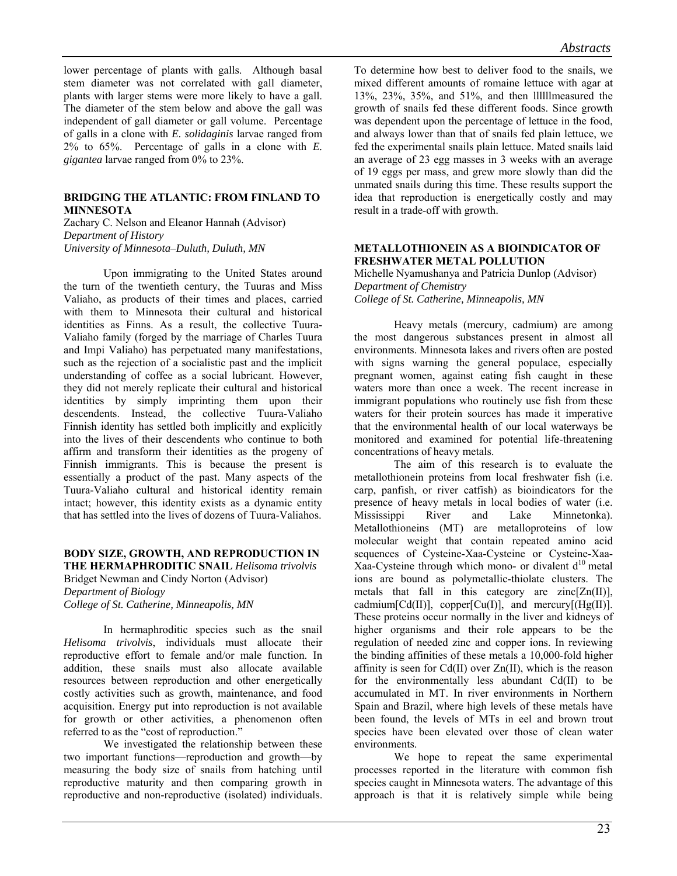lower percentage of plants with galls. Although basal stem diameter was not correlated with gall diameter, plants with larger stems were more likely to have a gall. The diameter of the stem below and above the gall was independent of gall diameter or gall volume. Percentage of galls in a clone with *E. solidaginis* larvae ranged from 2% to 65%. Percentage of galls in a clone with *E. gigantea* larvae ranged from 0% to 23%.

#### **BRIDGING THE ATLANTIC: FROM FINLAND TO MINNESOTA**

Zachary C. Nelson and Eleanor Hannah (Advisor) *Department of History University of Minnesota–Duluth, Duluth, MN* 

 Upon immigrating to the United States around the turn of the twentieth century, the Tuuras and Miss Valiaho, as products of their times and places, carried with them to Minnesota their cultural and historical identities as Finns. As a result, the collective Tuura-Valiaho family (forged by the marriage of Charles Tuura and Impi Valiaho) has perpetuated many manifestations, such as the rejection of a socialistic past and the implicit understanding of coffee as a social lubricant. However, they did not merely replicate their cultural and historical identities by simply imprinting them upon their descendents. Instead, the collective Tuura-Valiaho Finnish identity has settled both implicitly and explicitly into the lives of their descendents who continue to both affirm and transform their identities as the progeny of Finnish immigrants. This is because the present is essentially a product of the past. Many aspects of the Tuura-Valiaho cultural and historical identity remain intact; however, this identity exists as a dynamic entity that has settled into the lives of dozens of Tuura-Valiahos.

#### **BODY SIZE, GROWTH, AND REPRODUCTION IN THE HERMAPHRODITIC SNAIL** *Helisoma trivolvis*

Bridget Newman and Cindy Norton (Advisor) *Department of Biology* 

*College of St. Catherine, Minneapolis, MN* 

In hermaphroditic species such as the snail *Helisoma trivolvis*, individuals must allocate their reproductive effort to female and/or male function. In addition, these snails must also allocate available resources between reproduction and other energetically costly activities such as growth, maintenance, and food acquisition. Energy put into reproduction is not available for growth or other activities, a phenomenon often referred to as the "cost of reproduction."

We investigated the relationship between these two important functions—reproduction and growth—by measuring the body size of snails from hatching until reproductive maturity and then comparing growth in reproductive and non-reproductive (isolated) individuals. To determine how best to deliver food to the snails, we mixed different amounts of romaine lettuce with agar at 13%, 23%, 35%, and 51%, and then llllllmeasured the growth of snails fed these different foods. Since growth was dependent upon the percentage of lettuce in the food, and always lower than that of snails fed plain lettuce, we fed the experimental snails plain lettuce. Mated snails laid an average of 23 egg masses in 3 weeks with an average of 19 eggs per mass, and grew more slowly than did the unmated snails during this time. These results support the idea that reproduction is energetically costly and may result in a trade-off with growth.

#### **METALLOTHIONEIN AS A BIOINDICATOR OF FRESHWATER METAL POLLUTION**

Michelle Nyamushanya and Patricia Dunlop (Advisor) *Department of Chemistry College of St. Catherine, Minneapolis, MN* 

 Heavy metals (mercury, cadmium) are among the most dangerous substances present in almost all environments. Minnesota lakes and rivers often are posted with signs warning the general populace, especially pregnant women, against eating fish caught in these waters more than once a week. The recent increase in immigrant populations who routinely use fish from these waters for their protein sources has made it imperative that the environmental health of our local waterways be monitored and examined for potential life-threatening concentrations of heavy metals.

The aim of this research is to evaluate the metallothionein proteins from local freshwater fish (i.e. carp, panfish, or river catfish) as bioindicators for the presence of heavy metals in local bodies of water (i.e. Mississippi River and Lake Minnetonka). Metallothioneins (MT) are metalloproteins of low molecular weight that contain repeated amino acid sequences of Cysteine-Xaa-Cysteine or Cysteine-Xaa-Xaa-Cysteine through which mono- or divalent  $d^{10}$  metal ions are bound as polymetallic-thiolate clusters. The metals that fall in this category are zinc $[Zn(II)],$ cadmium[ $Cd(II)$ ], copper[Cu(I)], and mercury[ $(Hg(II))$ ]. These proteins occur normally in the liver and kidneys of higher organisms and their role appears to be the regulation of needed zinc and copper ions. In reviewing the binding affinities of these metals a 10,000-fold higher affinity is seen for  $Cd(II)$  over  $Zn(II)$ , which is the reason for the environmentally less abundant Cd(II) to be accumulated in MT. In river environments in Northern Spain and Brazil, where high levels of these metals have been found, the levels of MTs in eel and brown trout species have been elevated over those of clean water environments.

We hope to repeat the same experimental processes reported in the literature with common fish species caught in Minnesota waters. The advantage of this approach is that it is relatively simple while being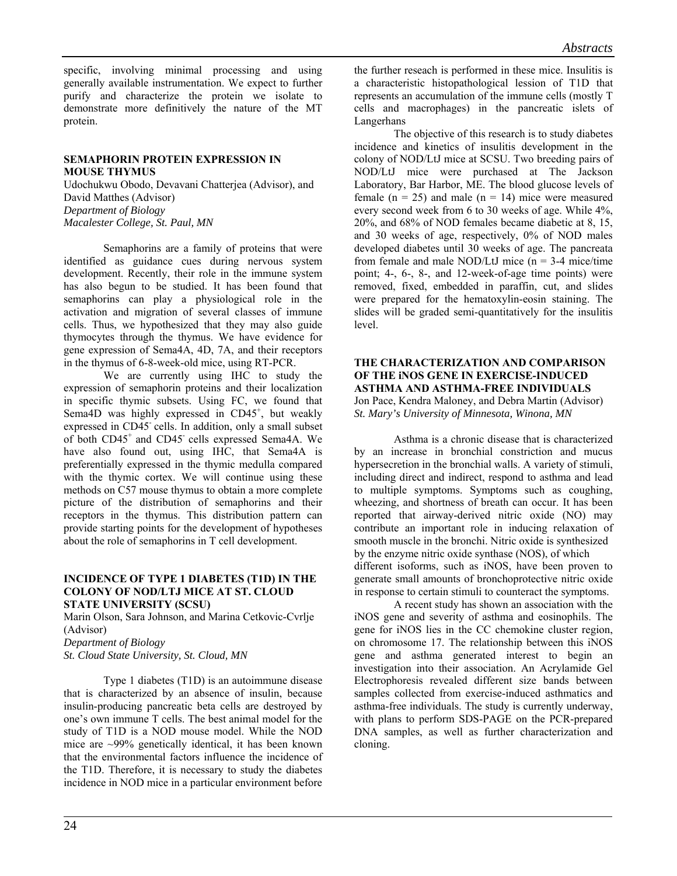specific, involving minimal processing and using generally available instrumentation. We expect to further purify and characterize the protein we isolate to demonstrate more definitively the nature of the MT protein.

#### **SEMAPHORIN PROTEIN EXPRESSION IN MOUSE THYMUS**

Udochukwu Obodo, Devavani Chatterjea (Advisor), and David Matthes (Advisor) *Department of Biology Macalester College, St. Paul, MN* 

 Semaphorins are a family of proteins that were identified as guidance cues during nervous system development. Recently, their role in the immune system has also begun to be studied. It has been found that semaphorins can play a physiological role in the activation and migration of several classes of immune cells. Thus, we hypothesized that they may also guide thymocytes through the thymus. We have evidence for gene expression of Sema4A, 4D, 7A, and their receptors in the thymus of 6-8-week-old mice, using RT-PCR.

We are currently using IHC to study the expression of semaphorin proteins and their localization in specific thymic subsets. Using FC, we found that Sema4D was highly expressed in CD45<sup>+</sup>, but weakly expressed in CD45<sup>-</sup> cells. In addition, only a small subset of both CD45<sup>+</sup> and CD45<sup>-</sup> cells expressed Sema4A. We have also found out, using IHC, that Sema4A is preferentially expressed in the thymic medulla compared with the thymic cortex. We will continue using these methods on C57 mouse thymus to obtain a more complete picture of the distribution of semaphorins and their receptors in the thymus. This distribution pattern can provide starting points for the development of hypotheses about the role of semaphorins in T cell development.

#### **INCIDENCE OF TYPE 1 DIABETES (T1D) IN THE COLONY OF NOD/LTJ MICE AT ST. CLOUD STATE UNIVERSITY (SCSU)**

Marin Olson, Sara Johnson, and Marina Cetkovic-Cvrlje (Advisor)

*Department of Biology* 

*St. Cloud State University, St. Cloud, MN* 

Type 1 diabetes (T1D) is an autoimmune disease that is characterized by an absence of insulin, because insulin-producing pancreatic beta cells are destroyed by one's own immune T cells. The best animal model for the study of T1D is a NOD mouse model. While the NOD mice are ~99% genetically identical, it has been known that the environmental factors influence the incidence of the T1D. Therefore, it is necessary to study the diabetes incidence in NOD mice in a particular environment before

the further reseach is performed in these mice. Insulitis is a characteristic histopathological lession of T1D that represents an accumulation of the immune cells (mostly T cells and macrophages) in the pancreatic islets of Langerhans

The objective of this research is to study diabetes incidence and kinetics of insulitis development in the colony of NOD/LtJ mice at SCSU. Two breeding pairs of NOD/LtJ mice were purchased at The Jackson Laboratory, Bar Harbor, ME. The blood glucose levels of female ( $n = 25$ ) and male ( $n = 14$ ) mice were measured every second week from 6 to 30 weeks of age. While 4%, 20%, and 68% of NOD females became diabetic at 8, 15, and 30 weeks of age, respectively, 0% of NOD males developed diabetes until 30 weeks of age. The pancreata from female and male NOD/LtJ mice ( $n = 3-4$  mice/time point; 4-, 6-, 8-, and 12-week-of-age time points) were removed, fixed, embedded in paraffin, cut, and slides were prepared for the hematoxylin-eosin staining. The slides will be graded semi-quantitatively for the insulitis level.

## **THE CHARACTERIZATION AND COMPARISON OF THE iNOS GENE IN EXERCISE-INDUCED ASTHMA AND ASTHMA-FREE INDIVIDUALS**

Jon Pace, Kendra Maloney, and Debra Martin (Advisor) *St. Mary's University of Minnesota, Winona, MN* 

 Asthma is a chronic disease that is characterized by an increase in bronchial constriction and mucus hypersecretion in the bronchial walls. A variety of stimuli, including direct and indirect, respond to asthma and lead to multiple symptoms. Symptoms such as coughing, wheezing, and shortness of breath can occur. It has been reported that airway-derived nitric oxide (NO) may contribute an important role in inducing relaxation of smooth muscle in the bronchi. Nitric oxide is synthesized by the enzyme nitric oxide synthase (NOS), of which different isoforms, such as iNOS, have been proven to generate small amounts of bronchoprotective nitric oxide in response to certain stimuli to counteract the symptoms.

A recent study has shown an association with the iNOS gene and severity of asthma and eosinophils. The gene for iNOS lies in the CC chemokine cluster region, on chromosome 17. The relationship between this iNOS gene and asthma generated interest to begin an investigation into their association. An Acrylamide Gel Electrophoresis revealed different size bands between samples collected from exercise-induced asthmatics and asthma-free individuals. The study is currently underway, with plans to perform SDS-PAGE on the PCR-prepared DNA samples, as well as further characterization and cloning.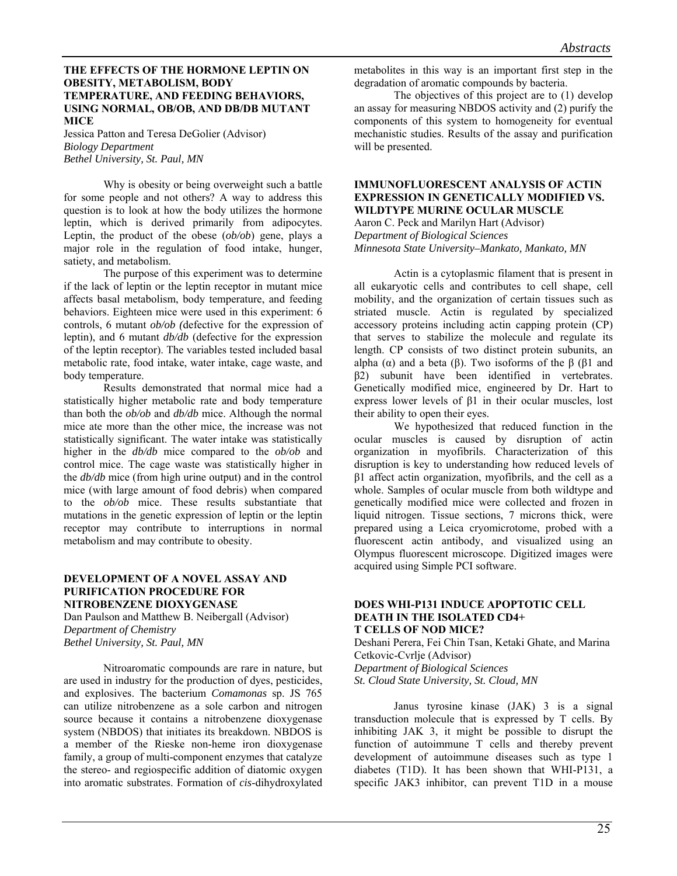#### **THE EFFECTS OF THE HORMONE LEPTIN ON OBESITY, METABOLISM, BODY TEMPERATURE, AND FEEDING BEHAVIORS, USING NORMAL, OB/OB, AND DB/DB MUTANT MICE**

Jessica Patton and Teresa DeGolier (Advisor) *Biology Department Bethel University, St. Paul, MN* 

 Why is obesity or being overweight such a battle for some people and not others? A way to address this question is to look at how the body utilizes the hormone leptin, which is derived primarily from adipocytes. Leptin, the product of the obese (*ob/ob*) gene, plays a major role in the regulation of food intake, hunger, satiety, and metabolism.

The purpose of this experiment was to determine if the lack of leptin or the leptin receptor in mutant mice affects basal metabolism, body temperature, and feeding behaviors. Eighteen mice were used in this experiment: 6 controls, 6 mutant *ob/ob (*defective for the expression of leptin), and 6 mutant *db/db* (defective for the expression of the leptin receptor). The variables tested included basal metabolic rate, food intake, water intake, cage waste, and body temperature.

Results demonstrated that normal mice had a statistically higher metabolic rate and body temperature than both the *ob/ob* and *db/db* mice. Although the normal mice ate more than the other mice, the increase was not statistically significant. The water intake was statistically higher in the *db/db* mice compared to the *ob/ob* and control mice. The cage waste was statistically higher in the *db/db* mice (from high urine output) and in the control mice (with large amount of food debris) when compared to the *ob/ob* mice. These results substantiate that mutations in the genetic expression of leptin or the leptin receptor may contribute to interruptions in normal metabolism and may contribute to obesity.

#### **DEVELOPMENT OF A NOVEL ASSAY AND PURIFICATION PROCEDURE FOR NITROBENZENE DIOXYGENASE**

Dan Paulson and Matthew B. Neibergall (Advisor) *Department of Chemistry Bethel University, St. Paul, MN* 

Nitroaromatic compounds are rare in nature, but are used in industry for the production of dyes, pesticides, and explosives. The bacterium *Comamonas* sp. JS 765 can utilize nitrobenzene as a sole carbon and nitrogen source because it contains a nitrobenzene dioxygenase system (NBDOS) that initiates its breakdown. NBDOS is a member of the Rieske non-heme iron dioxygenase family, a group of multi-component enzymes that catalyze the stereo- and regiospecific addition of diatomic oxygen into aromatic substrates. Formation of *cis*-dihydroxylated

metabolites in this way is an important first step in the degradation of aromatic compounds by bacteria.

The objectives of this project are to (1) develop an assay for measuring NBDOS activity and (2) purify the components of this system to homogeneity for eventual mechanistic studies. Results of the assay and purification will be presented.

## **IMMUNOFLUORESCENT ANALYSIS OF ACTIN EXPRESSION IN GENETICALLY MODIFIED VS. WILDTYPE MURINE OCULAR MUSCLE**

Aaron C. Peck and Marilyn Hart (Advisor) *Department of Biological Sciences Minnesota State University–Mankato, Mankato, MN* 

 Actin is a cytoplasmic filament that is present in all eukaryotic cells and contributes to cell shape, cell mobility, and the organization of certain tissues such as striated muscle. Actin is regulated by specialized accessory proteins including actin capping protein (CP) that serves to stabilize the molecule and regulate its length. CP consists of two distinct protein subunits, an alpha (α) and a beta (β). Two isoforms of the  $β$  (β1 and β2) subunit have been identified in vertebrates. Genetically modified mice, engineered by Dr. Hart to express lower levels of β1 in their ocular muscles, lost their ability to open their eyes.

We hypothesized that reduced function in the ocular muscles is caused by disruption of actin organization in myofibrils. Characterization of this disruption is key to understanding how reduced levels of β1 affect actin organization, myofibrils, and the cell as a whole. Samples of ocular muscle from both wildtype and genetically modified mice were collected and frozen in liquid nitrogen. Tissue sections, 7 microns thick, were prepared using a Leica cryomicrotome, probed with a fluorescent actin antibody, and visualized using an Olympus fluorescent microscope. Digitized images were acquired using Simple PCI software.

#### **DOES WHI-P131 INDUCE APOPTOTIC CELL DEATH IN THE ISOLATED CD4+ T CELLS OF NOD MICE?**

Deshani Perera, Fei Chin Tsan, Ketaki Ghate, and Marina Cetkovic-Cvrlje (Advisor) *Department of Biological Sciences* 

*St. Cloud State University, St. Cloud, MN* 

 Janus tyrosine kinase (JAK) 3 is a signal transduction molecule that is expressed by T cells. By inhibiting JAK 3, it might be possible to disrupt the function of autoimmune T cells and thereby prevent development of autoimmune diseases such as type 1 diabetes (T1D). It has been shown that WHI-P131, a specific JAK3 inhibitor, can prevent T1D in a mouse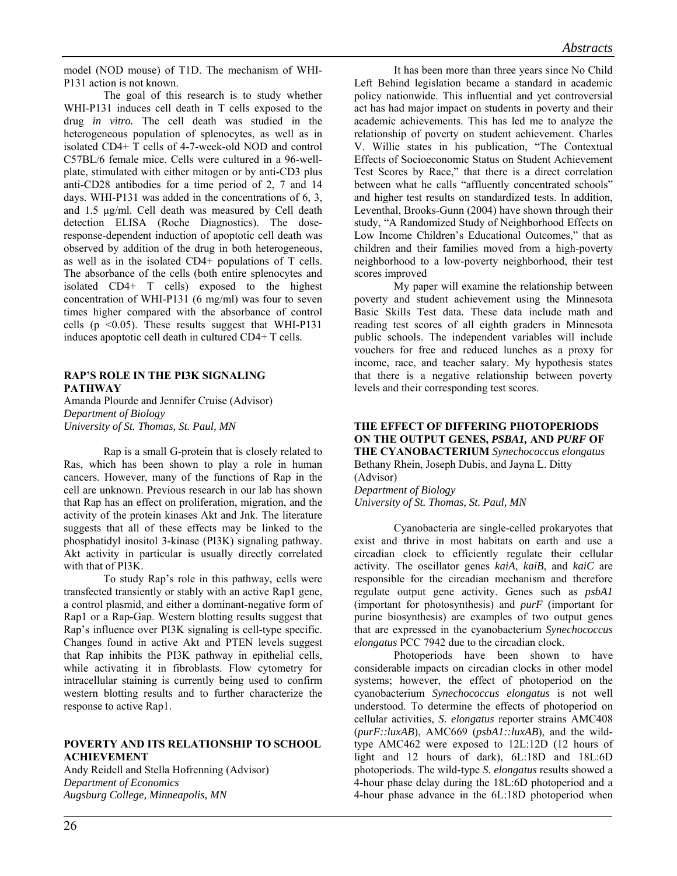model (NOD mouse) of T1D. The mechanism of WHI-P131 action is not known.

The goal of this research is to study whether WHI-P131 induces cell death in T cells exposed to the drug *in vitro.* The cell death was studied in the heterogeneous population of splenocytes, as well as in isolated CD4+ T cells of 4-7-week-old NOD and control C57BL/6 female mice. Cells were cultured in a 96-wellplate, stimulated with either mitogen or by anti-CD3 plus anti-CD28 antibodies for a time period of 2, 7 and 14 days. WHI-P131 was added in the concentrations of 6, 3, and 1.5 μg/ml. Cell death was measured by Cell death detection ELISA (Roche Diagnostics). The doseresponse-dependent induction of apoptotic cell death was observed by addition of the drug in both heterogeneous, as well as in the isolated CD4+ populations of T cells. The absorbance of the cells (both entire splenocytes and isolated CD4+ T cells) exposed to the highest concentration of WHI-P131 (6 mg/ml) was four to seven times higher compared with the absorbance of control cells ( $p \le 0.05$ ). These results suggest that WHI-P131 induces apoptotic cell death in cultured CD4+ T cells.

#### **RAP'S ROLE IN THE PI3K SIGNALING PATHWAY**

Amanda Plourde and Jennifer Cruise (Advisor) *Department of Biology University of St. Thomas, St. Paul, MN* 

 Rap is a small G-protein that is closely related to Ras, which has been shown to play a role in human cancers. However, many of the functions of Rap in the cell are unknown. Previous research in our lab has shown that Rap has an effect on proliferation, migration, and the activity of the protein kinases Akt and Jnk. The literature suggests that all of these effects may be linked to the phosphatidyl inositol 3-kinase (PI3K) signaling pathway. Akt activity in particular is usually directly correlated with that of PI3K.

To study Rap's role in this pathway, cells were transfected transiently or stably with an active Rap1 gene, a control plasmid, and either a dominant-negative form of Rap1 or a Rap-Gap. Western blotting results suggest that Rap's influence over PI3K signaling is cell-type specific. Changes found in active Akt and PTEN levels suggest that Rap inhibits the PI3K pathway in epithelial cells, while activating it in fibroblasts. Flow cytometry for intracellular staining is currently being used to confirm western blotting results and to further characterize the response to active Rap1.

#### **POVERTY AND ITS RELATIONSHIP TO SCHOOL ACHIEVEMENT**

Andy Reidell and Stella Hofrenning (Advisor) *Department of Economics Augsburg College, Minneapolis, MN* 

It has been more than three years since No Child Left Behind legislation became a standard in academic policy nationwide. This influential and yet controversial act has had major impact on students in poverty and their academic achievements. This has led me to analyze the relationship of poverty on student achievement. Charles V. Willie states in his publication, "The Contextual Effects of Socioeconomic Status on Student Achievement Test Scores by Race," that there is a direct correlation between what he calls "affluently concentrated schools" and higher test results on standardized tests. In addition, Leventhal, Brooks-Gunn (2004) have shown through their study, "A Randomized Study of Neighborhood Effects on Low Income Children's Educational Outcomes," that as children and their families moved from a high-poverty neighborhood to a low-poverty neighborhood, their test scores improved

My paper will examine the relationship between poverty and student achievement using the Minnesota Basic Skills Test data. These data include math and reading test scores of all eighth graders in Minnesota public schools. The independent variables will include vouchers for free and reduced lunches as a proxy for income, race, and teacher salary. My hypothesis states that there is a negative relationship between poverty levels and their corresponding test scores.

#### **THE EFFECT OF DIFFERING PHOTOPERIODS ON THE OUTPUT GENES,** *PSBA1,* **AND** *PURF* **OF THE CYANOBACTERIUM** *Synechococcus elongatus* Bethany Rhein, Joseph Dubis, and Jayna L. Ditty (Advisor) *Department of Biology*

*University of St. Thomas, St. Paul, MN* 

 Cyanobacteria are single-celled prokaryotes that exist and thrive in most habitats on earth and use a circadian clock to efficiently regulate their cellular activity. The oscillator genes *kaiA*, *kaiB*, and *kaiC* are responsible for the circadian mechanism and therefore regulate output gene activity. Genes such as *psbA1* (important for photosynthesis) and *purF* (important for purine biosynthesis) are examples of two output genes that are expressed in the cyanobacterium *Synechococcus elongatus* PCC 7942 due to the circadian clock.

 Photoperiods have been shown to have considerable impacts on circadian clocks in other model systems; however, the effect of photoperiod on the cyanobacterium *Synechococcus elongatus* is not well understood. To determine the effects of photoperiod on cellular activities, *S. elongatus* reporter strains AMC408 (*purF::luxAB*), AMC669 (*psbA1::luxAB*), and the wildtype AMC462 were exposed to 12L:12D (12 hours of light and 12 hours of dark), 6L:18D and 18L:6D photoperiods. The wild-type *S. elongatus* results showed a 4-hour phase delay during the 18L:6D photoperiod and a 4-hour phase advance in the 6L:18D photoperiod when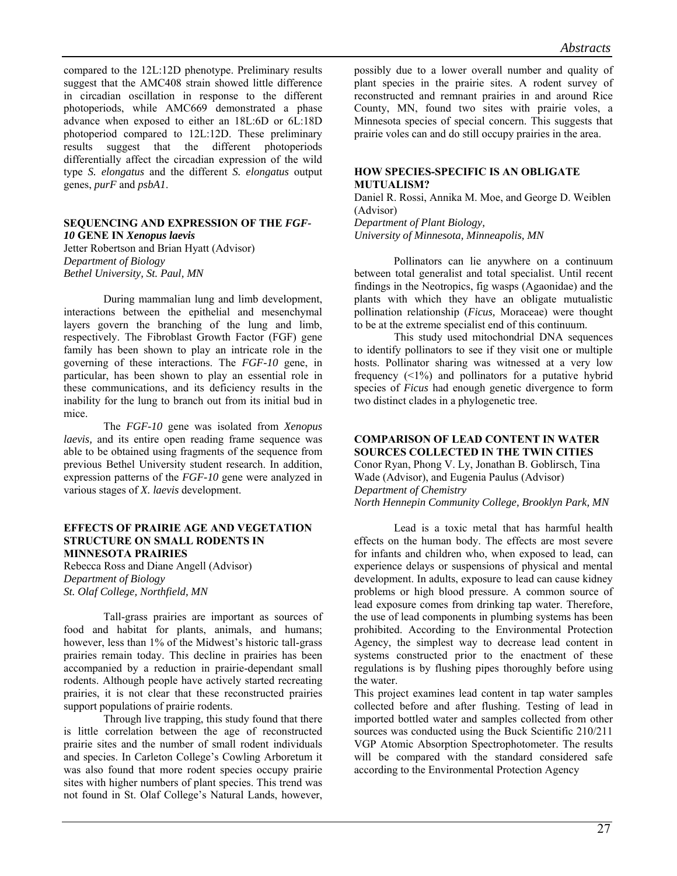compared to the 12L:12D phenotype. Preliminary results suggest that the AMC408 strain showed little difference in circadian oscillation in response to the different photoperiods, while AMC669 demonstrated a phase advance when exposed to either an 18L:6D or 6L:18D photoperiod compared to 12L:12D. These preliminary results suggest that the different photoperiods differentially affect the circadian expression of the wild type *S. elongatus* and the different *S. elongatus* output genes, *purF* and *psbA1*.

## **SEQUENCING AND EXPRESSION OF THE** *FGF-10* **GENE IN** *Xenopus laevis*

Jetter Robertson and Brian Hyatt (Advisor) *Department of Biology Bethel University, St. Paul, MN* 

 During mammalian lung and limb development, interactions between the epithelial and mesenchymal layers govern the branching of the lung and limb, respectively. The Fibroblast Growth Factor (FGF) gene family has been shown to play an intricate role in the governing of these interactions. The *FGF-10* gene, in particular, has been shown to play an essential role in these communications, and its deficiency results in the inability for the lung to branch out from its initial bud in mice.

The *FGF-10* gene was isolated from *Xenopus laevis,* and its entire open reading frame sequence was able to be obtained using fragments of the sequence from previous Bethel University student research. In addition, expression patterns of the *FGF-10* gene were analyzed in various stages of *X. laevis* development.

#### **EFFECTS OF PRAIRIE AGE AND VEGETATION STRUCTURE ON SMALL RODENTS IN MINNESOTA PRAIRIES**

Rebecca Ross and Diane Angell (Advisor) *Department of Biology St. Olaf College, Northfield, MN* 

Tall-grass prairies are important as sources of food and habitat for plants, animals, and humans; however, less than 1% of the Midwest's historic tall-grass prairies remain today. This decline in prairies has been accompanied by a reduction in prairie-dependant small rodents. Although people have actively started recreating prairies, it is not clear that these reconstructed prairies support populations of prairie rodents.

Through live trapping, this study found that there is little correlation between the age of reconstructed prairie sites and the number of small rodent individuals and species. In Carleton College's Cowling Arboretum it was also found that more rodent species occupy prairie sites with higher numbers of plant species. This trend was not found in St. Olaf College's Natural Lands, however, possibly due to a lower overall number and quality of plant species in the prairie sites. A rodent survey of reconstructed and remnant prairies in and around Rice County, MN, found two sites with prairie voles, a Minnesota species of special concern. This suggests that prairie voles can and do still occupy prairies in the area.

#### **HOW SPECIES-SPECIFIC IS AN OBLIGATE MUTUALISM?**

Daniel R. Rossi, Annika M. Moe, and George D. Weiblen (Advisor)

*Department of Plant Biology, University of Minnesota, Minneapolis, MN*

 Pollinators can lie anywhere on a continuum between total generalist and total specialist. Until recent findings in the Neotropics, fig wasps (Agaonidae) and the plants with which they have an obligate mutualistic pollination relationship (*Ficus,* Moraceae) were thought to be at the extreme specialist end of this continuum.

This study used mitochondrial DNA sequences to identify pollinators to see if they visit one or multiple hosts. Pollinator sharing was witnessed at a very low frequency  $(\leq 1\%)$  and pollinators for a putative hybrid species of *Ficus* had enough genetic divergence to form two distinct clades in a phylogenetic tree.

## **COMPARISON OF LEAD CONTENT IN WATER SOURCES COLLECTED IN THE TWIN CITIES**

Conor Ryan, Phong V. Ly, Jonathan B. Goblirsch, Tina Wade (Advisor), and Eugenia Paulus (Advisor) *Department of Chemistry North Hennepin Community College, Brooklyn Park, MN* 

 Lead is a toxic metal that has harmful health effects on the human body. The effects are most severe for infants and children who, when exposed to lead, can experience delays or suspensions of physical and mental development. In adults, exposure to lead can cause kidney problems or high blood pressure. A common source of lead exposure comes from drinking tap water. Therefore, the use of lead components in plumbing systems has been prohibited. According to the Environmental Protection Agency, the simplest way to decrease lead content in systems constructed prior to the enactment of these regulations is by flushing pipes thoroughly before using the water.

This project examines lead content in tap water samples collected before and after flushing. Testing of lead in imported bottled water and samples collected from other sources was conducted using the Buck Scientific 210/211 VGP Atomic Absorption Spectrophotometer. The results will be compared with the standard considered safe according to the Environmental Protection Agency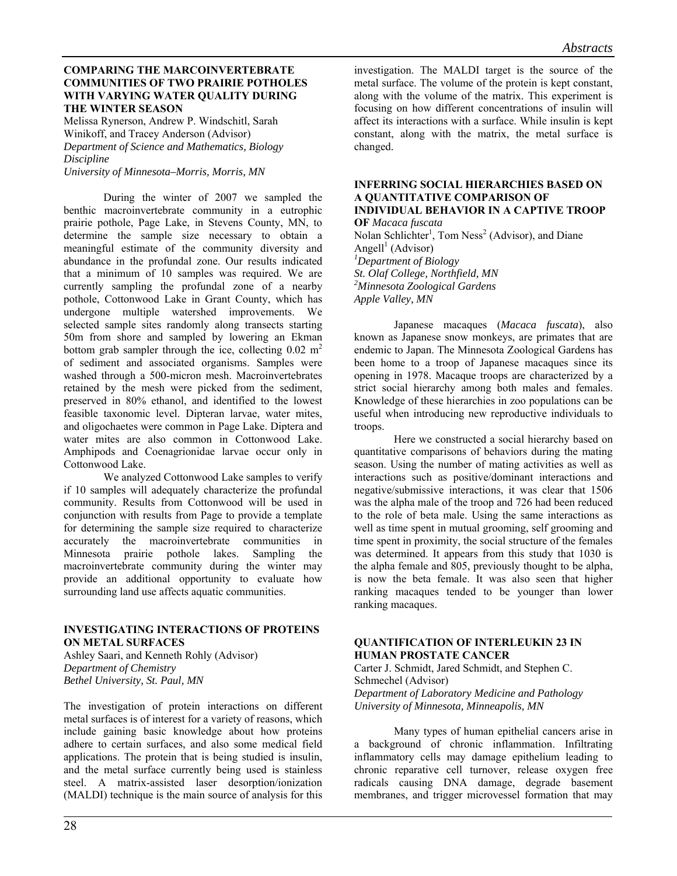#### **COMPARING THE MARCOINVERTEBRATE COMMUNITIES OF TWO PRAIRIE POTHOLES WITH VARYING WATER QUALITY DURING THE WINTER SEASON**

Melissa Rynerson, Andrew P. Windschitl, Sarah Winikoff, and Tracey Anderson (Advisor) *Department of Science and Mathematics, Biology Discipline* 

*University of Minnesota–Morris, Morris, MN* 

 During the winter of 2007 we sampled the benthic macroinvertebrate community in a eutrophic prairie pothole, Page Lake, in Stevens County, MN, to determine the sample size necessary to obtain a meaningful estimate of the community diversity and abundance in the profundal zone. Our results indicated that a minimum of 10 samples was required. We are currently sampling the profundal zone of a nearby pothole, Cottonwood Lake in Grant County, which has undergone multiple watershed improvements. We selected sample sites randomly along transects starting 50m from shore and sampled by lowering an Ekman bottom grab sampler through the ice, collecting  $0.02 \text{ m}^2$ of sediment and associated organisms. Samples were washed through a 500-micron mesh. Macroinvertebrates retained by the mesh were picked from the sediment, preserved in 80% ethanol, and identified to the lowest feasible taxonomic level. Dipteran larvae, water mites, and oligochaetes were common in Page Lake. Diptera and water mites are also common in Cottonwood Lake. Amphipods and Coenagrionidae larvae occur only in Cottonwood Lake.

We analyzed Cottonwood Lake samples to verify if 10 samples will adequately characterize the profundal community. Results from Cottonwood will be used in conjunction with results from Page to provide a template for determining the sample size required to characterize accurately the macroinvertebrate communities in Minnesota prairie pothole lakes. Sampling the macroinvertebrate community during the winter may provide an additional opportunity to evaluate how surrounding land use affects aquatic communities.

## **INVESTIGATING INTERACTIONS OF PROTEINS ON METAL SURFACES**

Ashley Saari, and Kenneth Rohly (Advisor) *Department of Chemistry Bethel University, St. Paul, MN* 

The investigation of protein interactions on different metal surfaces is of interest for a variety of reasons, which include gaining basic knowledge about how proteins adhere to certain surfaces, and also some medical field applications. The protein that is being studied is insulin, and the metal surface currently being used is stainless steel. A matrix-assisted laser desorption/ionization (MALDI) technique is the main source of analysis for this

28

investigation. The MALDI target is the source of the metal surface. The volume of the protein is kept constant, along with the volume of the matrix. This experiment is focusing on how different concentrations of insulin will affect its interactions with a surface. While insulin is kept constant, along with the matrix, the metal surface is changed.

## **INFERRING SOCIAL HIERARCHIES BASED ON A QUANTITATIVE COMPARISON OF INDIVIDUAL BEHAVIOR IN A CAPTIVE TROOP**

**OF** *Macaca fuscata*  Nolan Schlichter<sup>1</sup>, Tom Ness<sup>2</sup> (Advisor), and Diane Angell<sup>1</sup> (Advisor) *Department of Biology St. Olaf College, Northfield, MN 2 Minnesota Zoological Gardens Apple Valley, MN* 

 Japanese macaques (*Macaca fuscata*), also known as Japanese snow monkeys, are primates that are endemic to Japan. The Minnesota Zoological Gardens has been home to a troop of Japanese macaques since its opening in 1978. Macaque troops are characterized by a strict social hierarchy among both males and females. Knowledge of these hierarchies in zoo populations can be useful when introducing new reproductive individuals to troops.

Here we constructed a social hierarchy based on quantitative comparisons of behaviors during the mating season. Using the number of mating activities as well as interactions such as positive/dominant interactions and negative/submissive interactions, it was clear that 1506 was the alpha male of the troop and 726 had been reduced to the role of beta male. Using the same interactions as well as time spent in mutual grooming, self grooming and time spent in proximity, the social structure of the females was determined. It appears from this study that 1030 is the alpha female and 805, previously thought to be alpha, is now the beta female. It was also seen that higher ranking macaques tended to be younger than lower ranking macaques.

#### **QUANTIFICATION OF INTERLEUKIN 23 IN HUMAN PROSTATE CANCER**

Carter J. Schmidt, Jared Schmidt, and Stephen C. Schmechel (Advisor) *Department of Laboratory Medicine and Pathology University of Minnesota, Minneapolis, MN* 

Many types of human epithelial cancers arise in a background of chronic inflammation. Infiltrating inflammatory cells may damage epithelium leading to chronic reparative cell turnover, release oxygen free radicals causing DNA damage, degrade basement membranes, and trigger microvessel formation that may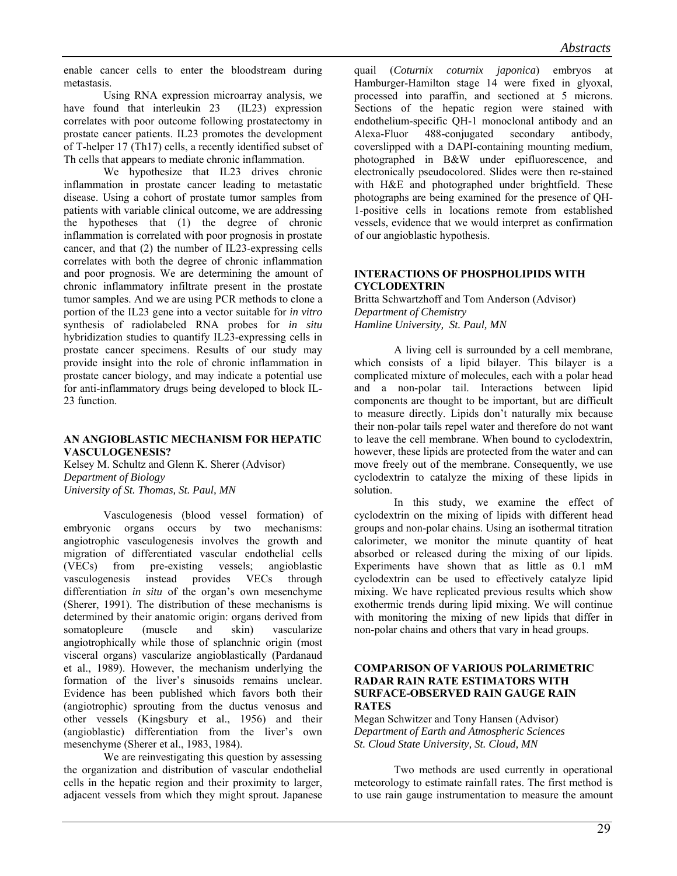enable cancer cells to enter the bloodstream during metastasis.

Using RNA expression microarray analysis, we have found that interleukin 23 (IL23) expression correlates with poor outcome following prostatectomy in prostate cancer patients. IL23 promotes the development of T-helper 17 (Th17) cells, a recently identified subset of Th cells that appears to mediate chronic inflammation.

We hypothesize that IL23 drives chronic inflammation in prostate cancer leading to metastatic disease. Using a cohort of prostate tumor samples from patients with variable clinical outcome, we are addressing the hypotheses that (1) the degree of chronic inflammation is correlated with poor prognosis in prostate cancer, and that (2) the number of IL23-expressing cells correlates with both the degree of chronic inflammation and poor prognosis. We are determining the amount of chronic inflammatory infiltrate present in the prostate tumor samples. And we are using PCR methods to clone a portion of the IL23 gene into a vector suitable for *in vitro* synthesis of radiolabeled RNA probes for *in situ* hybridization studies to quantify IL23-expressing cells in prostate cancer specimens. Results of our study may provide insight into the role of chronic inflammation in prostate cancer biology, and may indicate a potential use for anti-inflammatory drugs being developed to block IL-23 function.

#### **AN ANGIOBLASTIC MECHANISM FOR HEPATIC VASCULOGENESIS?**

Kelsey M. Schultz and Glenn K. Sherer (Advisor) *Department of Biology University of St. Thomas, St. Paul, MN* 

Vasculogenesis (blood vessel formation) of embryonic organs occurs by two mechanisms: angiotrophic vasculogenesis involves the growth and migration of differentiated vascular endothelial cells (VECs) from pre-existing vessels; angioblastic vasculogenesis instead provides VECs through differentiation *in situ* of the organ's own mesenchyme (Sherer, 1991). The distribution of these mechanisms is determined by their anatomic origin: organs derived from somatopleure (muscle and skin) vascularize angiotrophically while those of splanchnic origin (most visceral organs) vascularize angioblastically (Pardanaud et al., 1989). However, the mechanism underlying the formation of the liver's sinusoids remains unclear. Evidence has been published which favors both their (angiotrophic) sprouting from the ductus venosus and other vessels (Kingsbury et al., 1956) and their (angioblastic) differentiation from the liver's own mesenchyme (Sherer et al., 1983, 1984).

We are reinvestigating this question by assessing the organization and distribution of vascular endothelial cells in the hepatic region and their proximity to larger, adjacent vessels from which they might sprout. Japanese

quail (*Coturnix coturnix japonica*) embryos at Hamburger-Hamilton stage 14 were fixed in glyoxal, processed into paraffin, and sectioned at 5 microns. Sections of the hepatic region were stained with endothelium-specific QH-1 monoclonal antibody and an Alexa-Fluor 488-conjugated secondary antibody, coverslipped with a DAPI-containing mounting medium, photographed in B&W under epifluorescence, and electronically pseudocolored. Slides were then re-stained with H&E and photographed under brightfield. These photographs are being examined for the presence of QH-1-positive cells in locations remote from established vessels, evidence that we would interpret as confirmation of our angioblastic hypothesis.

## **INTERACTIONS OF PHOSPHOLIPIDS WITH CYCLODEXTRIN**

Britta Schwartzhoff and Tom Anderson (Advisor) *Department of Chemistry Hamline University, St. Paul, MN* 

A living cell is surrounded by a cell membrane, which consists of a lipid bilayer. This bilayer is a complicated mixture of molecules, each with a polar head and a non-polar tail. Interactions between lipid components are thought to be important, but are difficult to measure directly. Lipids don't naturally mix because their non-polar tails repel water and therefore do not want to leave the cell membrane. When bound to cyclodextrin, however, these lipids are protected from the water and can move freely out of the membrane. Consequently, we use cyclodextrin to catalyze the mixing of these lipids in solution.

In this study, we examine the effect of cyclodextrin on the mixing of lipids with different head groups and non-polar chains. Using an isothermal titration calorimeter, we monitor the minute quantity of heat absorbed or released during the mixing of our lipids. Experiments have shown that as little as 0.1 mM cyclodextrin can be used to effectively catalyze lipid mixing. We have replicated previous results which show exothermic trends during lipid mixing. We will continue with monitoring the mixing of new lipids that differ in non-polar chains and others that vary in head groups.

#### **COMPARISON OF VARIOUS POLARIMETRIC RADAR RAIN RATE ESTIMATORS WITH SURFACE-OBSERVED RAIN GAUGE RAIN RATES**

Megan Schwitzer and Tony Hansen (Advisor) *Department of Earth and Atmospheric Sciences St. Cloud State University, St. Cloud, MN* 

 Two methods are used currently in operational meteorology to estimate rainfall rates. The first method is to use rain gauge instrumentation to measure the amount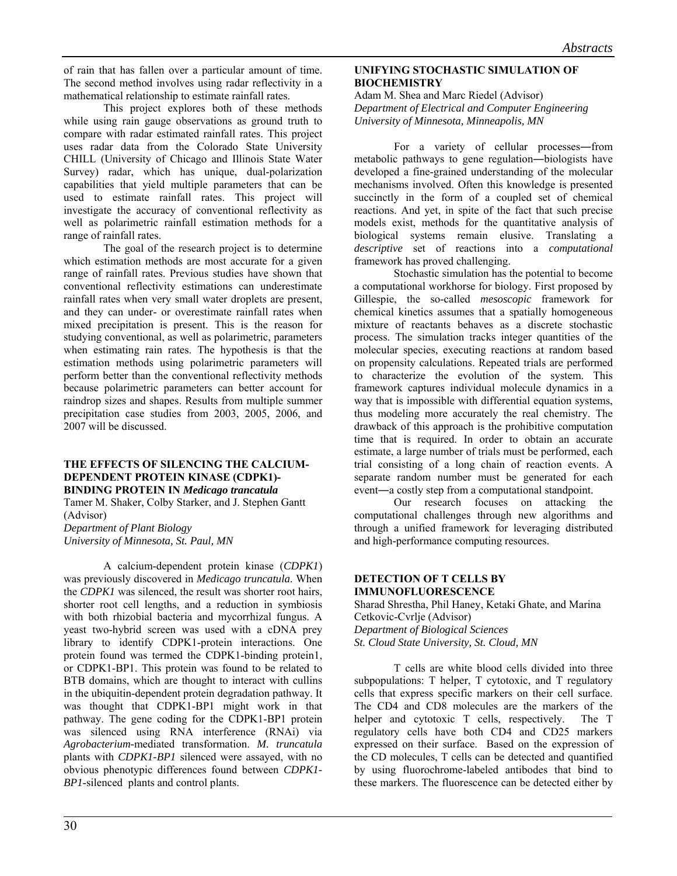of rain that has fallen over a particular amount of time. The second method involves using radar reflectivity in a mathematical relationship to estimate rainfall rates.

This project explores both of these methods while using rain gauge observations as ground truth to compare with radar estimated rainfall rates. This project uses radar data from the Colorado State University CHILL (University of Chicago and Illinois State Water Survey) radar, which has unique, dual-polarization capabilities that yield multiple parameters that can be used to estimate rainfall rates. This project will investigate the accuracy of conventional reflectivity as well as polarimetric rainfall estimation methods for a range of rainfall rates.

The goal of the research project is to determine which estimation methods are most accurate for a given range of rainfall rates. Previous studies have shown that conventional reflectivity estimations can underestimate rainfall rates when very small water droplets are present, and they can under- or overestimate rainfall rates when mixed precipitation is present. This is the reason for studying conventional, as well as polarimetric, parameters when estimating rain rates. The hypothesis is that the estimation methods using polarimetric parameters will perform better than the conventional reflectivity methods because polarimetric parameters can better account for raindrop sizes and shapes. Results from multiple summer precipitation case studies from 2003, 2005, 2006, and 2007 will be discussed.

#### **THE EFFECTS OF SILENCING THE CALCIUM-DEPENDENT PROTEIN KINASE (CDPK1)- BINDING PROTEIN IN** *Medicago trancatula*

Tamer M. Shaker, Colby Starker, and J. Stephen Gantt (Advisor)

*Department of Plant Biology University of Minnesota, St. Paul, MN*

 A calcium-dependent protein kinase (*CDPK1*) was previously discovered in *Medicago truncatula*. When the *CDPK1* was silenced, the result was shorter root hairs, shorter root cell lengths, and a reduction in symbiosis with both rhizobial bacteria and mycorrhizal fungus. A yeast two-hybrid screen was used with a cDNA prey library to identify CDPK1-protein interactions. One protein found was termed the CDPK1-binding protein1, or CDPK1-BP1. This protein was found to be related to BTB domains, which are thought to interact with cullins in the ubiquitin-dependent protein degradation pathway. It was thought that CDPK1-BP1 might work in that pathway. The gene coding for the CDPK1-BP1 protein was silenced using RNA interference (RNAi) via *Agrobacterium-*mediated transformation. *M. truncatula* plants with *CDPK1-BP1* silenced were assayed, with no obvious phenotypic differences found between *CDPK1- BP1*-silenced plants and control plants.

## **UNIFYING STOCHASTIC SIMULATION OF BIOCHEMISTRY**

Adam M. Shea and Marc Riedel (Advisor) *Department of Electrical and Computer Engineering University of Minnesota, Minneapolis, MN* 

 For a variety of cellular processes―from metabolic pathways to gene regulation―biologists have developed a fine-grained understanding of the molecular mechanisms involved. Often this knowledge is presented succinctly in the form of a coupled set of chemical reactions. And yet, in spite of the fact that such precise models exist, methods for the quantitative analysis of biological systems remain elusive. Translating a *descriptive* set of reactions into a *computational* framework has proved challenging.

 Stochastic simulation has the potential to become a computational workhorse for biology. First proposed by Gillespie, the so-called *mesoscopic* framework for chemical kinetics assumes that a spatially homogeneous mixture of reactants behaves as a discrete stochastic process. The simulation tracks integer quantities of the molecular species, executing reactions at random based on propensity calculations. Repeated trials are performed to characterize the evolution of the system. This framework captures individual molecule dynamics in a way that is impossible with differential equation systems, thus modeling more accurately the real chemistry. The drawback of this approach is the prohibitive computation time that is required. In order to obtain an accurate estimate, a large number of trials must be performed, each trial consisting of a long chain of reaction events. A separate random number must be generated for each event―a costly step from a computational standpoint.

Our research focuses on attacking the computational challenges through new algorithms and through a unified framework for leveraging distributed and high-performance computing resources.

## **DETECTION OF T CELLS BY IMMUNOFLUORESCENCE**

Sharad Shrestha, Phil Haney, Ketaki Ghate, and Marina Cetkovic-Cvrlje (Advisor) *Department of Biological Sciences St. Cloud State University, St. Cloud, MN* 

T cells are white blood cells divided into three subpopulations: T helper, T cytotoxic, and T regulatory cells that express specific markers on their cell surface. The CD4 and CD8 molecules are the markers of the helper and cytotoxic T cells, respectively. The T regulatory cells have both CD4 and CD25 markers expressed on their surface. Based on the expression of the CD molecules, T cells can be detected and quantified by using fluorochrome-labeled antibodes that bind to these markers. The fluorescence can be detected either by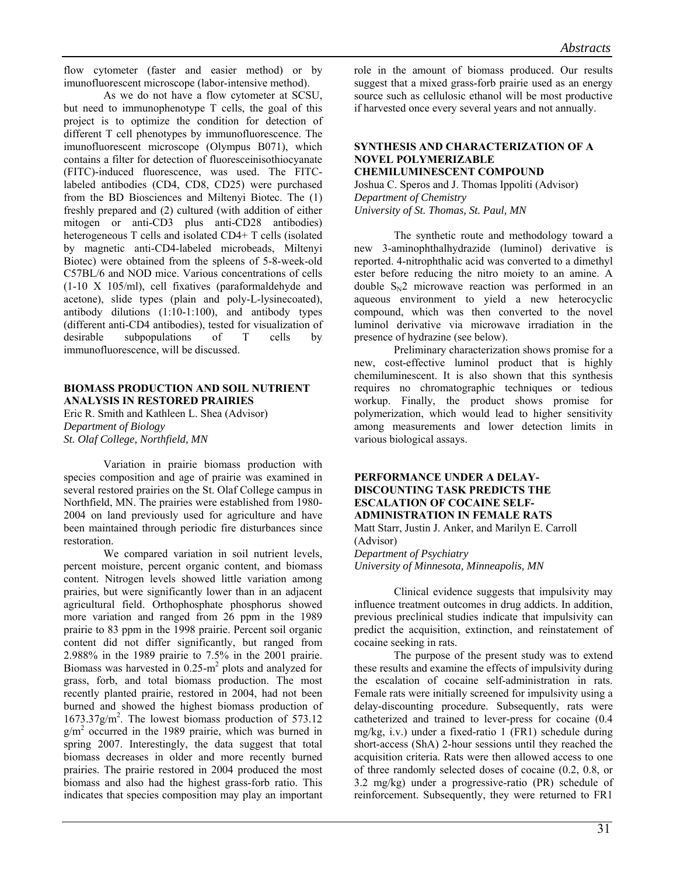flow cytometer (faster and easier method) or by imunofluorescent microscope (labor-intensive method).

As we do not have a flow cytometer at SCSU, but need to immunophenotype T cells, the goal of this project is to optimize the condition for detection of different T cell phenotypes by immunofluorescence. The imunofluorescent microscope (Olympus B071), which contains a filter for detection of fluoresceinisothiocyanate (FITC)-induced fluorescence, was used. The FITClabeled antibodies (CD4, CD8, CD25) were purchased from the BD Biosciences and Miltenyi Biotec. The (1) freshly prepared and (2) cultured (with addition of either mitogen or anti-CD3 plus anti-CD28 antibodies) heterogeneous T cells and isolated CD4+ T cells (isolated by magnetic anti-CD4-labeled microbeads, Miltenyi Biotec) were obtained from the spleens of 5-8-week-old C57BL/6 and NOD mice. Various concentrations of cells (1-10 X 105/ml), cell fixatives (paraformaldehyde and acetone), slide types (plain and poly-L-lysinecoated), antibody dilutions (1:10-1:100), and antibody types (different anti-CD4 antibodies), tested for visualization of desirable subpopulations of T cells by immunofluorescence, will be discussed.

#### **BIOMASS PRODUCTION AND SOIL NUTRIENT ANALYSIS IN RESTORED PRAIRIES**

Eric R. Smith and Kathleen L. Shea (Advisor) *Department of Biology St. Olaf College, Northfield, MN* 

 Variation in prairie biomass production with species composition and age of prairie was examined in several restored prairies on the St. Olaf College campus in Northfield, MN. The prairies were established from 1980- 2004 on land previously used for agriculture and have been maintained through periodic fire disturbances since restoration.

We compared variation in soil nutrient levels, percent moisture, percent organic content, and biomass content. Nitrogen levels showed little variation among prairies, but were significantly lower than in an adjacent agricultural field. Orthophosphate phosphorus showed more variation and ranged from 26 ppm in the 1989 prairie to 83 ppm in the 1998 prairie. Percent soil organic content did not differ significantly, but ranged from 2.988% in the 1989 prairie to 7.5% in the 2001 prairie. Biomass was harvested in  $0.25 \text{ m}^2$  plots and analyzed for grass, forb, and total biomass production. The most recently planted prairie, restored in 2004, had not been burned and showed the highest biomass production of 1673.37g/m2 . The lowest biomass production of 573.12 g/m2 occurred in the 1989 prairie, which was burned in spring 2007. Interestingly, the data suggest that total biomass decreases in older and more recently burned prairies. The prairie restored in 2004 produced the most biomass and also had the highest grass-forb ratio. This indicates that species composition may play an important

role in the amount of biomass produced. Our results suggest that a mixed grass-forb prairie used as an energy source such as cellulosic ethanol will be most productive if harvested once every several years and not annually.

#### **SYNTHESIS AND CHARACTERIZATION OF A NOVEL POLYMERIZABLE CHEMILUMINESCENT COMPOUND**

Joshua C. Speros and J. Thomas Ippoliti (Advisor) *Department of Chemistry University of St. Thomas, St. Paul, MN* 

 The synthetic route and methodology toward a new 3-aminophthalhydrazide (luminol) derivative is reported. 4-nitrophthalic acid was converted to a dimethyl ester before reducing the nitro moiety to an amine. A double  $S_N2$  microwave reaction was performed in an aqueous environment to yield a new heterocyclic compound, which was then converted to the novel luminol derivative via microwave irradiation in the presence of hydrazine (see below).

Preliminary characterization shows promise for a new, cost-effective luminol product that is highly chemiluminescent. It is also shown that this synthesis requires no chromatographic techniques or tedious workup. Finally, the product shows promise for polymerization, which would lead to higher sensitivity among measurements and lower detection limits in various biological assays.

## **PERFORMANCE UNDER A DELAY-DISCOUNTING TASK PREDICTS THE ESCALATION OF COCAINE SELF-ADMINISTRATION IN FEMALE RATS**

Matt Starr, Justin J. Anker, and Marilyn E. Carroll (Advisor)

*Department of Psychiatry University of Minnesota, Minneapolis, MN* 

 Clinical evidence suggests that impulsivity may influence treatment outcomes in drug addicts. In addition, previous preclinical studies indicate that impulsivity can predict the acquisition, extinction, and reinstatement of cocaine seeking in rats.

The purpose of the present study was to extend these results and examine the effects of impulsivity during the escalation of cocaine self-administration in rats. Female rats were initially screened for impulsivity using a delay-discounting procedure. Subsequently, rats were catheterized and trained to lever-press for cocaine (0.4 mg/kg, i.v.) under a fixed-ratio 1 (FR1) schedule during short-access (ShA) 2-hour sessions until they reached the acquisition criteria. Rats were then allowed access to one of three randomly selected doses of cocaine (0.2, 0.8, or 3.2 mg/kg) under a progressive-ratio (PR) schedule of reinforcement. Subsequently, they were returned to FR1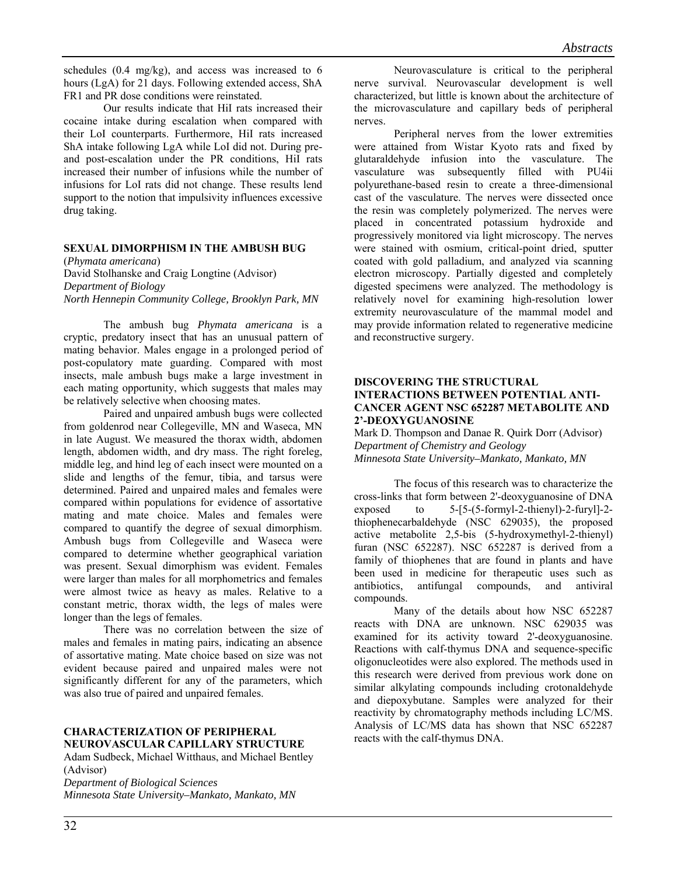schedules (0.4 mg/kg), and access was increased to 6 hours (LgA) for 21 days. Following extended access, ShA FR1 and PR dose conditions were reinstated.

Our results indicate that HiI rats increased their cocaine intake during escalation when compared with their LoI counterparts. Furthermore, HiI rats increased ShA intake following LgA while LoI did not. During preand post-escalation under the PR conditions, HiI rats increased their number of infusions while the number of infusions for LoI rats did not change. These results lend support to the notion that impulsivity influences excessive drug taking.

#### **SEXUAL DIMORPHISM IN THE AMBUSH BUG**

(*Phymata americana*)

David Stolhanske and Craig Longtine (Advisor) *Department of Biology North Hennepin Community College, Brooklyn Park, MN* 

 The ambush bug *Phymata americana* is a cryptic, predatory insect that has an unusual pattern of mating behavior. Males engage in a prolonged period of post-copulatory mate guarding. Compared with most insects, male ambush bugs make a large investment in each mating opportunity, which suggests that males may be relatively selective when choosing mates.

Paired and unpaired ambush bugs were collected from goldenrod near Collegeville, MN and Waseca, MN in late August. We measured the thorax width, abdomen length, abdomen width, and dry mass. The right foreleg, middle leg, and hind leg of each insect were mounted on a slide and lengths of the femur, tibia, and tarsus were determined. Paired and unpaired males and females were compared within populations for evidence of assortative mating and mate choice. Males and females were compared to quantify the degree of sexual dimorphism. Ambush bugs from Collegeville and Waseca were compared to determine whether geographical variation was present. Sexual dimorphism was evident. Females were larger than males for all morphometrics and females were almost twice as heavy as males. Relative to a constant metric, thorax width, the legs of males were longer than the legs of females.

There was no correlation between the size of males and females in mating pairs, indicating an absence of assortative mating. Mate choice based on size was not evident because paired and unpaired males were not significantly different for any of the parameters, which was also true of paired and unpaired females.

#### **CHARACTERIZATION OF PERIPHERAL NEUROVASCULAR CAPILLARY STRUCTURE**  Adam Sudbeck, Michael Witthaus, and Michael Bentley

(Advisor) *Department of Biological Sciences* 

*Minnesota State University–Mankato, Mankato, MN* 

Neurovasculature is critical to the peripheral nerve survival. Neurovascular development is well characterized, but little is known about the architecture of the microvasculature and capillary beds of peripheral nerves.

Peripheral nerves from the lower extremities were attained from Wistar Kyoto rats and fixed by glutaraldehyde infusion into the vasculature. The vasculature was subsequently filled with PU4ii polyurethane-based resin to create a three-dimensional cast of the vasculature. The nerves were dissected once the resin was completely polymerized. The nerves were placed in concentrated potassium hydroxide and progressively monitored via light microscopy. The nerves were stained with osmium, critical-point dried, sputter coated with gold palladium, and analyzed via scanning electron microscopy. Partially digested and completely digested specimens were analyzed. The methodology is relatively novel for examining high-resolution lower extremity neurovasculature of the mammal model and may provide information related to regenerative medicine and reconstructive surgery.

#### **DISCOVERING THE STRUCTURAL INTERACTIONS BETWEEN POTENTIAL ANTI-CANCER AGENT NSC 652287 METABOLITE AND 2'-DEOXYGUANOSINE**

Mark D. Thompson and Danae R. Quirk Dorr (Advisor) *Department of Chemistry and Geology Minnesota State University–Mankato, Mankato, MN* 

The focus of this research was to characterize the cross-links that form between 2'-deoxyguanosine of DNA exposed to 5-[5-(5-formyl-2-thienyl)-2-furyl]-2 thiophenecarbaldehyde (NSC 629035), the proposed active metabolite 2,5-bis (5-hydroxymethyl-2-thienyl) furan (NSC 652287). NSC 652287 is derived from a family of thiophenes that are found in plants and have been used in medicine for therapeutic uses such as antibiotics, antifungal compounds, and antiviral compounds.

Many of the details about how NSC 652287 reacts with DNA are unknown. NSC 629035 was examined for its activity toward 2'-deoxyguanosine. Reactions with calf-thymus DNA and sequence-specific oligonucleotides were also explored. The methods used in this research were derived from previous work done on similar alkylating compounds including crotonaldehyde and diepoxybutane. Samples were analyzed for their reactivity by chromatography methods including LC/MS. Analysis of LC/MS data has shown that NSC 652287 reacts with the calf-thymus DNA.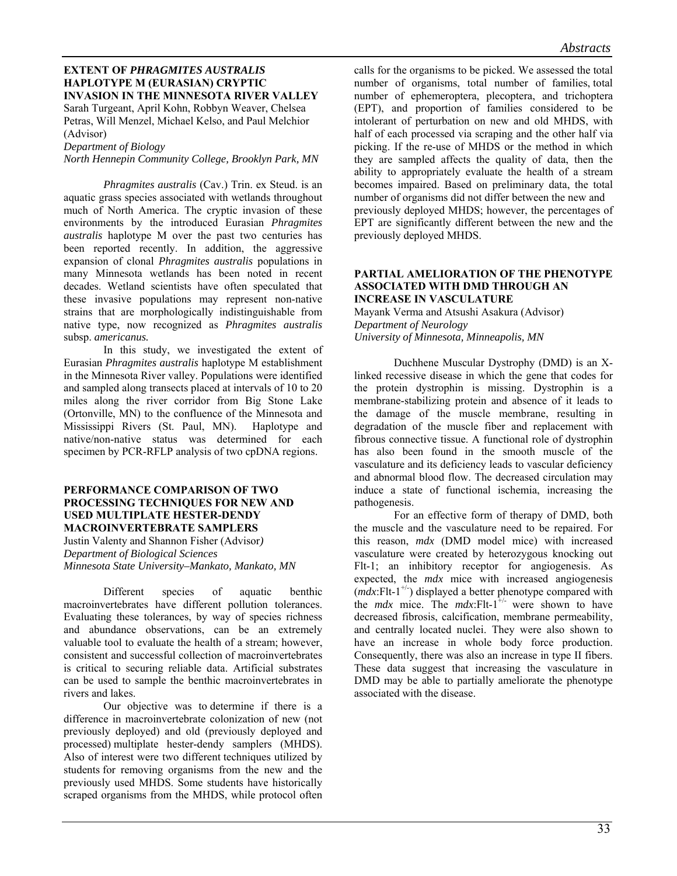## **EXTENT OF** *PHRAGMITES AUSTRALIS* **HAPLOTYPE M (EURASIAN) CRYPTIC INVASION IN THE MINNESOTA RIVER VALLEY**

Sarah Turgeant, April Kohn, Robbyn Weaver, Chelsea Petras, Will Menzel, Michael Kelso, and Paul Melchior (Advisor)

*Department of Biology* 

*North Hennepin Community College, Brooklyn Park, MN* 

 *Phragmites australis* (Cav.) Trin. ex Steud. is an aquatic grass species associated with wetlands throughout much of North America. The cryptic invasion of these environments by the introduced Eurasian *Phragmites australis* haplotype M over the past two centuries has been reported recently. In addition, the aggressive expansion of clonal *Phragmites australis* populations in many Minnesota wetlands has been noted in recent decades. Wetland scientists have often speculated that these invasive populations may represent non-native strains that are morphologically indistinguishable from native type, now recognized as *Phragmites australis* subsp. *americanus.*

 In this study, we investigated the extent of Eurasian *Phragmites australis* haplotype M establishment in the Minnesota River valley. Populations were identified and sampled along transects placed at intervals of 10 to 20 miles along the river corridor from Big Stone Lake (Ortonville, MN) to the confluence of the Minnesota and Mississippi Rivers (St. Paul, MN). Haplotype and native/non-native status was determined for each specimen by PCR-RFLP analysis of two cpDNA regions.

#### **PERFORMANCE COMPARISON OF TWO PROCESSING TECHNIQUES FOR NEW AND USED MULTIPLATE HESTER-DENDY MACROINVERTEBRATE SAMPLERS**

Justin Valenty and Shannon Fisher (Advisor*) Department of Biological Sciences Minnesota State University–Mankato, Mankato, MN* 

Different species of aquatic benthic macroinvertebrates have different pollution tolerances. Evaluating these tolerances, by way of species richness and abundance observations, can be an extremely valuable tool to evaluate the health of a stream; however, consistent and successful collection of macroinvertebrates is critical to securing reliable data. Artificial substrates can be used to sample the benthic macroinvertebrates in rivers and lakes.

Our objective was to determine if there is a difference in macroinvertebrate colonization of new (not previously deployed) and old (previously deployed and processed) multiplate hester-dendy samplers (MHDS). Also of interest were two different techniques utilized by students for removing organisms from the new and the previously used MHDS. Some students have historically scraped organisms from the MHDS, while protocol often calls for the organisms to be picked. We assessed the total number of organisms, total number of families, total number of ephemeroptera, plecoptera, and trichoptera (EPT), and proportion of families considered to be intolerant of perturbation on new and old MHDS, with half of each processed via scraping and the other half via picking. If the re-use of MHDS or the method in which they are sampled affects the quality of data, then the ability to appropriately evaluate the health of a stream becomes impaired. Based on preliminary data, the total number of organisms did not differ between the new and previously deployed MHDS; however, the percentages of EPT are significantly different between the new and the previously deployed MHDS.

#### **PARTIAL AMELIORATION OF THE PHENOTYPE ASSOCIATED WITH DMD THROUGH AN INCREASE IN VASCULATURE**

Mayank Verma and Atsushi Asakura (Advisor) *Department of Neurology University of Minnesota, Minneapolis, MN* 

 Duchhene Muscular Dystrophy (DMD) is an Xlinked recessive disease in which the gene that codes for the protein dystrophin is missing. Dystrophin is a membrane-stabilizing protein and absence of it leads to the damage of the muscle membrane, resulting in degradation of the muscle fiber and replacement with fibrous connective tissue. A functional role of dystrophin has also been found in the smooth muscle of the vasculature and its deficiency leads to vascular deficiency and abnormal blood flow. The decreased circulation may induce a state of functional ischemia, increasing the pathogenesis.

For an effective form of therapy of DMD, both the muscle and the vasculature need to be repaired. For this reason, *mdx* (DMD model mice) with increased vasculature were created by heterozygous knocking out Flt-1; an inhibitory receptor for angiogenesis. As expected, the *mdx* mice with increased angiogenesis  $(mdx:Flt-1^{+/-})$  displayed a better phenotype compared with the *mdx* mice. The *mdx*:Flt-1<sup>+/-</sup> were shown to have decreased fibrosis, calcification, membrane permeability, and centrally located nuclei. They were also shown to have an increase in whole body force production. Consequently, there was also an increase in type II fibers. These data suggest that increasing the vasculature in DMD may be able to partially ameliorate the phenotype associated with the disease.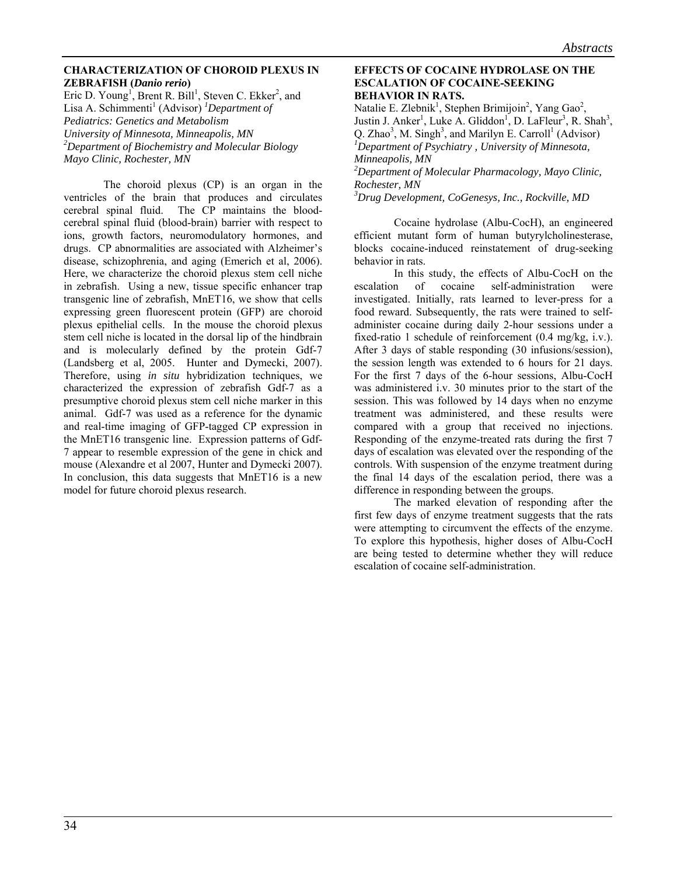#### **CHARACTERIZATION OF CHOROID PLEXUS IN ZEBRAFISH (***Danio rerio***)**

Eric D. Young<sup>1</sup>, Brent R. Bill<sup>1</sup>, Steven C. Ekker<sup>2</sup>, and Lisa A. Schimmenti<sup>1</sup> (Advisor) <sup>*1*</sup>Department of *Pediatrics: Genetics and Metabolism Department of Biochemistry and Molecular Biology <sup>1</sup> Mayo Clinic, Rochester, MN* Minneapolis, MN

 The choroid plexus (CP) is an organ in the *Rochester, MN*  ventricles of the brain that produces and circulates cerebral spinal fluid. The CP maintains the bloodcerebral spinal fluid (blood-brain) barrier with respect to ions, growth factors, neuromodulatory hormones, and drugs. CP abnormalities are associated with Alzheimer's disease, schizophrenia, and aging (Emerich et al, 2006). Here, we characterize the choroid plexus stem cell niche in zebrafish. Using a new, tissue specific enhancer trap transgenic line of zebrafish, MnET16, we show that cells expressing green fluorescent protein (GFP) are choroid plexus epithelial cells. In the mouse the choroid plexus stem cell niche is located in the dorsal lip of the hindbrain and is molecularly defined by the protein Gdf-7 (Landsberg et al, 2005. Hunter and Dymecki, 2007). Therefore, using *in situ* hybridization techniques, we characterized the expression of zebrafish Gdf-7 as a presumptive choroid plexus stem cell niche marker in this animal. Gdf-7 was used as a reference for the dynamic and real-time imaging of GFP-tagged CP expression in the MnET16 transgenic line. Expression patterns of Gdf-7 appear to resemble expression of the gene in chick and mouse (Alexandre et al 2007, Hunter and Dymecki 2007). In conclusion, this data suggests that MnET16 is a new model for future choroid plexus research.

#### **EFFECTS OF COCAINE HYDROLASE ON THE ESCALATION OF COCAINE-SEEKING BEHAVIOR IN RATS.**

Natalie E. Zlebnik<sup>1</sup>, Stephen Brimijoin<sup>2</sup>, Yang Gao<sup>2</sup>, Justin J. Anker<sup>1</sup>, Luke A. Gliddon<sup>1</sup>, D. LaFleur<sup>3</sup>, R. Shah<sup>3</sup>, *University of Minnesota, Minneapolis, MN Q. Zhao<sup>3</sup>, M. Singh<sup>3</sup>, and Marilyn E. Carroll<sup>1</sup> (Advisor)*  $\frac{2}{D}$  *2Department of Bushistmy Highangs 2 Department of Psychiatry , University of Minnesota, 2 Department of Molecular Pharmacology, Mayo Clinic,* 

*3 Drug Development, CoGenesys, Inc., Rockville, MD* 

 Cocaine hydrolase (Albu-CocH), an engineered efficient mutant form of human butyrylcholinesterase, blocks cocaine-induced reinstatement of drug-seeking behavior in rats.

In this study, the effects of Albu-CocH on the escalation of cocaine self-administration were investigated. Initially, rats learned to lever-press for a food reward. Subsequently, the rats were trained to selfadminister cocaine during daily 2-hour sessions under a fixed-ratio 1 schedule of reinforcement (0.4 mg/kg, i.v.). After 3 days of stable responding (30 infusions/session), the session length was extended to 6 hours for 21 days. For the first 7 days of the 6-hour sessions, Albu-CocH was administered i.v. 30 minutes prior to the start of the session. This was followed by 14 days when no enzyme treatment was administered, and these results were compared with a group that received no injections. Responding of the enzyme-treated rats during the first 7 days of escalation was elevated over the responding of the controls. With suspension of the enzyme treatment during the final 14 days of the escalation period, there was a difference in responding between the groups.

The marked elevation of responding after the first few days of enzyme treatment suggests that the rats were attempting to circumvent the effects of the enzyme. To explore this hypothesis, higher doses of Albu-CocH are being tested to determine whether they will reduce escalation of cocaine self-administration.